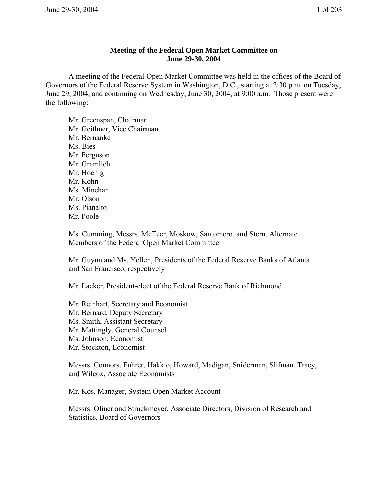## **Meeting of the Federal Open Market Committee on June 29-30, 2004**

A meeting of the Federal Open Market Committee was held in the offices of the Board of Governors of the Federal Reserve System in Washington, D.C., starting at 2:30 p.m. on Tuesday, June 29, 2004, and continuing on Wednesday, June 30, 2004, at 9:00 a.m. Those present were the following:

Mr. Greenspan, Chairman Mr. Geithner, Vice Chairman Mr. Bernanke Ms. Bies Mr. Ferguson Mr. Gramlich Mr. Hoenig Mr. Kohn Ms. Minehan Mr. Olson Ms. Pianalto Mr. Poole

Ms. Cumming, Messrs. McTeer, Moskow, Santomero, and Stern, Alternate Members of the Federal Open Market Committee

Mr. Guynn and Ms. Yellen, Presidents of the Federal Reserve Banks of Atlanta and San Francisco, respectively

Mr. Lacker, President-elect of the Federal Reserve Bank of Richmond

Mr. Reinhart, Secretary and Economist Mr. Bernard, Deputy Secretary Ms. Smith, Assistant Secretary Mr. Mattingly, General Counsel Ms. Johnson, Economist Mr. Stockton, Economist

Messrs. Connors, Fuhrer, Hakkio, Howard, Madigan, Sniderman, Slifman, Tracy, and Wilcox, Associate Economists

Mr. Kos, Manager, System Open Market Account

Messrs. Oliner and Struckmeyer, Associate Directors, Division of Research and Statistics, Board of Governors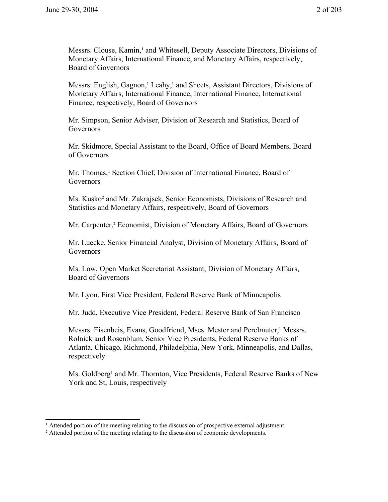Messrs. Clouse, Kamin,<sup>1</sup> and Whitesell, Deputy Associate Directors, Divisions of Monetary Affairs, International Finance, and Monetary Affairs, respectively, Board of Governors

Messrs. English, Gagnon,<sup>1</sup> Leahy,<sup>1</sup> and Sheets, Assistant Directors, Divisions of Monetary Affairs, International Finance, International Finance, International Finance, respectively, Board of Governors

Mr. Simpson, Senior Adviser, Division of Research and Statistics, Board of **Governors** 

Mr. Skidmore, Special Assistant to the Board, Office of Board Members, Board of Governors

Mr. Thomas,<sup>1</sup> Section Chief, Division of International Finance, Board of **Governors** 

Ms. Kusko² and Mr. Zakrajsek, Senior Economists, Divisions of Research and Statistics and Monetary Affairs, respectively, Board of Governors

Mr. Carpenter,² Economist, Division of Monetary Affairs, Board of Governors

Mr. Luecke, Senior Financial Analyst, Division of Monetary Affairs, Board of **Governors** 

Ms. Low, Open Market Secretariat Assistant, Division of Monetary Affairs, Board of Governors

Mr. Lyon, First Vice President, Federal Reserve Bank of Minneapolis

Mr. Judd, Executive Vice President, Federal Reserve Bank of San Francisco

Messrs. Eisenbeis, Evans, Goodfriend, Mses. Mester and Perelmuter, Messrs. Rolnick and Rosenblum, Senior Vice Presidents, Federal Reserve Banks of Atlanta, Chicago, Richmond, Philadelphia, New York, Minneapolis, and Dallas, respectively

Ms. Goldberg<sup>1</sup> and Mr. Thornton, Vice Presidents, Federal Reserve Banks of New York and St, Louis, respectively

 $\mu$  Attended portion of the meeting relating to the discussion of prospective external adjustment.

² Attended portion of the meeting relating to the discussion of economic developments.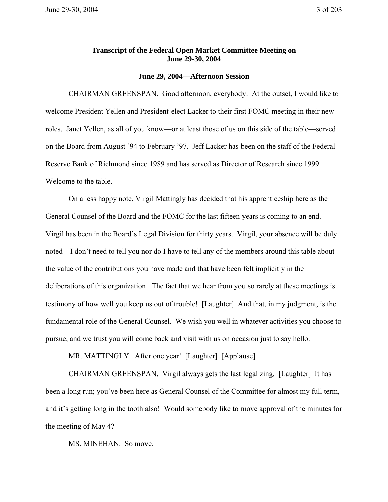## **Transcript of the Federal Open Market Committee Meeting on June 29-30, 2004**

## **June 29, 2004—Afternoon Session**

CHAIRMAN GREENSPAN. Good afternoon, everybody. At the outset, I would like to welcome President Yellen and President-elect Lacker to their first FOMC meeting in their new roles. Janet Yellen, as all of you know—or at least those of us on this side of the table—served on the Board from August '94 to February '97. Jeff Lacker has been on the staff of the Federal Reserve Bank of Richmond since 1989 and has served as Director of Research since 1999. Welcome to the table.

On a less happy note, Virgil Mattingly has decided that his apprenticeship here as the General Counsel of the Board and the FOMC for the last fifteen years is coming to an end. Virgil has been in the Board's Legal Division for thirty years. Virgil, your absence will be duly noted—I don't need to tell you nor do I have to tell any of the members around this table about the value of the contributions you have made and that have been felt implicitly in the deliberations of this organization. The fact that we hear from you so rarely at these meetings is testimony of how well you keep us out of trouble! [Laughter] And that, in my judgment, is the fundamental role of the General Counsel. We wish you well in whatever activities you choose to pursue, and we trust you will come back and visit with us on occasion just to say hello.

MR. MATTINGLY. After one year! [Laughter] [Applause]

CHAIRMAN GREENSPAN. Virgil always gets the last legal zing. [Laughter] It has been a long run; you've been here as General Counsel of the Committee for almost my full term, and it's getting long in the tooth also! Would somebody like to move approval of the minutes for the meeting of May 4?

MS. MINEHAN. So move.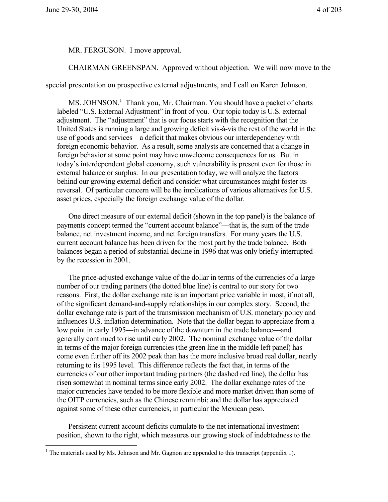$\overline{a}$ 

MR. FERGUSON. I move approval.

CHAIRMAN GREENSPAN. Approved without objection. We will now move to the

special presentation on prospective external adjustments, and I call on Karen Johnson.

 $MS.$  JOHNSON.<sup>1</sup> Thank you, Mr. Chairman. You should have a packet of charts labeled "U.S. External Adjustment" in front of you. Our topic today is U.S. external adjustment. The "adjustment" that is our focus starts with the recognition that the United States is running a large and growing deficit vis-à-vis the rest of the world in the use of goods and services—a deficit that makes obvious our interdependency with foreign economic behavior. As a result, some analysts are concerned that a change in foreign behavior at some point may have unwelcome consequences for us. But in today's interdependent global economy, such vulnerability is present even for those in external balance or surplus. In our presentation today, we will analyze the factors behind our growing external deficit and consider what circumstances might foster its reversal. Of particular concern will be the implications of various alternatives for U.S. asset prices, especially the foreign exchange value of the dollar.

One direct measure of our external deficit (shown in the top panel) is the balance of payments concept termed the "current account balance"—that is, the sum of the trade balance, net investment income, and net foreign transfers. For many years the U.S. current account balance has been driven for the most part by the trade balance. Both balances began a period of substantial decline in 1996 that was only briefly interrupted by the recession in 2001.

The price-adjusted exchange value of the dollar in terms of the currencies of a large number of our trading partners (the dotted blue line) is central to our story for two reasons. First, the dollar exchange rate is an important price variable in most, if not all, of the significant demand-and-supply relationships in our complex story. Second, the dollar exchange rate is part of the transmission mechanism of U.S. monetary policy and influences U.S. inflation determination. Note that the dollar began to appreciate from a low point in early 1995—in advance of the downturn in the trade balance—and generally continued to rise until early 2002. The nominal exchange value of the dollar in terms of the major foreign currencies (the green line in the middle left panel) has come even further off its 2002 peak than has the more inclusive broad real dollar, nearly returning to its 1995 level. This difference reflects the fact that, in terms of the currencies of our other important trading partners (the dashed red line), the dollar has risen somewhat in nominal terms since early 2002. The dollar exchange rates of the major currencies have tended to be more flexible and more market driven than some of the OITP currencies, such as the Chinese renminbi; and the dollar has appreciated against some of these other currencies, in particular the Mexican peso.

Persistent current account deficits cumulate to the net international investment position, shown to the right, which measures our growing stock of indebtedness to the

<sup>&</sup>lt;sup>1</sup> The materials used by Ms. Johnson and Mr. Gagnon are appended to this transcript (appendix 1).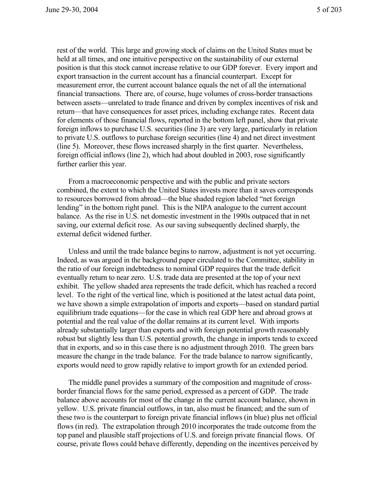rest of the world. This large and growing stock of claims on the United States must be held at all times, and one intuitive perspective on the sustainability of our external position is that this stock cannot increase relative to our GDP forever. Every import and export transaction in the current account has a financial counterpart. Except for measurement error, the current account balance equals the net of all the international financial transactions. There are, of course, huge volumes of cross-border transactions between assets—unrelated to trade finance and driven by complex incentives of risk and return—that have consequences for asset prices, including exchange rates. Recent data for elements of those financial flows, reported in the bottom left panel, show that private foreign inflows to purchase U.S. securities (line 3) are very large, particularly in relation to private U.S. outflows to purchase foreign securities (line 4) and net direct investment (line 5). Moreover, these flows increased sharply in the first quarter. Nevertheless, foreign official inflows (line 2), which had about doubled in 2003, rose significantly further earlier this year.

From a macroeconomic perspective and with the public and private sectors combined, the extent to which the United States invests more than it saves corresponds to resources borrowed from abroad—the blue shaded region labeled "net foreign lending" in the bottom right panel. This is the NIPA analogue to the current account balance. As the rise in U.S. net domestic investment in the 1990s outpaced that in net saving, our external deficit rose. As our saving subsequently declined sharply, the external deficit widened further.

Unless and until the trade balance begins to narrow, adjustment is not yet occurring. Indeed, as was argued in the background paper circulated to the Committee, stability in the ratio of our foreign indebtedness to nominal GDP requires that the trade deficit eventually return to near zero. U.S. trade data are presented at the top of your next exhibit. The yellow shaded area represents the trade deficit, which has reached a record level. To the right of the vertical line, which is positioned at the latest actual data point, we have shown a simple extrapolation of imports and exports—based on standard partial equilibrium trade equations—for the case in which real GDP here and abroad grows at potential and the real value of the dollar remains at its current level. With imports already substantially larger than exports and with foreign potential growth reasonably robust but slightly less than U.S. potential growth, the change in imports tends to exceed that in exports, and so in this case there is no adjustment through 2010. The green bars measure the change in the trade balance. For the trade balance to narrow significantly, exports would need to grow rapidly relative to import growth for an extended period.

The middle panel provides a summary of the composition and magnitude of crossborder financial flows for the same period, expressed as a percent of GDP. The trade balance above accounts for most of the change in the current account balance, shown in yellow. U.S. private financial outflows, in tan, also must be financed; and the sum of these two is the counterpart to foreign private financial inflows (in blue) plus net official flows (in red). The extrapolation through 2010 incorporates the trade outcome from the top panel and plausible staff projections of U.S. and foreign private financial flows. Of course, private flows could behave differently, depending on the incentives perceived by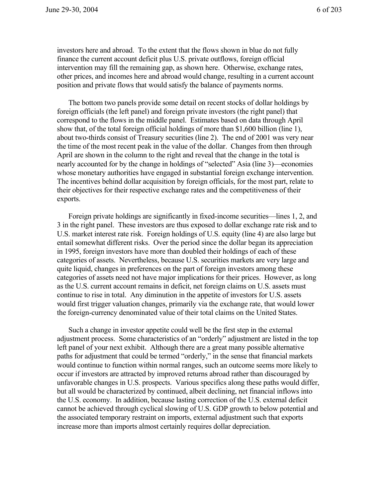investors here and abroad. To the extent that the flows shown in blue do not fully finance the current account deficit plus U.S. private outflows, foreign official intervention may fill the remaining gap, as shown here. Otherwise, exchange rates, other prices, and incomes here and abroad would change, resulting in a current account position and private flows that would satisfy the balance of payments norms.

The bottom two panels provide some detail on recent stocks of dollar holdings by foreign officials (the left panel) and foreign private investors (the right panel) that correspond to the flows in the middle panel. Estimates based on data through April show that, of the total foreign official holdings of more than \$1,600 billion (line 1), about two-thirds consist of Treasury securities (line 2). The end of 2001 was very near the time of the most recent peak in the value of the dollar. Changes from then through April are shown in the column to the right and reveal that the change in the total is nearly accounted for by the change in holdings of "selected" Asia (line 3)—economies whose monetary authorities have engaged in substantial foreign exchange intervention. The incentives behind dollar acquisition by foreign officials, for the most part, relate to their objectives for their respective exchange rates and the competitiveness of their exports.

Foreign private holdings are significantly in fixed-income securities—lines 1, 2, and 3 in the right panel. These investors are thus exposed to dollar exchange rate risk and to U.S. market interest rate risk. Foreign holdings of U.S. equity (line 4) are also large but entail somewhat different risks. Over the period since the dollar began its appreciation in 1995, foreign investors have more than doubled their holdings of each of these categories of assets. Nevertheless, because U.S. securities markets are very large and quite liquid, changes in preferences on the part of foreign investors among these categories of assets need not have major implications for their prices. However, as long as the U.S. current account remains in deficit, net foreign claims on U.S. assets must continue to rise in total. Any diminution in the appetite of investors for U.S. assets would first trigger valuation changes, primarily via the exchange rate, that would lower the foreign-currency denominated value of their total claims on the United States.

Such a change in investor appetite could well be the first step in the external adjustment process. Some characteristics of an "orderly" adjustment are listed in the top left panel of your next exhibit. Although there are a great many possible alternative paths for adjustment that could be termed "orderly," in the sense that financial markets would continue to function within normal ranges, such an outcome seems more likely to occur if investors are attracted by improved returns abroad rather than discouraged by unfavorable changes in U.S. prospects. Various specifics along these paths would differ, but all would be characterized by continued, albeit declining, net financial inflows into the U.S. economy. In addition, because lasting correction of the U.S. external deficit cannot be achieved through cyclical slowing of U.S. GDP growth to below potential and the associated temporary restraint on imports, external adjustment such that exports increase more than imports almost certainly requires dollar depreciation.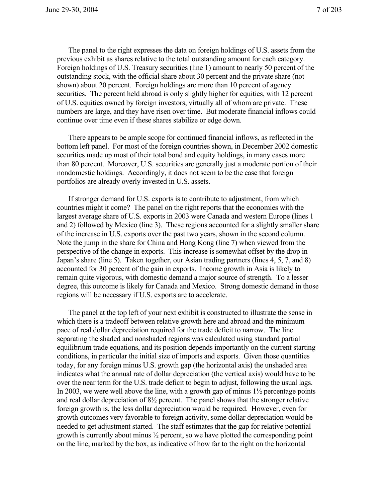The panel to the right expresses the data on foreign holdings of U.S. assets from the previous exhibit as shares relative to the total outstanding amount for each category. Foreign holdings of U.S. Treasury securities (line 1) amount to nearly 50 percent of the outstanding stock, with the official share about 30 percent and the private share (not shown) about 20 percent. Foreign holdings are more than 10 percent of agency securities. The percent held abroad is only slightly higher for equities, with 12 percent of U.S. equities owned by foreign investors, virtually all of whom are private. These numbers are large, and they have risen over time. But moderate financial inflows could continue over time even if these shares stabilize or edge down.

There appears to be ample scope for continued financial inflows, as reflected in the bottom left panel. For most of the foreign countries shown, in December 2002 domestic securities made up most of their total bond and equity holdings, in many cases more than 80 percent. Moreover, U.S. securities are generally just a moderate portion of their nondomestic holdings. Accordingly, it does not seem to be the case that foreign portfolios are already overly invested in U.S. assets.

If stronger demand for U.S. exports is to contribute to adjustment, from which countries might it come? The panel on the right reports that the economies with the largest average share of U.S. exports in 2003 were Canada and western Europe (lines 1 and 2) followed by Mexico (line 3). These regions accounted for a slightly smaller share of the increase in U.S. exports over the past two years, shown in the second column. Note the jump in the share for China and Hong Kong (line 7) when viewed from the perspective of the change in exports. This increase is somewhat offset by the drop in Japan's share (line 5). Taken together, our Asian trading partners (lines 4, 5, 7, and 8) accounted for 30 percent of the gain in exports. Income growth in Asia is likely to remain quite vigorous, with domestic demand a major source of strength. To a lesser degree, this outcome is likely for Canada and Mexico. Strong domestic demand in those regions will be necessary if U.S. exports are to accelerate.

The panel at the top left of your next exhibit is constructed to illustrate the sense in which there is a tradeoff between relative growth here and abroad and the minimum pace of real dollar depreciation required for the trade deficit to narrow. The line separating the shaded and nonshaded regions was calculated using standard partial equilibrium trade equations, and its position depends importantly on the current starting conditions, in particular the initial size of imports and exports. Given those quantities today, for any foreign minus U.S. growth gap (the horizontal axis) the unshaded area indicates what the annual rate of dollar depreciation (the vertical axis) would have to be over the near term for the U.S. trade deficit to begin to adjust, following the usual lags. In 2003, we were well above the line, with a growth gap of minus  $1\frac{1}{2}$  percentage points and real dollar depreciation of 8½ percent. The panel shows that the stronger relative foreign growth is, the less dollar depreciation would be required. However, even for growth outcomes very favorable to foreign activity, some dollar depreciation would be needed to get adjustment started. The staff estimates that the gap for relative potential growth is currently about minus ½ percent, so we have plotted the corresponding point on the line, marked by the box, as indicative of how far to the right on the horizontal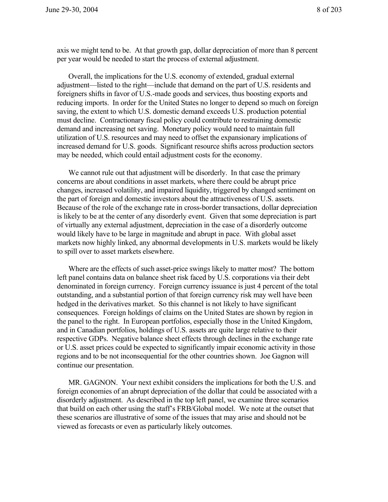axis we might tend to be. At that growth gap, dollar depreciation of more than 8 percent per year would be needed to start the process of external adjustment.

Overall, the implications for the U.S. economy of extended, gradual external adjustment—listed to the right—include that demand on the part of U.S. residents and foreigners shifts in favor of U.S.-made goods and services, thus boosting exports and reducing imports. In order for the United States no longer to depend so much on foreign saving, the extent to which U.S. domestic demand exceeds U.S. production potential must decline. Contractionary fiscal policy could contribute to restraining domestic demand and increasing net saving. Monetary policy would need to maintain full utilization of U.S. resources and may need to offset the expansionary implications of increased demand for U.S. goods. Significant resource shifts across production sectors may be needed, which could entail adjustment costs for the economy.

We cannot rule out that adjustment will be disorderly. In that case the primary concerns are about conditions in asset markets, where there could be abrupt price changes, increased volatility, and impaired liquidity, triggered by changed sentiment on the part of foreign and domestic investors about the attractiveness of U.S. assets. Because of the role of the exchange rate in cross-border transactions, dollar depreciation is likely to be at the center of any disorderly event. Given that some depreciation is part of virtually any external adjustment, depreciation in the case of a disorderly outcome would likely have to be large in magnitude and abrupt in pace. With global asset markets now highly linked, any abnormal developments in U.S. markets would be likely to spill over to asset markets elsewhere.

Where are the effects of such asset-price swings likely to matter most? The bottom left panel contains data on balance sheet risk faced by U.S. corporations via their debt denominated in foreign currency. Foreign currency issuance is just 4 percent of the total outstanding, and a substantial portion of that foreign currency risk may well have been hedged in the derivatives market. So this channel is not likely to have significant consequences. Foreign holdings of claims on the United States are shown by region in the panel to the right. In European portfolios, especially those in the United Kingdom, and in Canadian portfolios, holdings of U.S. assets are quite large relative to their respective GDPs. Negative balance sheet effects through declines in the exchange rate or U.S. asset prices could be expected to significantly impair economic activity in those regions and to be not inconsequential for the other countries shown. Joe Gagnon will continue our presentation.

MR. GAGNON. Your next exhibit considers the implications for both the U.S. and foreign economies of an abrupt depreciation of the dollar that could be associated with a disorderly adjustment. As described in the top left panel, we examine three scenarios that build on each other using the staff's FRB/Global model. We note at the outset that these scenarios are illustrative of some of the issues that may arise and should not be viewed as forecasts or even as particularly likely outcomes.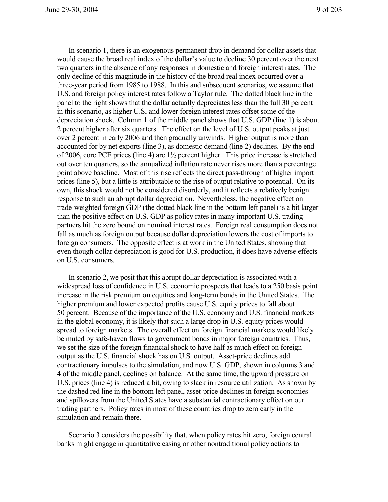In scenario 1, there is an exogenous permanent drop in demand for dollar assets that would cause the broad real index of the dollar's value to decline 30 percent over the next two quarters in the absence of any responses in domestic and foreign interest rates. The only decline of this magnitude in the history of the broad real index occurred over a three-year period from 1985 to 1988. In this and subsequent scenarios, we assume that U.S. and foreign policy interest rates follow a Taylor rule. The dotted black line in the panel to the right shows that the dollar actually depreciates less than the full 30 percent in this scenario, as higher U.S. and lower foreign interest rates offset some of the depreciation shock. Column 1 of the middle panel shows that U.S. GDP (line 1) is about 2 percent higher after six quarters. The effect on the level of U.S. output peaks at just over 2 percent in early 2006 and then gradually unwinds. Higher output is more than accounted for by net exports (line 3), as domestic demand (line 2) declines. By the end of 2006, core PCE prices (line 4) are 1½ percent higher. This price increase is stretched out over ten quarters, so the annualized inflation rate never rises more than a percentage point above baseline. Most of this rise reflects the direct pass-through of higher import prices (line 5), but a little is attributable to the rise of output relative to potential. On its own, this shock would not be considered disorderly, and it reflects a relatively benign response to such an abrupt dollar depreciation. Nevertheless, the negative effect on trade-weighted foreign GDP (the dotted black line in the bottom left panel) is a bit larger than the positive effect on U.S. GDP as policy rates in many important U.S. trading partners hit the zero bound on nominal interest rates. Foreign real consumption does not fall as much as foreign output because dollar depreciation lowers the cost of imports to foreign consumers. The opposite effect is at work in the United States, showing that even though dollar depreciation is good for U.S. production, it does have adverse effects on U.S. consumers.

In scenario 2, we posit that this abrupt dollar depreciation is associated with a widespread loss of confidence in U.S. economic prospects that leads to a 250 basis point increase in the risk premium on equities and long-term bonds in the United States. The higher premium and lower expected profits cause U.S. equity prices to fall about 50 percent. Because of the importance of the U.S. economy and U.S. financial markets in the global economy, it is likely that such a large drop in U.S. equity prices would spread to foreign markets. The overall effect on foreign financial markets would likely be muted by safe-haven flows to government bonds in major foreign countries. Thus, we set the size of the foreign financial shock to have half as much effect on foreign output as the U.S. financial shock has on U.S. output. Asset-price declines add contractionary impulses to the simulation, and now U.S. GDP, shown in columns 3 and 4 of the middle panel, declines on balance. At the same time, the upward pressure on U.S. prices (line 4) is reduced a bit, owing to slack in resource utilization. As shown by the dashed red line in the bottom left panel, asset-price declines in foreign economies and spillovers from the United States have a substantial contractionary effect on our trading partners. Policy rates in most of these countries drop to zero early in the simulation and remain there.

Scenario 3 considers the possibility that, when policy rates hit zero, foreign central banks might engage in quantitative easing or other nontraditional policy actions to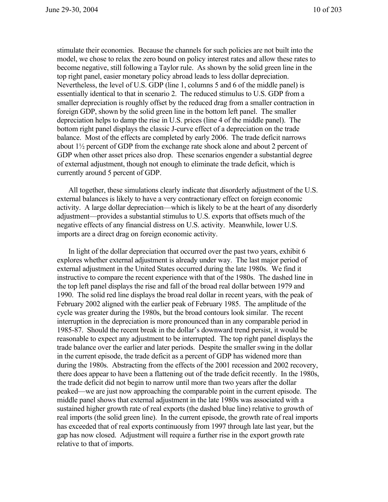stimulate their economies. Because the channels for such policies are not built into the model, we chose to relax the zero bound on policy interest rates and allow these rates to become negative, still following a Taylor rule. As shown by the solid green line in the top right panel, easier monetary policy abroad leads to less dollar depreciation. Nevertheless, the level of U.S. GDP (line 1, columns 5 and 6 of the middle panel) is essentially identical to that in scenario 2. The reduced stimulus to U.S. GDP from a smaller depreciation is roughly offset by the reduced drag from a smaller contraction in foreign GDP, shown by the solid green line in the bottom left panel. The smaller depreciation helps to damp the rise in U.S. prices (line 4 of the middle panel). The bottom right panel displays the classic J-curve effect of a depreciation on the trade balance. Most of the effects are completed by early 2006. The trade deficit narrows about 1½ percent of GDP from the exchange rate shock alone and about 2 percent of GDP when other asset prices also drop. These scenarios engender a substantial degree of external adjustment, though not enough to eliminate the trade deficit, which is currently around 5 percent of GDP.

All together, these simulations clearly indicate that disorderly adjustment of the U.S. external balances is likely to have a very contractionary effect on foreign economic activity. A large dollar depreciation—which is likely to be at the heart of any disorderly adjustment—provides a substantial stimulus to U.S. exports that offsets much of the negative effects of any financial distress on U.S. activity. Meanwhile, lower U.S. imports are a direct drag on foreign economic activity.

In light of the dollar depreciation that occurred over the past two years, exhibit 6 explores whether external adjustment is already under way. The last major period of external adjustment in the United States occurred during the late 1980s. We find it instructive to compare the recent experience with that of the 1980s. The dashed line in the top left panel displays the rise and fall of the broad real dollar between 1979 and 1990. The solid red line displays the broad real dollar in recent years, with the peak of February 2002 aligned with the earlier peak of February 1985. The amplitude of the cycle was greater during the 1980s, but the broad contours look similar. The recent interruption in the depreciation is more pronounced than in any comparable period in 1985-87. Should the recent break in the dollar's downward trend persist, it would be reasonable to expect any adjustment to be interrupted. The top right panel displays the trade balance over the earlier and later periods. Despite the smaller swing in the dollar in the current episode, the trade deficit as a percent of GDP has widened more than during the 1980s. Abstracting from the effects of the 2001 recession and 2002 recovery, there does appear to have been a flattening out of the trade deficit recently. In the 1980s, the trade deficit did not begin to narrow until more than two years after the dollar peaked—we are just now approaching the comparable point in the current episode. The middle panel shows that external adjustment in the late 1980s was associated with a sustained higher growth rate of real exports (the dashed blue line) relative to growth of real imports (the solid green line). In the current episode, the growth rate of real imports has exceeded that of real exports continuously from 1997 through late last year, but the gap has now closed. Adjustment will require a further rise in the export growth rate relative to that of imports.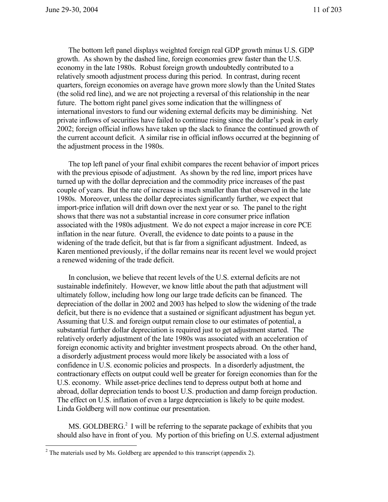The bottom left panel displays weighted foreign real GDP growth minus U.S. GDP growth. As shown by the dashed line, foreign economies grew faster than the U.S. economy in the late 1980s. Robust foreign growth undoubtedly contributed to a relatively smooth adjustment process during this period. In contrast, during recent quarters, foreign economies on average have grown more slowly than the United States (the solid red line), and we are not projecting a reversal of this relationship in the near future. The bottom right panel gives some indication that the willingness of international investors to fund our widening external deficits may be diminishing. Net private inflows of securities have failed to continue rising since the dollar's peak in early 2002; foreign official inflows have taken up the slack to finance the continued growth of the current account deficit. A similar rise in official inflows occurred at the beginning of the adjustment process in the 1980s.

The top left panel of your final exhibit compares the recent behavior of import prices with the previous episode of adjustment. As shown by the red line, import prices have turned up with the dollar depreciation and the commodity price increases of the past couple of years. But the rate of increase is much smaller than that observed in the late 1980s. Moreover, unless the dollar depreciates significantly further, we expect that import-price inflation will drift down over the next year or so. The panel to the right shows that there was not a substantial increase in core consumer price inflation associated with the 1980s adjustment. We do not expect a major increase in core PCE inflation in the near future. Overall, the evidence to date points to a pause in the widening of the trade deficit, but that is far from a significant adjustment. Indeed, as Karen mentioned previously, if the dollar remains near its recent level we would project a renewed widening of the trade deficit.

In conclusion, we believe that recent levels of the U.S. external deficits are not sustainable indefinitely. However, we know little about the path that adjustment will ultimately follow, including how long our large trade deficits can be financed. The depreciation of the dollar in 2002 and 2003 has helped to slow the widening of the trade deficit, but there is no evidence that a sustained or significant adjustment has begun yet. Assuming that U.S. and foreign output remain close to our estimates of potential, a substantial further dollar depreciation is required just to get adjustment started. The relatively orderly adjustment of the late 1980s was associated with an acceleration of foreign economic activity and brighter investment prospects abroad. On the other hand, a disorderly adjustment process would more likely be associated with a loss of confidence in U.S. economic policies and prospects. In a disorderly adjustment, the contractionary effects on output could well be greater for foreign economies than for the U.S. economy. While asset-price declines tend to depress output both at home and abroad, dollar depreciation tends to boost U.S. production and damp foreign production. The effect on U.S. inflation of even a large depreciation is likely to be quite modest. Linda Goldberg will now continue our presentation.

MS. GOLDBERG.<sup>2</sup> I will be referring to the separate package of exhibits that you should also have in front of you. My portion of this briefing on U.S. external adjustment

 $\overline{a}$ 

 $2^2$  The materials used by Ms. Goldberg are appended to this transcript (appendix 2).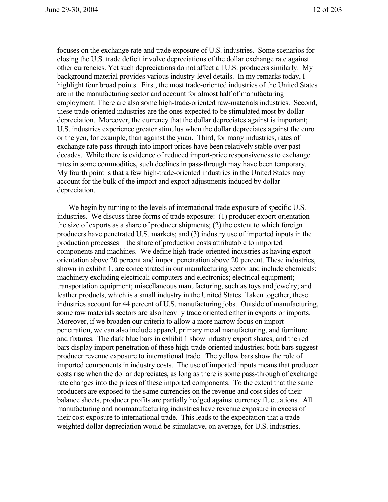focuses on the exchange rate and trade exposure of U.S. industries. Some scenarios for closing the U.S. trade deficit involve depreciations of the dollar exchange rate against other currencies. Yet such depreciations do not affect all U.S. producers similarly. My background material provides various industry-level details. In my remarks today, I highlight four broad points. First, the most trade-oriented industries of the United States are in the manufacturing sector and account for almost half of manufacturing employment. There are also some high-trade-oriented raw-materials industries. Second, these trade-oriented industries are the ones expected to be stimulated most by dollar depreciation. Moreover, the currency that the dollar depreciates against is important; U.S. industries experience greater stimulus when the dollar depreciates against the euro or the yen, for example, than against the yuan. Third, for many industries, rates of exchange rate pass-through into import prices have been relatively stable over past decades. While there is evidence of reduced import-price responsiveness to exchange rates in some commodities, such declines in pass-through may have been temporary. My fourth point is that a few high-trade-oriented industries in the United States may account for the bulk of the import and export adjustments induced by dollar depreciation.

We begin by turning to the levels of international trade exposure of specific U.S. industries. We discuss three forms of trade exposure: (1) producer export orientation the size of exports as a share of producer shipments; (2) the extent to which foreign producers have penetrated U.S. markets; and (3) industry use of imported inputs in the production processes—the share of production costs attributable to imported components and machines. We define high-trade-oriented industries as having export orientation above 20 percent and import penetration above 20 percent. These industries, shown in exhibit 1, are concentrated in our manufacturing sector and include chemicals; machinery excluding electrical; computers and electronics; electrical equipment; transportation equipment; miscellaneous manufacturing, such as toys and jewelry; and leather products, which is a small industry in the United States. Taken together, these industries account for 44 percent of U.S. manufacturing jobs. Outside of manufacturing, some raw materials sectors are also heavily trade oriented either in exports or imports. Moreover, if we broaden our criteria to allow a more narrow focus on import penetration, we can also include apparel, primary metal manufacturing, and furniture and fixtures. The dark blue bars in exhibit 1 show industry export shares, and the red bars display import penetration of these high-trade-oriented industries; both bars suggest producer revenue exposure to international trade. The yellow bars show the role of imported components in industry costs. The use of imported inputs means that producer costs rise when the dollar depreciates, as long as there is some pass-through of exchange rate changes into the prices of these imported components. To the extent that the same producers are exposed to the same currencies on the revenue and cost sides of their balance sheets, producer profits are partially hedged against currency fluctuations. All manufacturing and nonmanufacturing industries have revenue exposure in excess of their cost exposure to international trade. This leads to the expectation that a tradeweighted dollar depreciation would be stimulative, on average, for U.S. industries.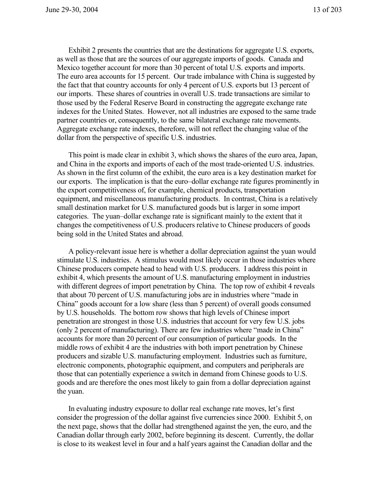Exhibit 2 presents the countries that are the destinations for aggregate U.S. exports, as well as those that are the sources of our aggregate imports of goods. Canada and Mexico together account for more than 30 percent of total U.S. exports and imports. The euro area accounts for 15 percent. Our trade imbalance with China is suggested by the fact that that country accounts for only 4 percent of U.S. exports but 13 percent of our imports. These shares of countries in overall U.S. trade transactions are similar to those used by the Federal Reserve Board in constructing the aggregate exchange rate indexes for the United States. However, not all industries are exposed to the same trade partner countries or, consequently, to the same bilateral exchange rate movements. Aggregate exchange rate indexes, therefore, will not reflect the changing value of the dollar from the perspective of specific U.S. industries.

This point is made clear in exhibit 3, which shows the shares of the euro area, Japan, and China in the exports and imports of each of the most trade-oriented U.S. industries. As shown in the first column of the exhibit, the euro area is a key destination market for our exports. The implication is that the euro–dollar exchange rate figures prominently in the export competitiveness of, for example, chemical products, transportation equipment, and miscellaneous manufacturing products. In contrast, China is a relatively small destination market for U.S. manufactured goods but is larger in some import categories. The yuan–dollar exchange rate is significant mainly to the extent that it changes the competitiveness of U.S. producers relative to Chinese producers of goods being sold in the United States and abroad.

A policy-relevant issue here is whether a dollar depreciation against the yuan would stimulate U.S. industries. A stimulus would most likely occur in those industries where Chinese producers compete head to head with U.S. producers. I address this point in exhibit 4, which presents the amount of U.S. manufacturing employment in industries with different degrees of import penetration by China. The top row of exhibit 4 reveals that about 70 percent of U.S. manufacturing jobs are in industries where "made in China" goods account for a low share (less than 5 percent) of overall goods consumed by U.S. households. The bottom row shows that high levels of Chinese import penetration are strongest in those U.S. industries that account for very few U.S. jobs (only 2 percent of manufacturing). There are few industries where "made in China" accounts for more than 20 percent of our consumption of particular goods. In the middle rows of exhibit 4 are the industries with both import penetration by Chinese producers and sizable U.S. manufacturing employment. Industries such as furniture, electronic components, photographic equipment, and computers and peripherals are those that can potentially experience a switch in demand from Chinese goods to U.S. goods and are therefore the ones most likely to gain from a dollar depreciation against the yuan.

In evaluating industry exposure to dollar real exchange rate moves, let's first consider the progression of the dollar against five currencies since 2000. Exhibit 5, on the next page, shows that the dollar had strengthened against the yen, the euro, and the Canadian dollar through early 2002, before beginning its descent. Currently, the dollar is close to its weakest level in four and a half years against the Canadian dollar and the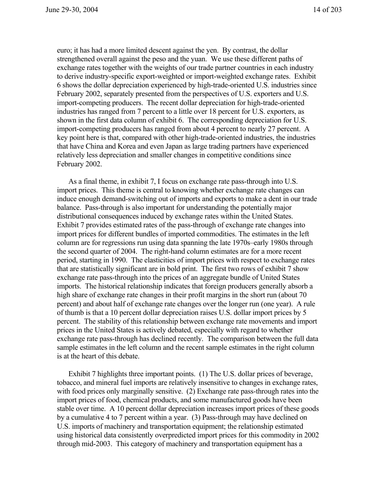euro; it has had a more limited descent against the yen. By contrast, the dollar strengthened overall against the peso and the yuan. We use these different paths of exchange rates together with the weights of our trade partner countries in each industry to derive industry-specific export-weighted or import-weighted exchange rates. Exhibit 6 shows the dollar depreciation experienced by high-trade-oriented U.S. industries since February 2002, separately presented from the perspectives of U.S. exporters and U.S. import-competing producers. The recent dollar depreciation for high-trade-oriented industries has ranged from 7 percent to a little over 18 percent for U.S. exporters, as shown in the first data column of exhibit 6. The corresponding depreciation for U.S. import-competing producers has ranged from about 4 percent to nearly 27 percent. A key point here is that, compared with other high-trade-oriented industries, the industries that have China and Korea and even Japan as large trading partners have experienced relatively less depreciation and smaller changes in competitive conditions since February 2002.

As a final theme, in exhibit 7, I focus on exchange rate pass-through into U.S. import prices. This theme is central to knowing whether exchange rate changes can induce enough demand-switching out of imports and exports to make a dent in our trade balance. Pass-through is also important for understanding the potentially major distributional consequences induced by exchange rates within the United States. Exhibit 7 provides estimated rates of the pass-through of exchange rate changes into import prices for different bundles of imported commodities. The estimates in the left column are for regressions run using data spanning the late 1970s–early 1980s through the second quarter of 2004. The right-hand column estimates are for a more recent period, starting in 1990. The elasticities of import prices with respect to exchange rates that are statistically significant are in bold print. The first two rows of exhibit 7 show exchange rate pass-through into the prices of an aggregate bundle of United States imports. The historical relationship indicates that foreign producers generally absorb a high share of exchange rate changes in their profit margins in the short run (about 70) percent) and about half of exchange rate changes over the longer run (one year). A rule of thumb is that a 10 percent dollar depreciation raises U.S. dollar import prices by 5 percent. The stability of this relationship between exchange rate movements and import prices in the United States is actively debated, especially with regard to whether exchange rate pass-through has declined recently. The comparison between the full data sample estimates in the left column and the recent sample estimates in the right column is at the heart of this debate.

Exhibit 7 highlights three important points. (1) The U.S. dollar prices of beverage, tobacco, and mineral fuel imports are relatively insensitive to changes in exchange rates, with food prices only marginally sensitive. (2) Exchange rate pass-through rates into the import prices of food, chemical products, and some manufactured goods have been stable over time. A 10 percent dollar depreciation increases import prices of these goods by a cumulative 4 to 7 percent within a year. (3) Pass-through may have declined on U.S. imports of machinery and transportation equipment; the relationship estimated using historical data consistently overpredicted import prices for this commodity in 2002 through mid-2003. This category of machinery and transportation equipment has a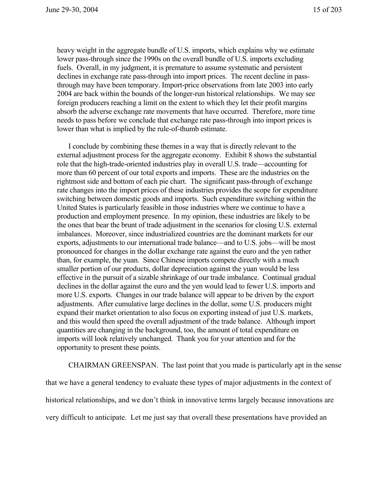heavy weight in the aggregate bundle of U.S. imports, which explains why we estimate lower pass-through since the 1990s on the overall bundle of U.S. imports excluding fuels. Overall, in my judgment, it is premature to assume systematic and persistent declines in exchange rate pass-through into import prices. The recent decline in passthrough may have been temporary. Import-price observations from late 2003 into early 2004 are back within the bounds of the longer-run historical relationships. We may see foreign producers reaching a limit on the extent to which they let their profit margins absorb the adverse exchange rate movements that have occurred. Therefore, more time needs to pass before we conclude that exchange rate pass-through into import prices is lower than what is implied by the rule-of-thumb estimate.

I conclude by combining these themes in a way that is directly relevant to the external adjustment process for the aggregate economy. Exhibit 8 shows the substantial role that the high-trade-oriented industries play in overall U.S. trade—accounting for more than 60 percent of our total exports and imports. These are the industries on the rightmost side and bottom of each pie chart. The significant pass-through of exchange rate changes into the import prices of these industries provides the scope for expenditure switching between domestic goods and imports. Such expenditure switching within the United States is particularly feasible in those industries where we continue to have a production and employment presence. In my opinion, these industries are likely to be the ones that bear the brunt of trade adjustment in the scenarios for closing U.S. external imbalances. Moreover, since industrialized countries are the dominant markets for our exports, adjustments to our international trade balance—and to U.S. jobs—will be most pronounced for changes in the dollar exchange rate against the euro and the yen rather than, for example, the yuan. Since Chinese imports compete directly with a much smaller portion of our products, dollar depreciation against the yuan would be less effective in the pursuit of a sizable shrinkage of our trade imbalance. Continual gradual declines in the dollar against the euro and the yen would lead to fewer U.S. imports and more U.S. exports. Changes in our trade balance will appear to be driven by the export adjustments. After cumulative large declines in the dollar, some U.S. producers might expand their market orientation to also focus on exporting instead of just U.S. markets, and this would then speed the overall adjustment of the trade balance. Although import quantities are changing in the background, too, the amount of total expenditure on imports will look relatively unchanged. Thank you for your attention and for the opportunity to present these points.

CHAIRMAN GREENSPAN. The last point that you made is particularly apt in the sense

that we have a general tendency to evaluate these types of major adjustments in the context of historical relationships, and we don't think in innovative terms largely because innovations are very difficult to anticipate. Let me just say that overall these presentations have provided an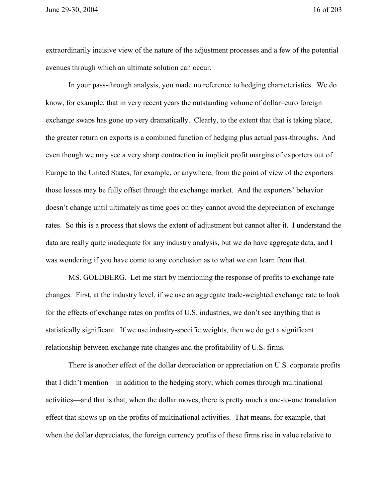June 29-30, 2004 16 of 203

extraordinarily incisive view of the nature of the adjustment processes and a few of the potential avenues through which an ultimate solution can occur.

In your pass-through analysis, you made no reference to hedging characteristics. We do know, for example, that in very recent years the outstanding volume of dollar–euro foreign exchange swaps has gone up very dramatically. Clearly, to the extent that that is taking place, the greater return on exports is a combined function of hedging plus actual pass-throughs. And even though we may see a very sharp contraction in implicit profit margins of exporters out of Europe to the United States, for example, or anywhere, from the point of view of the exporters those losses may be fully offset through the exchange market. And the exporters' behavior doesn't change until ultimately as time goes on they cannot avoid the depreciation of exchange rates. So this is a process that slows the extent of adjustment but cannot alter it. I understand the data are really quite inadequate for any industry analysis, but we do have aggregate data, and I was wondering if you have come to any conclusion as to what we can learn from that.

MS. GOLDBERG. Let me start by mentioning the response of profits to exchange rate changes. First, at the industry level, if we use an aggregate trade-weighted exchange rate to look for the effects of exchange rates on profits of U.S. industries, we don't see anything that is statistically significant. If we use industry-specific weights, then we do get a significant relationship between exchange rate changes and the profitability of U.S. firms.

There is another effect of the dollar depreciation or appreciation on U.S. corporate profits that I didn't mention—in addition to the hedging story, which comes through multinational activities—and that is that, when the dollar moves, there is pretty much a one-to-one translation effect that shows up on the profits of multinational activities. That means, for example, that when the dollar depreciates, the foreign currency profits of these firms rise in value relative to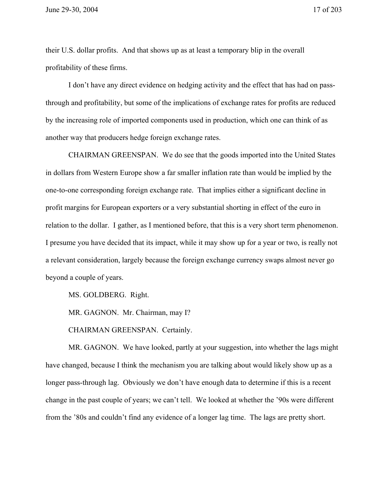their U.S. dollar profits. And that shows up as at least a temporary blip in the overall profitability of these firms.

I don't have any direct evidence on hedging activity and the effect that has had on passthrough and profitability, but some of the implications of exchange rates for profits are reduced by the increasing role of imported components used in production, which one can think of as another way that producers hedge foreign exchange rates.

CHAIRMAN GREENSPAN. We do see that the goods imported into the United States in dollars from Western Europe show a far smaller inflation rate than would be implied by the one-to-one corresponding foreign exchange rate. That implies either a significant decline in profit margins for European exporters or a very substantial shorting in effect of the euro in relation to the dollar. I gather, as I mentioned before, that this is a very short term phenomenon. I presume you have decided that its impact, while it may show up for a year or two, is really not a relevant consideration, largely because the foreign exchange currency swaps almost never go beyond a couple of years.

MS. GOLDBERG. Right.

MR. GAGNON. Mr. Chairman, may I?

CHAIRMAN GREENSPAN. Certainly.

MR. GAGNON. We have looked, partly at your suggestion, into whether the lags might have changed, because I think the mechanism you are talking about would likely show up as a longer pass-through lag. Obviously we don't have enough data to determine if this is a recent change in the past couple of years; we can't tell. We looked at whether the '90s were different from the '80s and couldn't find any evidence of a longer lag time. The lags are pretty short.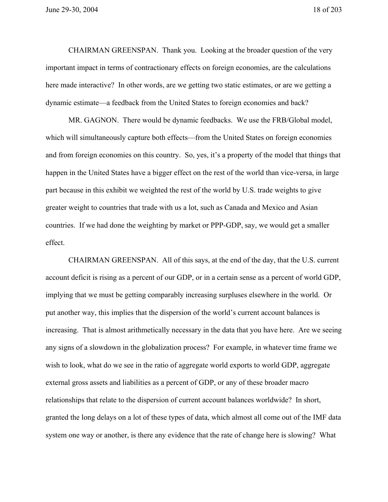CHAIRMAN GREENSPAN. Thank you. Looking at the broader question of the very important impact in terms of contractionary effects on foreign economies, are the calculations here made interactive? In other words, are we getting two static estimates, or are we getting a dynamic estimate—a feedback from the United States to foreign economies and back?

MR. GAGNON. There would be dynamic feedbacks. We use the FRB/Global model, which will simultaneously capture both effects—from the United States on foreign economies and from foreign economies on this country. So, yes, it's a property of the model that things that happen in the United States have a bigger effect on the rest of the world than vice-versa, in large part because in this exhibit we weighted the rest of the world by U.S. trade weights to give greater weight to countries that trade with us a lot, such as Canada and Mexico and Asian countries. If we had done the weighting by market or PPP-GDP, say, we would get a smaller effect.

CHAIRMAN GREENSPAN. All of this says, at the end of the day, that the U.S. current account deficit is rising as a percent of our GDP, or in a certain sense as a percent of world GDP, implying that we must be getting comparably increasing surpluses elsewhere in the world. Or put another way, this implies that the dispersion of the world's current account balances is increasing. That is almost arithmetically necessary in the data that you have here. Are we seeing any signs of a slowdown in the globalization process? For example, in whatever time frame we wish to look, what do we see in the ratio of aggregate world exports to world GDP, aggregate external gross assets and liabilities as a percent of GDP, or any of these broader macro relationships that relate to the dispersion of current account balances worldwide? In short, granted the long delays on a lot of these types of data, which almost all come out of the IMF data system one way or another, is there any evidence that the rate of change here is slowing? What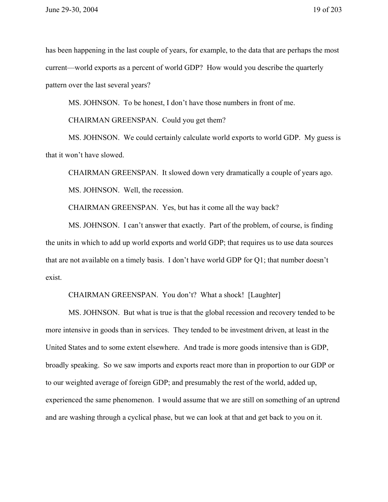has been happening in the last couple of years, for example, to the data that are perhaps the most current—world exports as a percent of world GDP? How would you describe the quarterly pattern over the last several years?

MS. JOHNSON. To be honest, I don't have those numbers in front of me.

CHAIRMAN GREENSPAN. Could you get them?

MS. JOHNSON. We could certainly calculate world exports to world GDP. My guess is that it won't have slowed.

CHAIRMAN GREENSPAN. It slowed down very dramatically a couple of years ago.

MS. JOHNSON. Well, the recession.

CHAIRMAN GREENSPAN. Yes, but has it come all the way back?

MS. JOHNSON. I can't answer that exactly. Part of the problem, of course, is finding the units in which to add up world exports and world GDP; that requires us to use data sources that are not available on a timely basis. I don't have world GDP for Q1; that number doesn't exist.

CHAIRMAN GREENSPAN. You don't? What a shock! [Laughter]

MS. JOHNSON. But what is true is that the global recession and recovery tended to be more intensive in goods than in services. They tended to be investment driven, at least in the United States and to some extent elsewhere. And trade is more goods intensive than is GDP, broadly speaking. So we saw imports and exports react more than in proportion to our GDP or to our weighted average of foreign GDP; and presumably the rest of the world, added up, experienced the same phenomenon. I would assume that we are still on something of an uptrend and are washing through a cyclical phase, but we can look at that and get back to you on it.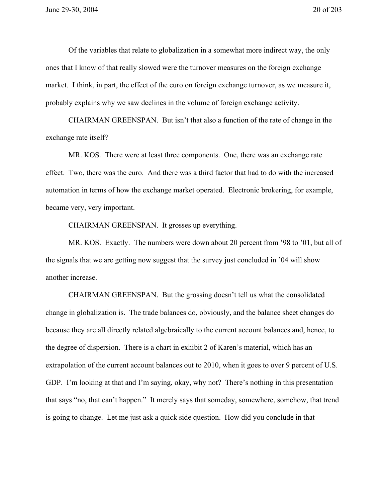Of the variables that relate to globalization in a somewhat more indirect way, the only ones that I know of that really slowed were the turnover measures on the foreign exchange market. I think, in part, the effect of the euro on foreign exchange turnover, as we measure it, probably explains why we saw declines in the volume of foreign exchange activity.

CHAIRMAN GREENSPAN. But isn't that also a function of the rate of change in the exchange rate itself?

MR. KOS. There were at least three components. One, there was an exchange rate effect. Two, there was the euro. And there was a third factor that had to do with the increased automation in terms of how the exchange market operated. Electronic brokering, for example, became very, very important.

CHAIRMAN GREENSPAN. It grosses up everything.

MR. KOS. Exactly. The numbers were down about 20 percent from '98 to '01, but all of the signals that we are getting now suggest that the survey just concluded in '04 will show another increase.

CHAIRMAN GREENSPAN. But the grossing doesn't tell us what the consolidated change in globalization is. The trade balances do, obviously, and the balance sheet changes do because they are all directly related algebraically to the current account balances and, hence, to the degree of dispersion. There is a chart in exhibit 2 of Karen's material, which has an extrapolation of the current account balances out to 2010, when it goes to over 9 percent of U.S. GDP. I'm looking at that and I'm saying, okay, why not? There's nothing in this presentation that says "no, that can't happen." It merely says that someday, somewhere, somehow, that trend is going to change. Let me just ask a quick side question. How did you conclude in that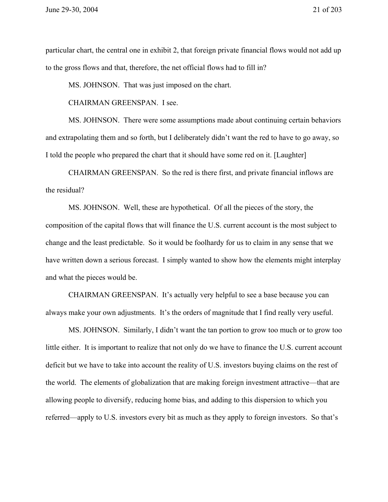particular chart, the central one in exhibit 2, that foreign private financial flows would not add up to the gross flows and that, therefore, the net official flows had to fill in?

MS. JOHNSON. That was just imposed on the chart.

CHAIRMAN GREENSPAN. I see.

MS. JOHNSON. There were some assumptions made about continuing certain behaviors and extrapolating them and so forth, but I deliberately didn't want the red to have to go away, so I told the people who prepared the chart that it should have some red on it. [Laughter]

CHAIRMAN GREENSPAN. So the red is there first, and private financial inflows are the residual?

MS. JOHNSON. Well, these are hypothetical. Of all the pieces of the story, the composition of the capital flows that will finance the U.S. current account is the most subject to change and the least predictable. So it would be foolhardy for us to claim in any sense that we have written down a serious forecast. I simply wanted to show how the elements might interplay and what the pieces would be.

CHAIRMAN GREENSPAN. It's actually very helpful to see a base because you can always make your own adjustments. It's the orders of magnitude that I find really very useful.

MS. JOHNSON. Similarly, I didn't want the tan portion to grow too much or to grow too little either. It is important to realize that not only do we have to finance the U.S. current account deficit but we have to take into account the reality of U.S. investors buying claims on the rest of the world. The elements of globalization that are making foreign investment attractive—that are allowing people to diversify, reducing home bias, and adding to this dispersion to which you referred—apply to U.S. investors every bit as much as they apply to foreign investors. So that's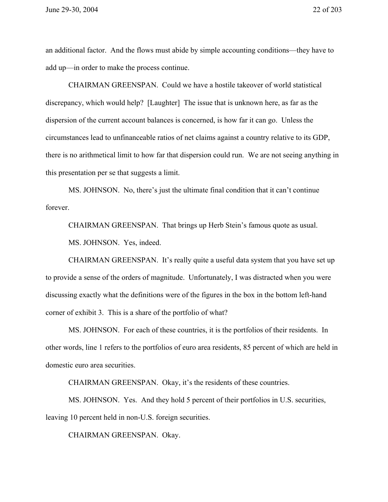an additional factor. And the flows must abide by simple accounting conditions—they have to add up—in order to make the process continue.

CHAIRMAN GREENSPAN. Could we have a hostile takeover of world statistical discrepancy, which would help? [Laughter] The issue that is unknown here, as far as the dispersion of the current account balances is concerned, is how far it can go. Unless the circumstances lead to unfinanceable ratios of net claims against a country relative to its GDP, there is no arithmetical limit to how far that dispersion could run. We are not seeing anything in this presentation per se that suggests a limit.

MS. JOHNSON. No, there's just the ultimate final condition that it can't continue forever.

CHAIRMAN GREENSPAN. That brings up Herb Stein's famous quote as usual. MS. JOHNSON. Yes, indeed.

CHAIRMAN GREENSPAN. It's really quite a useful data system that you have set up to provide a sense of the orders of magnitude. Unfortunately, I was distracted when you were discussing exactly what the definitions were of the figures in the box in the bottom left-hand corner of exhibit 3. This is a share of the portfolio of what?

MS. JOHNSON. For each of these countries, it is the portfolios of their residents. In other words, line 1 refers to the portfolios of euro area residents, 85 percent of which are held in domestic euro area securities.

CHAIRMAN GREENSPAN. Okay, it's the residents of these countries.

MS. JOHNSON. Yes. And they hold 5 percent of their portfolios in U.S. securities, leaving 10 percent held in non-U.S. foreign securities.

CHAIRMAN GREENSPAN. Okay.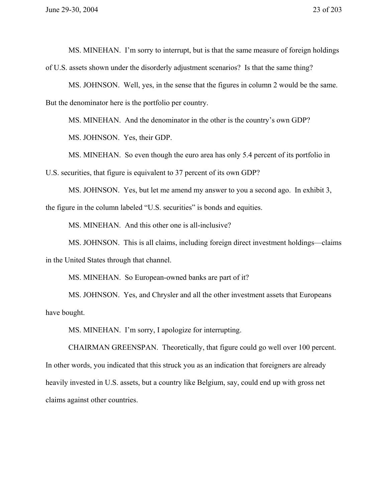MS. MINEHAN. I'm sorry to interrupt, but is that the same measure of foreign holdings of U.S. assets shown under the disorderly adjustment scenarios? Is that the same thing?

MS. JOHNSON. Well, yes, in the sense that the figures in column 2 would be the same. But the denominator here is the portfolio per country.

MS. MINEHAN. And the denominator in the other is the country's own GDP?

MS. JOHNSON. Yes, their GDP.

MS. MINEHAN. So even though the euro area has only 5.4 percent of its portfolio in

U.S. securities, that figure is equivalent to 37 percent of its own GDP?

MS. JOHNSON. Yes, but let me amend my answer to you a second ago. In exhibit 3, the figure in the column labeled "U.S. securities" is bonds and equities.

MS. MINEHAN. And this other one is all-inclusive?

MS. JOHNSON. This is all claims, including foreign direct investment holdings—claims in the United States through that channel.

MS. MINEHAN. So European-owned banks are part of it?

MS. JOHNSON. Yes, and Chrysler and all the other investment assets that Europeans have bought.

MS. MINEHAN. I'm sorry, I apologize for interrupting.

CHAIRMAN GREENSPAN. Theoretically, that figure could go well over 100 percent. In other words, you indicated that this struck you as an indication that foreigners are already heavily invested in U.S. assets, but a country like Belgium, say, could end up with gross net claims against other countries.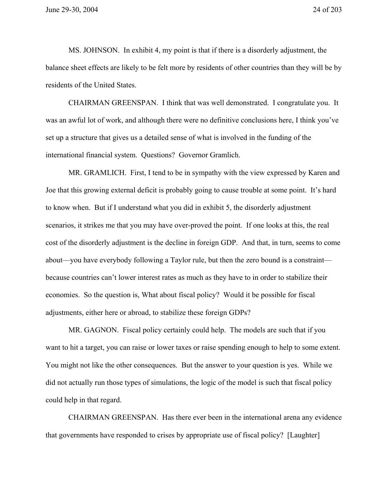MS. JOHNSON. In exhibit 4, my point is that if there is a disorderly adjustment, the balance sheet effects are likely to be felt more by residents of other countries than they will be by residents of the United States.

CHAIRMAN GREENSPAN. I think that was well demonstrated. I congratulate you. It was an awful lot of work, and although there were no definitive conclusions here, I think you've set up a structure that gives us a detailed sense of what is involved in the funding of the international financial system. Questions? Governor Gramlich.

MR. GRAMLICH. First, I tend to be in sympathy with the view expressed by Karen and Joe that this growing external deficit is probably going to cause trouble at some point. It's hard to know when. But if I understand what you did in exhibit 5, the disorderly adjustment scenarios, it strikes me that you may have over-proved the point. If one looks at this, the real cost of the disorderly adjustment is the decline in foreign GDP. And that, in turn, seems to come about—you have everybody following a Taylor rule, but then the zero bound is a constraint because countries can't lower interest rates as much as they have to in order to stabilize their economies. So the question is, What about fiscal policy? Would it be possible for fiscal adjustments, either here or abroad, to stabilize these foreign GDPs?

MR. GAGNON. Fiscal policy certainly could help. The models are such that if you want to hit a target, you can raise or lower taxes or raise spending enough to help to some extent. You might not like the other consequences. But the answer to your question is yes. While we did not actually run those types of simulations, the logic of the model is such that fiscal policy could help in that regard.

CHAIRMAN GREENSPAN. Has there ever been in the international arena any evidence that governments have responded to crises by appropriate use of fiscal policy? [Laughter]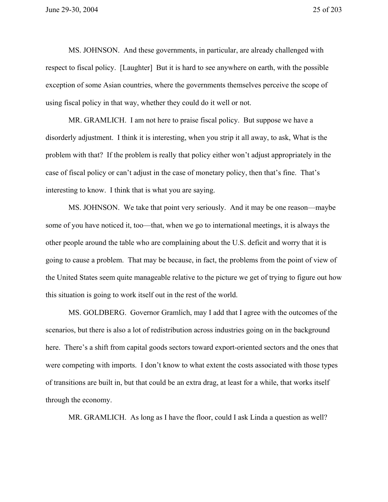MS. JOHNSON. And these governments, in particular, are already challenged with respect to fiscal policy. [Laughter] But it is hard to see anywhere on earth, with the possible exception of some Asian countries, where the governments themselves perceive the scope of using fiscal policy in that way, whether they could do it well or not.

MR. GRAMLICH. I am not here to praise fiscal policy. But suppose we have a disorderly adjustment. I think it is interesting, when you strip it all away, to ask, What is the problem with that? If the problem is really that policy either won't adjust appropriately in the case of fiscal policy or can't adjust in the case of monetary policy, then that's fine. That's interesting to know. I think that is what you are saying.

MS. JOHNSON. We take that point very seriously. And it may be one reason—maybe some of you have noticed it, too—that, when we go to international meetings, it is always the other people around the table who are complaining about the U.S. deficit and worry that it is going to cause a problem. That may be because, in fact, the problems from the point of view of the United States seem quite manageable relative to the picture we get of trying to figure out how this situation is going to work itself out in the rest of the world.

MS. GOLDBERG. Governor Gramlich, may I add that I agree with the outcomes of the scenarios, but there is also a lot of redistribution across industries going on in the background here. There's a shift from capital goods sectors toward export-oriented sectors and the ones that were competing with imports. I don't know to what extent the costs associated with those types of transitions are built in, but that could be an extra drag, at least for a while, that works itself through the economy.

MR. GRAMLICH. As long as I have the floor, could I ask Linda a question as well?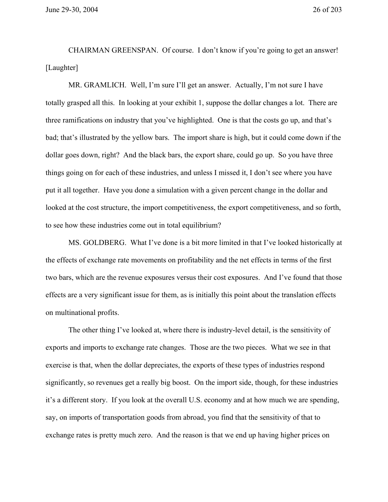June 29-30, 2004 26 of 203

CHAIRMAN GREENSPAN. Of course. I don't know if you're going to get an answer! [Laughter]

MR. GRAMLICH. Well, I'm sure I'll get an answer. Actually, I'm not sure I have totally grasped all this. In looking at your exhibit 1, suppose the dollar changes a lot. There are three ramifications on industry that you've highlighted. One is that the costs go up, and that's bad; that's illustrated by the yellow bars. The import share is high, but it could come down if the dollar goes down, right? And the black bars, the export share, could go up. So you have three things going on for each of these industries, and unless I missed it, I don't see where you have put it all together. Have you done a simulation with a given percent change in the dollar and looked at the cost structure, the import competitiveness, the export competitiveness, and so forth, to see how these industries come out in total equilibrium?

MS. GOLDBERG. What I've done is a bit more limited in that I've looked historically at the effects of exchange rate movements on profitability and the net effects in terms of the first two bars, which are the revenue exposures versus their cost exposures. And I've found that those effects are a very significant issue for them, as is initially this point about the translation effects on multinational profits.

The other thing I've looked at, where there is industry-level detail, is the sensitivity of exports and imports to exchange rate changes. Those are the two pieces. What we see in that exercise is that, when the dollar depreciates, the exports of these types of industries respond significantly, so revenues get a really big boost. On the import side, though, for these industries it's a different story. If you look at the overall U.S. economy and at how much we are spending, say, on imports of transportation goods from abroad, you find that the sensitivity of that to exchange rates is pretty much zero. And the reason is that we end up having higher prices on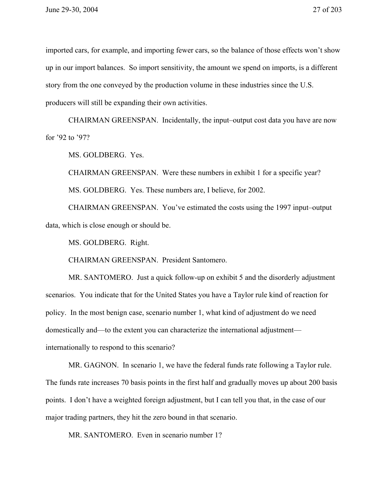imported cars, for example, and importing fewer cars, so the balance of those effects won't show up in our import balances. So import sensitivity, the amount we spend on imports, is a different story from the one conveyed by the production volume in these industries since the U.S. producers will still be expanding their own activities.

CHAIRMAN GREENSPAN. Incidentally, the input–output cost data you have are now for '92 to '97?

MS. GOLDBERG. Yes.

CHAIRMAN GREENSPAN. Were these numbers in exhibit 1 for a specific year? MS. GOLDBERG. Yes. These numbers are, I believe, for 2002.

CHAIRMAN GREENSPAN. You've estimated the costs using the 1997 input–output data, which is close enough or should be.

MS. GOLDBERG. Right.

CHAIRMAN GREENSPAN. President Santomero.

MR. SANTOMERO. Just a quick follow-up on exhibit 5 and the disorderly adjustment scenarios. You indicate that for the United States you have a Taylor rule kind of reaction for policy. In the most benign case, scenario number 1, what kind of adjustment do we need domestically and—to the extent you can characterize the international adjustment internationally to respond to this scenario?

MR. GAGNON. In scenario 1, we have the federal funds rate following a Taylor rule. The funds rate increases 70 basis points in the first half and gradually moves up about 200 basis points. I don't have a weighted foreign adjustment, but I can tell you that, in the case of our major trading partners, they hit the zero bound in that scenario.

MR. SANTOMERO. Even in scenario number 1?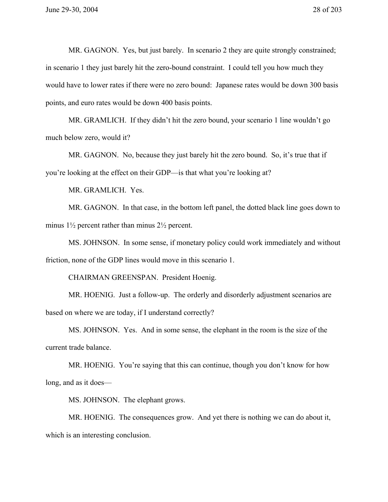MR. GAGNON. Yes, but just barely. In scenario 2 they are quite strongly constrained; in scenario 1 they just barely hit the zero-bound constraint. I could tell you how much they would have to lower rates if there were no zero bound: Japanese rates would be down 300 basis points, and euro rates would be down 400 basis points.

MR. GRAMLICH. If they didn't hit the zero bound, your scenario 1 line wouldn't go much below zero, would it?

MR. GAGNON. No, because they just barely hit the zero bound. So, it's true that if you're looking at the effect on their GDP—is that what you're looking at?

MR. GRAMLICH. Yes.

MR. GAGNON. In that case, in the bottom left panel, the dotted black line goes down to minus 1½ percent rather than minus 2½ percent.

MS. JOHNSON. In some sense, if monetary policy could work immediately and without friction, none of the GDP lines would move in this scenario 1.

CHAIRMAN GREENSPAN. President Hoenig.

MR. HOENIG. Just a follow-up. The orderly and disorderly adjustment scenarios are based on where we are today, if I understand correctly?

MS. JOHNSON. Yes. And in some sense, the elephant in the room is the size of the current trade balance.

MR. HOENIG. You're saying that this can continue, though you don't know for how long, and as it does—

MS. JOHNSON. The elephant grows.

MR. HOENIG. The consequences grow. And yet there is nothing we can do about it, which is an interesting conclusion.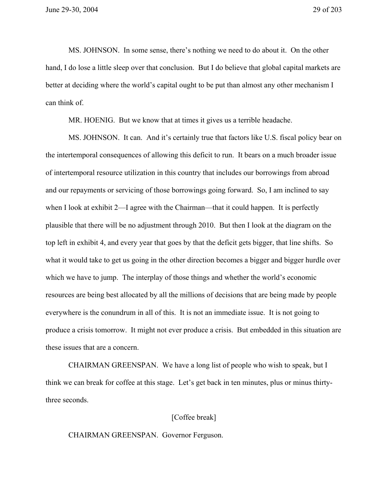MS. JOHNSON. In some sense, there's nothing we need to do about it. On the other hand, I do lose a little sleep over that conclusion. But I do believe that global capital markets are better at deciding where the world's capital ought to be put than almost any other mechanism I can think of.

MR. HOENIG. But we know that at times it gives us a terrible headache.

MS. JOHNSON. It can. And it's certainly true that factors like U.S. fiscal policy bear on the intertemporal consequences of allowing this deficit to run. It bears on a much broader issue of intertemporal resource utilization in this country that includes our borrowings from abroad and our repayments or servicing of those borrowings going forward. So, I am inclined to say when I look at exhibit 2—I agree with the Chairman—that it could happen. It is perfectly plausible that there will be no adjustment through 2010. But then I look at the diagram on the top left in exhibit 4, and every year that goes by that the deficit gets bigger, that line shifts. So what it would take to get us going in the other direction becomes a bigger and bigger hurdle over which we have to jump. The interplay of those things and whether the world's economic resources are being best allocated by all the millions of decisions that are being made by people everywhere is the conundrum in all of this. It is not an immediate issue. It is not going to produce a crisis tomorrow. It might not ever produce a crisis. But embedded in this situation are these issues that are a concern.

CHAIRMAN GREENSPAN. We have a long list of people who wish to speak, but I think we can break for coffee at this stage. Let's get back in ten minutes, plus or minus thirtythree seconds.

## [Coffee break]

CHAIRMAN GREENSPAN. Governor Ferguson.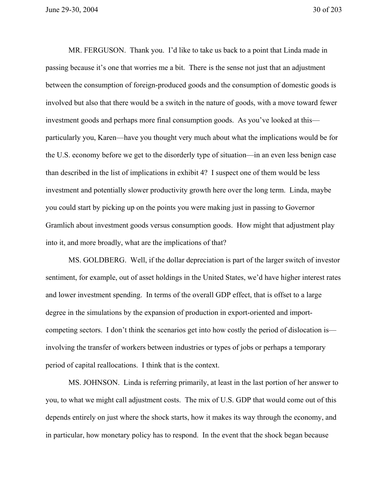June 29-30, 2004 30 of 203

MR. FERGUSON. Thank you. I'd like to take us back to a point that Linda made in passing because it's one that worries me a bit. There is the sense not just that an adjustment between the consumption of foreign-produced goods and the consumption of domestic goods is involved but also that there would be a switch in the nature of goods, with a move toward fewer investment goods and perhaps more final consumption goods. As you've looked at this particularly you, Karen—have you thought very much about what the implications would be for the U.S. economy before we get to the disorderly type of situation—in an even less benign case than described in the list of implications in exhibit 4? I suspect one of them would be less investment and potentially slower productivity growth here over the long term. Linda, maybe you could start by picking up on the points you were making just in passing to Governor Gramlich about investment goods versus consumption goods. How might that adjustment play into it, and more broadly, what are the implications of that?

MS. GOLDBERG. Well, if the dollar depreciation is part of the larger switch of investor sentiment, for example, out of asset holdings in the United States, we'd have higher interest rates and lower investment spending. In terms of the overall GDP effect, that is offset to a large degree in the simulations by the expansion of production in export-oriented and importcompeting sectors. I don't think the scenarios get into how costly the period of dislocation is involving the transfer of workers between industries or types of jobs or perhaps a temporary period of capital reallocations. I think that is the context.

MS. JOHNSON. Linda is referring primarily, at least in the last portion of her answer to you, to what we might call adjustment costs. The mix of U.S. GDP that would come out of this depends entirely on just where the shock starts, how it makes its way through the economy, and in particular, how monetary policy has to respond. In the event that the shock began because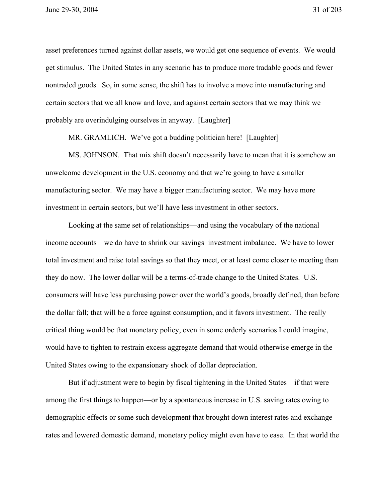asset preferences turned against dollar assets, we would get one sequence of events. We would get stimulus. The United States in any scenario has to produce more tradable goods and fewer nontraded goods. So, in some sense, the shift has to involve a move into manufacturing and certain sectors that we all know and love, and against certain sectors that we may think we probably are overindulging ourselves in anyway. [Laughter]

MR. GRAMLICH. We've got a budding politician here! [Laughter]

MS. JOHNSON. That mix shift doesn't necessarily have to mean that it is somehow an unwelcome development in the U.S. economy and that we're going to have a smaller manufacturing sector. We may have a bigger manufacturing sector. We may have more investment in certain sectors, but we'll have less investment in other sectors.

Looking at the same set of relationships—and using the vocabulary of the national income accounts—we do have to shrink our savings–investment imbalance. We have to lower total investment and raise total savings so that they meet, or at least come closer to meeting than they do now. The lower dollar will be a terms-of-trade change to the United States. U.S. consumers will have less purchasing power over the world's goods, broadly defined, than before the dollar fall; that will be a force against consumption, and it favors investment. The really critical thing would be that monetary policy, even in some orderly scenarios I could imagine, would have to tighten to restrain excess aggregate demand that would otherwise emerge in the United States owing to the expansionary shock of dollar depreciation.

But if adjustment were to begin by fiscal tightening in the United States—if that were among the first things to happen—or by a spontaneous increase in U.S. saving rates owing to demographic effects or some such development that brought down interest rates and exchange rates and lowered domestic demand, monetary policy might even have to ease. In that world the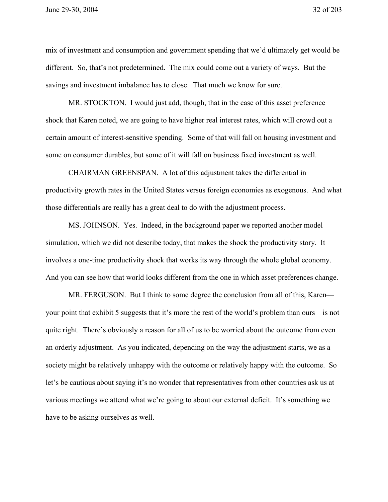mix of investment and consumption and government spending that we'd ultimately get would be different. So, that's not predetermined. The mix could come out a variety of ways. But the savings and investment imbalance has to close. That much we know for sure.

MR. STOCKTON. I would just add, though, that in the case of this asset preference shock that Karen noted, we are going to have higher real interest rates, which will crowd out a certain amount of interest-sensitive spending. Some of that will fall on housing investment and some on consumer durables, but some of it will fall on business fixed investment as well.

CHAIRMAN GREENSPAN. A lot of this adjustment takes the differential in productivity growth rates in the United States versus foreign economies as exogenous. And what those differentials are really has a great deal to do with the adjustment process.

MS. JOHNSON. Yes. Indeed, in the background paper we reported another model simulation, which we did not describe today, that makes the shock the productivity story. It involves a one-time productivity shock that works its way through the whole global economy. And you can see how that world looks different from the one in which asset preferences change.

MR. FERGUSON. But I think to some degree the conclusion from all of this, Karen your point that exhibit 5 suggests that it's more the rest of the world's problem than ours—is not quite right. There's obviously a reason for all of us to be worried about the outcome from even an orderly adjustment. As you indicated, depending on the way the adjustment starts, we as a society might be relatively unhappy with the outcome or relatively happy with the outcome. So let's be cautious about saying it's no wonder that representatives from other countries ask us at various meetings we attend what we're going to about our external deficit. It's something we have to be asking ourselves as well.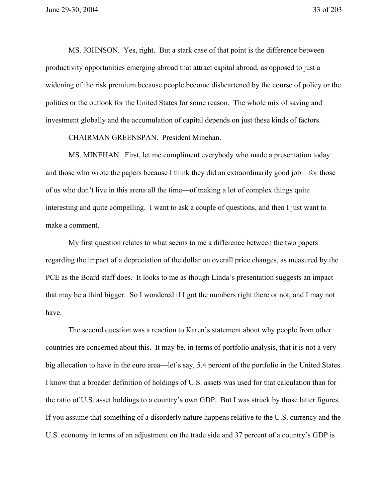MS. JOHNSON. Yes, right. But a stark case of that point is the difference between productivity opportunities emerging abroad that attract capital abroad, as opposed to just a widening of the risk premium because people become disheartened by the course of policy or the politics or the outlook for the United States for some reason. The whole mix of saving and investment globally and the accumulation of capital depends on just these kinds of factors.

CHAIRMAN GREENSPAN. President Minehan.

MS. MINEHAN. First, let me compliment everybody who made a presentation today and those who wrote the papers because I think they did an extraordinarily good job—for those of us who don't live in this arena all the time—of making a lot of complex things quite interesting and quite compelling. I want to ask a couple of questions, and then I just want to make a comment.

My first question relates to what seems to me a difference between the two papers regarding the impact of a depreciation of the dollar on overall price changes, as measured by the PCE as the Board staff does. It looks to me as though Linda's presentation suggests an impact that may be a third bigger. So I wondered if I got the numbers right there or not, and I may not have.

The second question was a reaction to Karen's statement about why people from other countries are concerned about this. It may be, in terms of portfolio analysis, that it is not a very big allocation to have in the euro area—let's say, 5.4 percent of the portfolio in the United States. I know that a broader definition of holdings of U.S. assets was used for that calculation than for the ratio of U.S. asset holdings to a country's own GDP. But I was struck by those latter figures. If you assume that something of a disorderly nature happens relative to the U.S. currency and the U.S. economy in terms of an adjustment on the trade side and 37 percent of a country's GDP is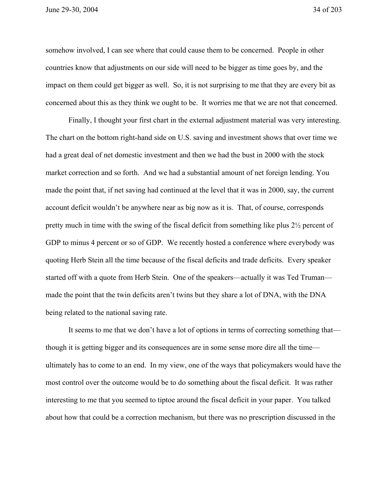June 29-30, 2004 34 of 203

somehow involved, I can see where that could cause them to be concerned. People in other countries know that adjustments on our side will need to be bigger as time goes by, and the impact on them could get bigger as well. So, it is not surprising to me that they are every bit as concerned about this as they think we ought to be. It worries me that we are not that concerned.

Finally, I thought your first chart in the external adjustment material was very interesting. The chart on the bottom right-hand side on U.S. saving and investment shows that over time we had a great deal of net domestic investment and then we had the bust in 2000 with the stock market correction and so forth. And we had a substantial amount of net foreign lending. You made the point that, if net saving had continued at the level that it was in 2000, say, the current account deficit wouldn't be anywhere near as big now as it is. That, of course, corresponds pretty much in time with the swing of the fiscal deficit from something like plus 2½ percent of GDP to minus 4 percent or so of GDP. We recently hosted a conference where everybody was quoting Herb Stein all the time because of the fiscal deficits and trade deficits. Every speaker started off with a quote from Herb Stein. One of the speakers—actually it was Ted Truman made the point that the twin deficits aren't twins but they share a lot of DNA, with the DNA being related to the national saving rate.

It seems to me that we don't have a lot of options in terms of correcting something that though it is getting bigger and its consequences are in some sense more dire all the time ultimately has to come to an end. In my view, one of the ways that policymakers would have the most control over the outcome would be to do something about the fiscal deficit. It was rather interesting to me that you seemed to tiptoe around the fiscal deficit in your paper. You talked about how that could be a correction mechanism, but there was no prescription discussed in the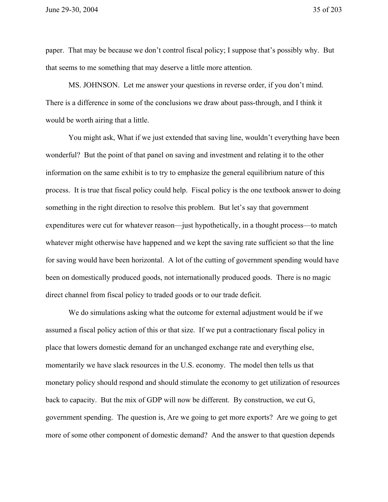paper. That may be because we don't control fiscal policy; I suppose that's possibly why. But that seems to me something that may deserve a little more attention.

MS. JOHNSON. Let me answer your questions in reverse order, if you don't mind. There is a difference in some of the conclusions we draw about pass-through, and I think it would be worth airing that a little.

You might ask, What if we just extended that saving line, wouldn't everything have been wonderful? But the point of that panel on saving and investment and relating it to the other information on the same exhibit is to try to emphasize the general equilibrium nature of this process. It is true that fiscal policy could help. Fiscal policy is the one textbook answer to doing something in the right direction to resolve this problem. But let's say that government expenditures were cut for whatever reason—just hypothetically, in a thought process—to match whatever might otherwise have happened and we kept the saving rate sufficient so that the line for saving would have been horizontal. A lot of the cutting of government spending would have been on domestically produced goods, not internationally produced goods. There is no magic direct channel from fiscal policy to traded goods or to our trade deficit.

We do simulations asking what the outcome for external adjustment would be if we assumed a fiscal policy action of this or that size. If we put a contractionary fiscal policy in place that lowers domestic demand for an unchanged exchange rate and everything else, momentarily we have slack resources in the U.S. economy. The model then tells us that monetary policy should respond and should stimulate the economy to get utilization of resources back to capacity. But the mix of GDP will now be different. By construction, we cut G, government spending. The question is, Are we going to get more exports? Are we going to get more of some other component of domestic demand? And the answer to that question depends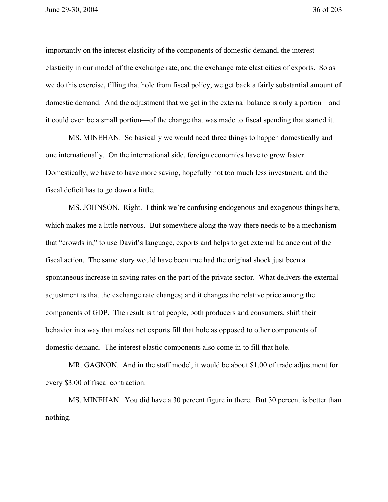importantly on the interest elasticity of the components of domestic demand, the interest elasticity in our model of the exchange rate, and the exchange rate elasticities of exports. So as we do this exercise, filling that hole from fiscal policy, we get back a fairly substantial amount of domestic demand. And the adjustment that we get in the external balance is only a portion—and it could even be a small portion—of the change that was made to fiscal spending that started it.

MS. MINEHAN. So basically we would need three things to happen domestically and one internationally. On the international side, foreign economies have to grow faster. Domestically, we have to have more saving, hopefully not too much less investment, and the fiscal deficit has to go down a little.

MS. JOHNSON. Right. I think we're confusing endogenous and exogenous things here, which makes me a little nervous. But somewhere along the way there needs to be a mechanism that "crowds in," to use David's language, exports and helps to get external balance out of the fiscal action. The same story would have been true had the original shock just been a spontaneous increase in saving rates on the part of the private sector. What delivers the external adjustment is that the exchange rate changes; and it changes the relative price among the components of GDP. The result is that people, both producers and consumers, shift their behavior in a way that makes net exports fill that hole as opposed to other components of domestic demand. The interest elastic components also come in to fill that hole.

MR. GAGNON. And in the staff model, it would be about \$1.00 of trade adjustment for every \$3.00 of fiscal contraction.

MS. MINEHAN. You did have a 30 percent figure in there. But 30 percent is better than nothing.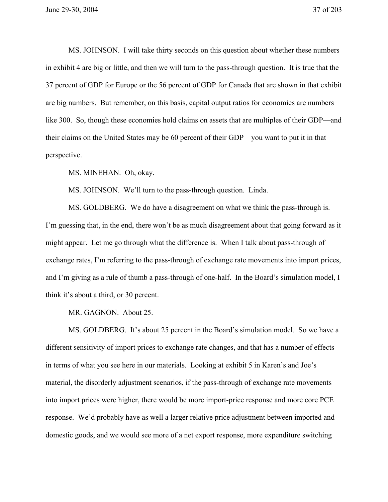MS. JOHNSON. I will take thirty seconds on this question about whether these numbers in exhibit 4 are big or little, and then we will turn to the pass-through question. It is true that the 37 percent of GDP for Europe or the 56 percent of GDP for Canada that are shown in that exhibit are big numbers. But remember, on this basis, capital output ratios for economies are numbers like 300. So, though these economies hold claims on assets that are multiples of their GDP—and their claims on the United States may be 60 percent of their GDP—you want to put it in that perspective.

MS. MINEHAN. Oh, okay.

MS. JOHNSON. We'll turn to the pass-through question. Linda.

MS. GOLDBERG. We do have a disagreement on what we think the pass-through is. I'm guessing that, in the end, there won't be as much disagreement about that going forward as it might appear. Let me go through what the difference is. When I talk about pass-through of exchange rates, I'm referring to the pass-through of exchange rate movements into import prices, and I'm giving as a rule of thumb a pass-through of one-half. In the Board's simulation model, I think it's about a third, or 30 percent.

MR. GAGNON. About 25.

MS. GOLDBERG. It's about 25 percent in the Board's simulation model. So we have a different sensitivity of import prices to exchange rate changes, and that has a number of effects in terms of what you see here in our materials. Looking at exhibit 5 in Karen's and Joe's material, the disorderly adjustment scenarios, if the pass-through of exchange rate movements into import prices were higher, there would be more import-price response and more core PCE response. We'd probably have as well a larger relative price adjustment between imported and domestic goods, and we would see more of a net export response, more expenditure switching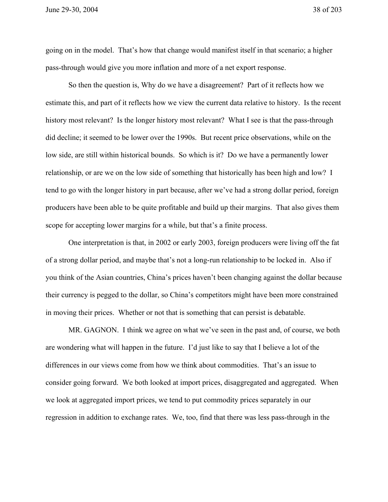going on in the model. That's how that change would manifest itself in that scenario; a higher pass-through would give you more inflation and more of a net export response.

So then the question is, Why do we have a disagreement? Part of it reflects how we estimate this, and part of it reflects how we view the current data relative to history. Is the recent history most relevant? Is the longer history most relevant? What I see is that the pass-through did decline; it seemed to be lower over the 1990s. But recent price observations, while on the low side, are still within historical bounds. So which is it? Do we have a permanently lower relationship, or are we on the low side of something that historically has been high and low? I tend to go with the longer history in part because, after we've had a strong dollar period, foreign producers have been able to be quite profitable and build up their margins. That also gives them scope for accepting lower margins for a while, but that's a finite process.

One interpretation is that, in 2002 or early 2003, foreign producers were living off the fat of a strong dollar period, and maybe that's not a long-run relationship to be locked in. Also if you think of the Asian countries, China's prices haven't been changing against the dollar because their currency is pegged to the dollar, so China's competitors might have been more constrained in moving their prices. Whether or not that is something that can persist is debatable.

MR. GAGNON. I think we agree on what we've seen in the past and, of course, we both are wondering what will happen in the future. I'd just like to say that I believe a lot of the differences in our views come from how we think about commodities. That's an issue to consider going forward. We both looked at import prices, disaggregated and aggregated. When we look at aggregated import prices, we tend to put commodity prices separately in our regression in addition to exchange rates. We, too, find that there was less pass-through in the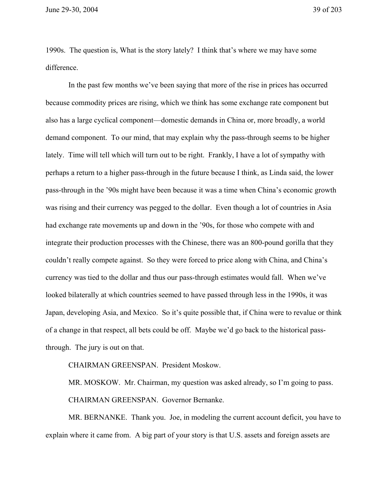June 29-30, 2004 39 of 203

1990s. The question is, What is the story lately? I think that's where we may have some difference.

In the past few months we've been saying that more of the rise in prices has occurred because commodity prices are rising, which we think has some exchange rate component but also has a large cyclical component—domestic demands in China or, more broadly, a world demand component. To our mind, that may explain why the pass-through seems to be higher lately. Time will tell which will turn out to be right. Frankly, I have a lot of sympathy with perhaps a return to a higher pass-through in the future because I think, as Linda said, the lower pass-through in the '90s might have been because it was a time when China's economic growth was rising and their currency was pegged to the dollar. Even though a lot of countries in Asia had exchange rate movements up and down in the '90s, for those who compete with and integrate their production processes with the Chinese, there was an 800-pound gorilla that they couldn't really compete against. So they were forced to price along with China, and China's currency was tied to the dollar and thus our pass-through estimates would fall. When we've looked bilaterally at which countries seemed to have passed through less in the 1990s, it was Japan, developing Asia, and Mexico. So it's quite possible that, if China were to revalue or think of a change in that respect, all bets could be off. Maybe we'd go back to the historical passthrough. The jury is out on that.

CHAIRMAN GREENSPAN. President Moskow.

MR. MOSKOW. Mr. Chairman, my question was asked already, so I'm going to pass. CHAIRMAN GREENSPAN. Governor Bernanke.

MR. BERNANKE. Thank you. Joe, in modeling the current account deficit, you have to explain where it came from. A big part of your story is that U.S. assets and foreign assets are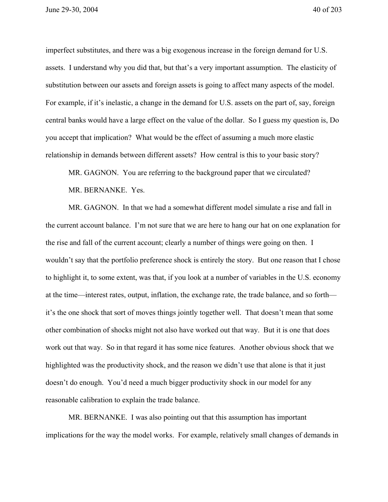imperfect substitutes, and there was a big exogenous increase in the foreign demand for U.S. assets. I understand why you did that, but that's a very important assumption. The elasticity of substitution between our assets and foreign assets is going to affect many aspects of the model. For example, if it's inelastic, a change in the demand for U.S. assets on the part of, say, foreign central banks would have a large effect on the value of the dollar. So I guess my question is, Do you accept that implication? What would be the effect of assuming a much more elastic relationship in demands between different assets? How central is this to your basic story?

MR. GAGNON. You are referring to the background paper that we circulated?

MR. BERNANKE. Yes.

MR. GAGNON. In that we had a somewhat different model simulate a rise and fall in the current account balance. I'm not sure that we are here to hang our hat on one explanation for the rise and fall of the current account; clearly a number of things were going on then. I wouldn't say that the portfolio preference shock is entirely the story. But one reason that I chose to highlight it, to some extent, was that, if you look at a number of variables in the U.S. economy at the time—interest rates, output, inflation, the exchange rate, the trade balance, and so forth it's the one shock that sort of moves things jointly together well. That doesn't mean that some other combination of shocks might not also have worked out that way. But it is one that does work out that way. So in that regard it has some nice features. Another obvious shock that we highlighted was the productivity shock, and the reason we didn't use that alone is that it just doesn't do enough. You'd need a much bigger productivity shock in our model for any reasonable calibration to explain the trade balance.

MR. BERNANKE. I was also pointing out that this assumption has important implications for the way the model works. For example, relatively small changes of demands in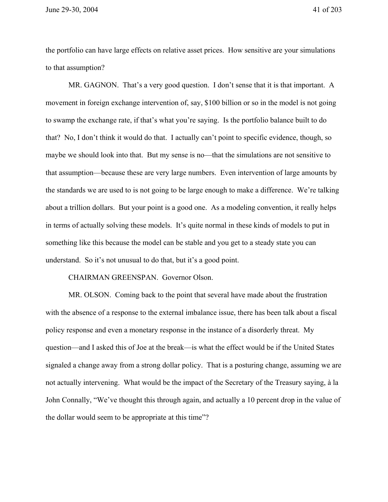the portfolio can have large effects on relative asset prices. How sensitive are your simulations to that assumption?

MR. GAGNON. That's a very good question. I don't sense that it is that important. A movement in foreign exchange intervention of, say, \$100 billion or so in the model is not going to swamp the exchange rate, if that's what you're saying. Is the portfolio balance built to do that? No, I don't think it would do that. I actually can't point to specific evidence, though, so maybe we should look into that. But my sense is no—that the simulations are not sensitive to that assumption—because these are very large numbers. Even intervention of large amounts by the standards we are used to is not going to be large enough to make a difference. We're talking about a trillion dollars. But your point is a good one. As a modeling convention, it really helps in terms of actually solving these models. It's quite normal in these kinds of models to put in something like this because the model can be stable and you get to a steady state you can understand. So it's not unusual to do that, but it's a good point.

## CHAIRMAN GREENSPAN. Governor Olson.

MR. OLSON. Coming back to the point that several have made about the frustration with the absence of a response to the external imbalance issue, there has been talk about a fiscal policy response and even a monetary response in the instance of a disorderly threat. My question—and I asked this of Joe at the break—is what the effect would be if the United States signaled a change away from a strong dollar policy. That is a posturing change, assuming we are not actually intervening. What would be the impact of the Secretary of the Treasury saying, à la John Connally, "We've thought this through again, and actually a 10 percent drop in the value of the dollar would seem to be appropriate at this time"?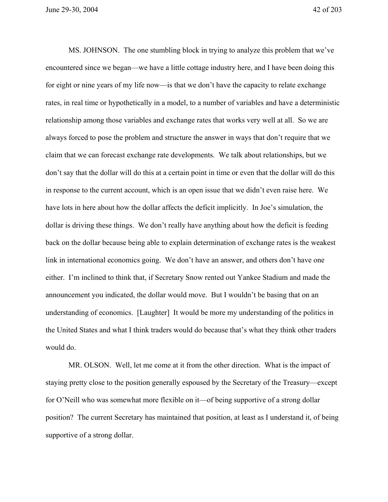June 29-30, 2004 42 of 203

MS. JOHNSON. The one stumbling block in trying to analyze this problem that we've encountered since we began—we have a little cottage industry here, and I have been doing this for eight or nine years of my life now—is that we don't have the capacity to relate exchange rates, in real time or hypothetically in a model, to a number of variables and have a deterministic relationship among those variables and exchange rates that works very well at all. So we are always forced to pose the problem and structure the answer in ways that don't require that we claim that we can forecast exchange rate developments. We talk about relationships, but we don't say that the dollar will do this at a certain point in time or even that the dollar will do this in response to the current account, which is an open issue that we didn't even raise here. We have lots in here about how the dollar affects the deficit implicitly. In Joe's simulation, the dollar is driving these things. We don't really have anything about how the deficit is feeding back on the dollar because being able to explain determination of exchange rates is the weakest link in international economics going. We don't have an answer, and others don't have one either. I'm inclined to think that, if Secretary Snow rented out Yankee Stadium and made the announcement you indicated, the dollar would move. But I wouldn't be basing that on an understanding of economics. [Laughter] It would be more my understanding of the politics in the United States and what I think traders would do because that's what they think other traders would do.

MR. OLSON. Well, let me come at it from the other direction. What is the impact of staying pretty close to the position generally espoused by the Secretary of the Treasury—except for O'Neill who was somewhat more flexible on it—of being supportive of a strong dollar position? The current Secretary has maintained that position, at least as I understand it, of being supportive of a strong dollar.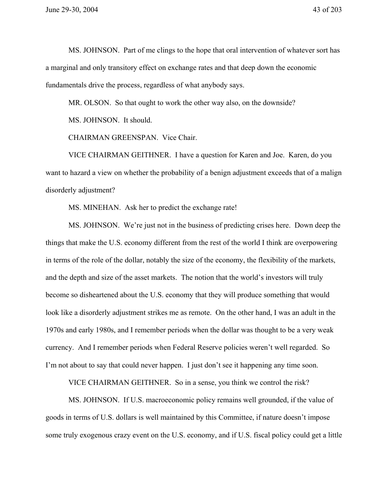MS. JOHNSON. Part of me clings to the hope that oral intervention of whatever sort has a marginal and only transitory effect on exchange rates and that deep down the economic fundamentals drive the process, regardless of what anybody says.

MR. OLSON. So that ought to work the other way also, on the downside?

MS. JOHNSON. It should.

CHAIRMAN GREENSPAN. Vice Chair.

VICE CHAIRMAN GEITHNER. I have a question for Karen and Joe. Karen, do you want to hazard a view on whether the probability of a benign adjustment exceeds that of a malign disorderly adjustment?

MS. MINEHAN. Ask her to predict the exchange rate!

MS. JOHNSON. We're just not in the business of predicting crises here. Down deep the things that make the U.S. economy different from the rest of the world I think are overpowering in terms of the role of the dollar, notably the size of the economy, the flexibility of the markets, and the depth and size of the asset markets. The notion that the world's investors will truly become so disheartened about the U.S. economy that they will produce something that would look like a disorderly adjustment strikes me as remote. On the other hand, I was an adult in the 1970s and early 1980s, and I remember periods when the dollar was thought to be a very weak currency. And I remember periods when Federal Reserve policies weren't well regarded. So I'm not about to say that could never happen. I just don't see it happening any time soon.

VICE CHAIRMAN GEITHNER. So in a sense, you think we control the risk?

MS. JOHNSON. If U.S. macroeconomic policy remains well grounded, if the value of goods in terms of U.S. dollars is well maintained by this Committee, if nature doesn't impose some truly exogenous crazy event on the U.S. economy, and if U.S. fiscal policy could get a little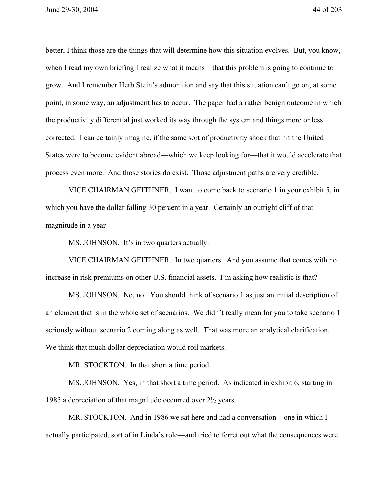better, I think those are the things that will determine how this situation evolves. But, you know, when I read my own briefing I realize what it means—that this problem is going to continue to grow. And I remember Herb Stein's admonition and say that this situation can't go on; at some point, in some way, an adjustment has to occur. The paper had a rather benign outcome in which the productivity differential just worked its way through the system and things more or less corrected. I can certainly imagine, if the same sort of productivity shock that hit the United States were to become evident abroad—which we keep looking for—that it would accelerate that process even more. And those stories do exist. Those adjustment paths are very credible.

VICE CHAIRMAN GEITHNER. I want to come back to scenario 1 in your exhibit 5, in which you have the dollar falling 30 percent in a year. Certainly an outright cliff of that magnitude in a year—

MS. JOHNSON. It's in two quarters actually.

VICE CHAIRMAN GEITHNER. In two quarters. And you assume that comes with no increase in risk premiums on other U.S. financial assets. I'm asking how realistic is that?

MS. JOHNSON. No, no. You should think of scenario 1 as just an initial description of an element that is in the whole set of scenarios. We didn't really mean for you to take scenario 1 seriously without scenario 2 coming along as well. That was more an analytical clarification. We think that much dollar depreciation would roil markets.

MR. STOCKTON. In that short a time period.

MS. JOHNSON. Yes, in that short a time period. As indicated in exhibit 6, starting in 1985 a depreciation of that magnitude occurred over 2½ years.

MR. STOCKTON. And in 1986 we sat here and had a conversation—one in which I actually participated, sort of in Linda's role—and tried to ferret out what the consequences were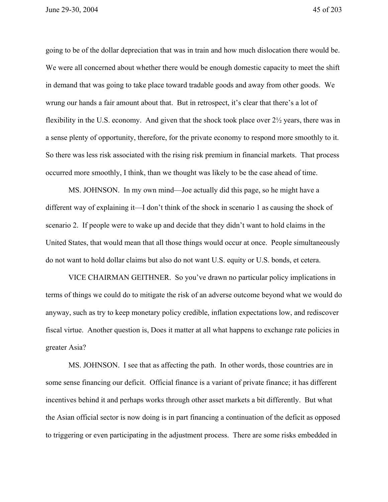June 29-30, 2004 45 of 203

going to be of the dollar depreciation that was in train and how much dislocation there would be. We were all concerned about whether there would be enough domestic capacity to meet the shift in demand that was going to take place toward tradable goods and away from other goods. We wrung our hands a fair amount about that. But in retrospect, it's clear that there's a lot of flexibility in the U.S. economy. And given that the shock took place over 2½ years, there was in a sense plenty of opportunity, therefore, for the private economy to respond more smoothly to it. So there was less risk associated with the rising risk premium in financial markets. That process occurred more smoothly, I think, than we thought was likely to be the case ahead of time.

MS. JOHNSON. In my own mind—Joe actually did this page, so he might have a different way of explaining it—I don't think of the shock in scenario 1 as causing the shock of scenario 2. If people were to wake up and decide that they didn't want to hold claims in the United States, that would mean that all those things would occur at once. People simultaneously do not want to hold dollar claims but also do not want U.S. equity or U.S. bonds, et cetera.

VICE CHAIRMAN GEITHNER. So you've drawn no particular policy implications in terms of things we could do to mitigate the risk of an adverse outcome beyond what we would do anyway, such as try to keep monetary policy credible, inflation expectations low, and rediscover fiscal virtue. Another question is, Does it matter at all what happens to exchange rate policies in greater Asia?

MS. JOHNSON. I see that as affecting the path. In other words, those countries are in some sense financing our deficit. Official finance is a variant of private finance; it has different incentives behind it and perhaps works through other asset markets a bit differently. But what the Asian official sector is now doing is in part financing a continuation of the deficit as opposed to triggering or even participating in the adjustment process. There are some risks embedded in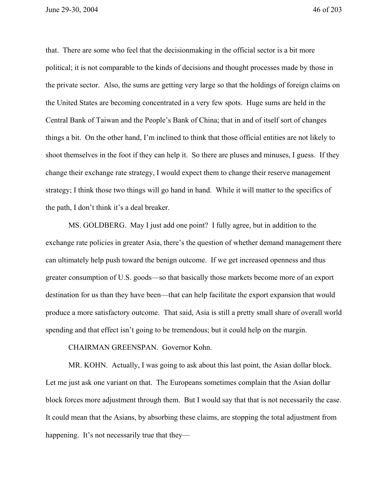June 29-30, 2004 46 of 203

that. There are some who feel that the decisionmaking in the official sector is a bit more political; it is not comparable to the kinds of decisions and thought processes made by those in the private sector. Also, the sums are getting very large so that the holdings of foreign claims on the United States are becoming concentrated in a very few spots. Huge sums are held in the Central Bank of Taiwan and the People's Bank of China; that in and of itself sort of changes things a bit. On the other hand, I'm inclined to think that those official entities are not likely to shoot themselves in the foot if they can help it. So there are pluses and minuses, I guess. If they change their exchange rate strategy, I would expect them to change their reserve management strategy; I think those two things will go hand in hand. While it will matter to the specifics of the path, I don't think it's a deal breaker.

MS. GOLDBERG. May I just add one point? I fully agree, but in addition to the exchange rate policies in greater Asia, there's the question of whether demand management there can ultimately help push toward the benign outcome. If we get increased openness and thus greater consumption of U.S. goods—so that basically those markets become more of an export destination for us than they have been—that can help facilitate the export expansion that would produce a more satisfactory outcome. That said, Asia is still a pretty small share of overall world spending and that effect isn't going to be tremendous; but it could help on the margin.

CHAIRMAN GREENSPAN. Governor Kohn.

MR. KOHN. Actually, I was going to ask about this last point, the Asian dollar block. Let me just ask one variant on that. The Europeans sometimes complain that the Asian dollar block forces more adjustment through them. But I would say that that is not necessarily the case. It could mean that the Asians, by absorbing these claims, are stopping the total adjustment from happening. It's not necessarily true that they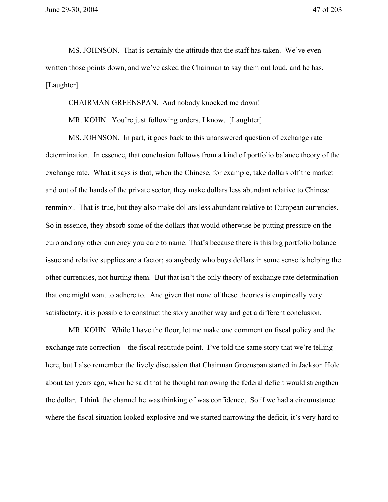June 29-30, 2004 47 of 203

MS. JOHNSON. That is certainly the attitude that the staff has taken. We've even written those points down, and we've asked the Chairman to say them out loud, and he has. [Laughter]

CHAIRMAN GREENSPAN. And nobody knocked me down!

MR. KOHN. You're just following orders, I know. [Laughter]

MS. JOHNSON. In part, it goes back to this unanswered question of exchange rate determination. In essence, that conclusion follows from a kind of portfolio balance theory of the exchange rate. What it says is that, when the Chinese, for example, take dollars off the market and out of the hands of the private sector, they make dollars less abundant relative to Chinese renminbi. That is true, but they also make dollars less abundant relative to European currencies. So in essence, they absorb some of the dollars that would otherwise be putting pressure on the euro and any other currency you care to name. That's because there is this big portfolio balance issue and relative supplies are a factor; so anybody who buys dollars in some sense is helping the other currencies, not hurting them. But that isn't the only theory of exchange rate determination that one might want to adhere to. And given that none of these theories is empirically very satisfactory, it is possible to construct the story another way and get a different conclusion.

MR. KOHN. While I have the floor, let me make one comment on fiscal policy and the exchange rate correction—the fiscal rectitude point. I've told the same story that we're telling here, but I also remember the lively discussion that Chairman Greenspan started in Jackson Hole about ten years ago, when he said that he thought narrowing the federal deficit would strengthen the dollar. I think the channel he was thinking of was confidence. So if we had a circumstance where the fiscal situation looked explosive and we started narrowing the deficit, it's very hard to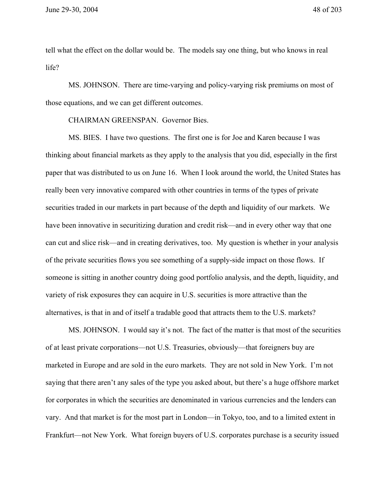tell what the effect on the dollar would be. The models say one thing, but who knows in real life?

MS. JOHNSON. There are time-varying and policy-varying risk premiums on most of those equations, and we can get different outcomes.

CHAIRMAN GREENSPAN. Governor Bies.

MS. BIES. I have two questions. The first one is for Joe and Karen because I was thinking about financial markets as they apply to the analysis that you did, especially in the first paper that was distributed to us on June 16. When I look around the world, the United States has really been very innovative compared with other countries in terms of the types of private securities traded in our markets in part because of the depth and liquidity of our markets. We have been innovative in securitizing duration and credit risk—and in every other way that one can cut and slice risk—and in creating derivatives, too. My question is whether in your analysis of the private securities flows you see something of a supply-side impact on those flows. If someone is sitting in another country doing good portfolio analysis, and the depth, liquidity, and variety of risk exposures they can acquire in U.S. securities is more attractive than the alternatives, is that in and of itself a tradable good that attracts them to the U.S. markets?

MS. JOHNSON. I would say it's not. The fact of the matter is that most of the securities of at least private corporations—not U.S. Treasuries, obviously—that foreigners buy are marketed in Europe and are sold in the euro markets. They are not sold in New York. I'm not saying that there aren't any sales of the type you asked about, but there's a huge offshore market for corporates in which the securities are denominated in various currencies and the lenders can vary. And that market is for the most part in London—in Tokyo, too, and to a limited extent in Frankfurt—not New York. What foreign buyers of U.S. corporates purchase is a security issued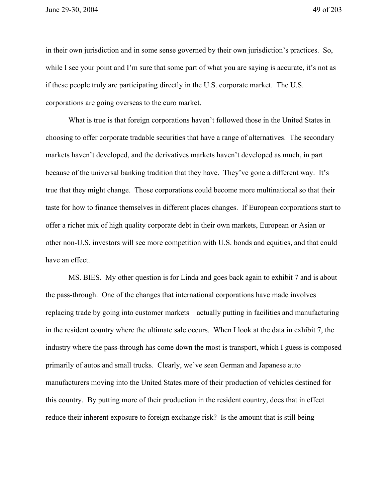in their own jurisdiction and in some sense governed by their own jurisdiction's practices. So, while I see your point and I'm sure that some part of what you are saying is accurate, it's not as if these people truly are participating directly in the U.S. corporate market. The U.S. corporations are going overseas to the euro market.

What is true is that foreign corporations haven't followed those in the United States in choosing to offer corporate tradable securities that have a range of alternatives. The secondary markets haven't developed, and the derivatives markets haven't developed as much, in part because of the universal banking tradition that they have. They've gone a different way. It's true that they might change. Those corporations could become more multinational so that their taste for how to finance themselves in different places changes. If European corporations start to offer a richer mix of high quality corporate debt in their own markets, European or Asian or other non-U.S. investors will see more competition with U.S. bonds and equities, and that could have an effect.

MS. BIES. My other question is for Linda and goes back again to exhibit 7 and is about the pass-through. One of the changes that international corporations have made involves replacing trade by going into customer markets—actually putting in facilities and manufacturing in the resident country where the ultimate sale occurs. When I look at the data in exhibit 7, the industry where the pass-through has come down the most is transport, which I guess is composed primarily of autos and small trucks. Clearly, we've seen German and Japanese auto manufacturers moving into the United States more of their production of vehicles destined for this country. By putting more of their production in the resident country, does that in effect reduce their inherent exposure to foreign exchange risk? Is the amount that is still being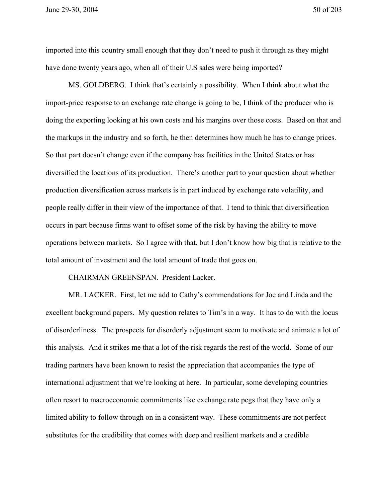imported into this country small enough that they don't need to push it through as they might have done twenty years ago, when all of their U.S sales were being imported?

MS. GOLDBERG. I think that's certainly a possibility. When I think about what the import-price response to an exchange rate change is going to be, I think of the producer who is doing the exporting looking at his own costs and his margins over those costs. Based on that and the markups in the industry and so forth, he then determines how much he has to change prices. So that part doesn't change even if the company has facilities in the United States or has diversified the locations of its production. There's another part to your question about whether production diversification across markets is in part induced by exchange rate volatility, and people really differ in their view of the importance of that. I tend to think that diversification occurs in part because firms want to offset some of the risk by having the ability to move operations between markets. So I agree with that, but I don't know how big that is relative to the total amount of investment and the total amount of trade that goes on.

## CHAIRMAN GREENSPAN. President Lacker.

MR. LACKER. First, let me add to Cathy's commendations for Joe and Linda and the excellent background papers. My question relates to Tim's in a way. It has to do with the locus of disorderliness. The prospects for disorderly adjustment seem to motivate and animate a lot of this analysis. And it strikes me that a lot of the risk regards the rest of the world. Some of our trading partners have been known to resist the appreciation that accompanies the type of international adjustment that we're looking at here. In particular, some developing countries often resort to macroeconomic commitments like exchange rate pegs that they have only a limited ability to follow through on in a consistent way. These commitments are not perfect substitutes for the credibility that comes with deep and resilient markets and a credible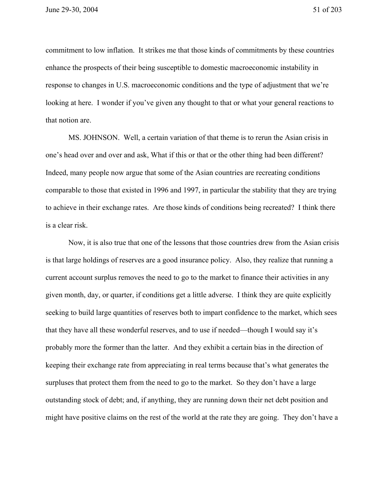commitment to low inflation. It strikes me that those kinds of commitments by these countries enhance the prospects of their being susceptible to domestic macroeconomic instability in response to changes in U.S. macroeconomic conditions and the type of adjustment that we're looking at here. I wonder if you've given any thought to that or what your general reactions to that notion are.

MS. JOHNSON. Well, a certain variation of that theme is to rerun the Asian crisis in one's head over and over and ask, What if this or that or the other thing had been different? Indeed, many people now argue that some of the Asian countries are recreating conditions comparable to those that existed in 1996 and 1997, in particular the stability that they are trying to achieve in their exchange rates. Are those kinds of conditions being recreated? I think there is a clear risk.

Now, it is also true that one of the lessons that those countries drew from the Asian crisis is that large holdings of reserves are a good insurance policy. Also, they realize that running a current account surplus removes the need to go to the market to finance their activities in any given month, day, or quarter, if conditions get a little adverse. I think they are quite explicitly seeking to build large quantities of reserves both to impart confidence to the market, which sees that they have all these wonderful reserves, and to use if needed—though I would say it's probably more the former than the latter. And they exhibit a certain bias in the direction of keeping their exchange rate from appreciating in real terms because that's what generates the surpluses that protect them from the need to go to the market. So they don't have a large outstanding stock of debt; and, if anything, they are running down their net debt position and might have positive claims on the rest of the world at the rate they are going. They don't have a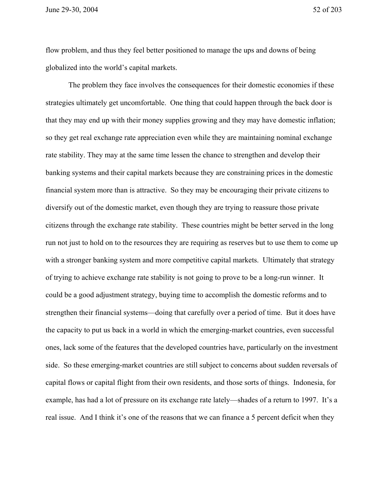June 29-30, 2004 52 of 203

flow problem, and thus they feel better positioned to manage the ups and downs of being globalized into the world's capital markets.

The problem they face involves the consequences for their domestic economies if these strategies ultimately get uncomfortable. One thing that could happen through the back door is that they may end up with their money supplies growing and they may have domestic inflation; so they get real exchange rate appreciation even while they are maintaining nominal exchange rate stability. They may at the same time lessen the chance to strengthen and develop their banking systems and their capital markets because they are constraining prices in the domestic financial system more than is attractive. So they may be encouraging their private citizens to diversify out of the domestic market, even though they are trying to reassure those private citizens through the exchange rate stability. These countries might be better served in the long run not just to hold on to the resources they are requiring as reserves but to use them to come up with a stronger banking system and more competitive capital markets. Ultimately that strategy of trying to achieve exchange rate stability is not going to prove to be a long-run winner. It could be a good adjustment strategy, buying time to accomplish the domestic reforms and to strengthen their financial systems—doing that carefully over a period of time. But it does have the capacity to put us back in a world in which the emerging-market countries, even successful ones, lack some of the features that the developed countries have, particularly on the investment side. So these emerging-market countries are still subject to concerns about sudden reversals of capital flows or capital flight from their own residents, and those sorts of things. Indonesia, for example, has had a lot of pressure on its exchange rate lately—shades of a return to 1997. It's a real issue. And I think it's one of the reasons that we can finance a 5 percent deficit when they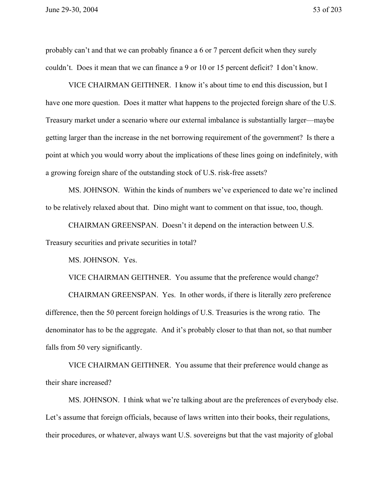probably can't and that we can probably finance a 6 or 7 percent deficit when they surely couldn't. Does it mean that we can finance a 9 or 10 or 15 percent deficit? I don't know.

VICE CHAIRMAN GEITHNER. I know it's about time to end this discussion, but I have one more question. Does it matter what happens to the projected foreign share of the U.S. Treasury market under a scenario where our external imbalance is substantially larger—maybe getting larger than the increase in the net borrowing requirement of the government? Is there a point at which you would worry about the implications of these lines going on indefinitely, with a growing foreign share of the outstanding stock of U.S. risk-free assets?

MS. JOHNSON. Within the kinds of numbers we've experienced to date we're inclined to be relatively relaxed about that. Dino might want to comment on that issue, too, though.

CHAIRMAN GREENSPAN. Doesn't it depend on the interaction between U.S. Treasury securities and private securities in total?

MS. JOHNSON. Yes.

VICE CHAIRMAN GEITHNER. You assume that the preference would change?

CHAIRMAN GREENSPAN. Yes. In other words, if there is literally zero preference difference, then the 50 percent foreign holdings of U.S. Treasuries is the wrong ratio. The denominator has to be the aggregate. And it's probably closer to that than not, so that number falls from 50 very significantly.

VICE CHAIRMAN GEITHNER. You assume that their preference would change as their share increased?

MS. JOHNSON. I think what we're talking about are the preferences of everybody else. Let's assume that foreign officials, because of laws written into their books, their regulations, their procedures, or whatever, always want U.S. sovereigns but that the vast majority of global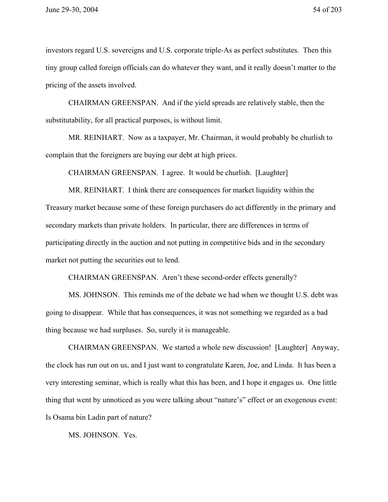investors regard U.S. sovereigns and U.S. corporate triple-As as perfect substitutes. Then this tiny group called foreign officials can do whatever they want, and it really doesn't matter to the pricing of the assets involved.

CHAIRMAN GREENSPAN. And if the yield spreads are relatively stable, then the substitutability, for all practical purposes, is without limit.

MR. REINHART. Now as a taxpayer, Mr. Chairman, it would probably be churlish to complain that the foreigners are buying our debt at high prices.

CHAIRMAN GREENSPAN. I agree. It would be churlish. [Laughter]

MR. REINHART. I think there are consequences for market liquidity within the Treasury market because some of these foreign purchasers do act differently in the primary and secondary markets than private holders. In particular, there are differences in terms of participating directly in the auction and not putting in competitive bids and in the secondary market not putting the securities out to lend.

CHAIRMAN GREENSPAN. Aren't these second-order effects generally?

MS. JOHNSON. This reminds me of the debate we had when we thought U.S. debt was going to disappear. While that has consequences, it was not something we regarded as a bad thing because we had surpluses. So, surely it is manageable.

CHAIRMAN GREENSPAN. We started a whole new discussion! [Laughter] Anyway, the clock has run out on us, and I just want to congratulate Karen, Joe, and Linda. It has been a very interesting seminar, which is really what this has been, and I hope it engages us. One little thing that went by unnoticed as you were talking about "nature's" effect or an exogenous event: Is Osama bin Ladin part of nature?

MS. JOHNSON. Yes.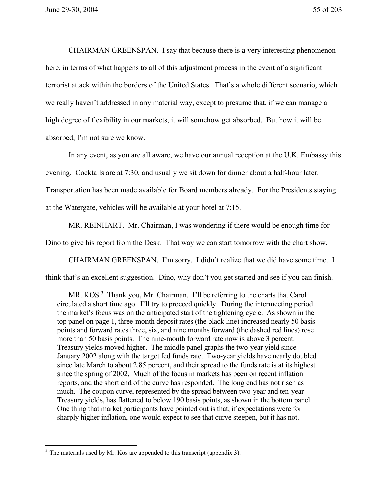CHAIRMAN GREENSPAN. I say that because there is a very interesting phenomenon here, in terms of what happens to all of this adjustment process in the event of a significant terrorist attack within the borders of the United States. That's a whole different scenario, which we really haven't addressed in any material way, except to presume that, if we can manage a high degree of flexibility in our markets, it will somehow get absorbed. But how it will be absorbed, I'm not sure we know.

In any event, as you are all aware, we have our annual reception at the U.K. Embassy this evening. Cocktails are at 7:30, and usually we sit down for dinner about a half-hour later. Transportation has been made available for Board members already. For the Presidents staying at the Watergate, vehicles will be available at your hotel at 7:15.

MR. REINHART. Mr. Chairman, I was wondering if there would be enough time for

Dino to give his report from the Desk. That way we can start tomorrow with the chart show.

CHAIRMAN GREENSPAN. I'm sorry. I didn't realize that we did have some time. I

think that's an excellent suggestion. Dino, why don't you get started and see if you can finish.

MR.  $KOS<sup>3</sup>$  Thank you, Mr. Chairman. I'll be referring to the charts that Carol circulated a short time ago. I'll try to proceed quickly. During the intermeeting period the market's focus was on the anticipated start of the tightening cycle. As shown in the top panel on page 1, three-month deposit rates (the black line) increased nearly 50 basis points and forward rates three, six, and nine months forward (the dashed red lines) rose more than 50 basis points. The nine-month forward rate now is above 3 percent. Treasury yields moved higher. The middle panel graphs the two-year yield since January 2002 along with the target fed funds rate. Two-year yields have nearly doubled since late March to about 2.85 percent, and their spread to the funds rate is at its highest since the spring of 2002. Much of the focus in markets has been on recent inflation reports, and the short end of the curve has responded. The long end has not risen as much. The coupon curve, represented by the spread between two-year and ten-year Treasury yields, has flattened to below 190 basis points, as shown in the bottom panel. One thing that market participants have pointed out is that, if expectations were for sharply higher inflation, one would expect to see that curve steepen, but it has not.

 $\overline{a}$ 

 $3$  The materials used by Mr. Kos are appended to this transcript (appendix 3).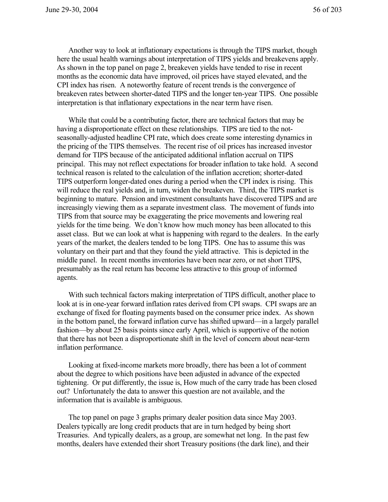Another way to look at inflationary expectations is through the TIPS market, though here the usual health warnings about interpretation of TIPS yields and breakevens apply. As shown in the top panel on page 2, breakeven yields have tended to rise in recent months as the economic data have improved, oil prices have stayed elevated, and the CPI index has risen. A noteworthy feature of recent trends is the convergence of breakeven rates between shorter-dated TIPS and the longer ten-year TIPS. One possible interpretation is that inflationary expectations in the near term have risen.

While that could be a contributing factor, there are technical factors that may be having a disproportionate effect on these relationships. TIPS are tied to the notseasonally-adjusted headline CPI rate, which does create some interesting dynamics in the pricing of the TIPS themselves. The recent rise of oil prices has increased investor demand for TIPS because of the anticipated additional inflation accrual on TIPS principal. This may not reflect expectations for broader inflation to take hold. A second technical reason is related to the calculation of the inflation accretion; shorter-dated TIPS outperform longer-dated ones during a period when the CPI index is rising. This will reduce the real yields and, in turn, widen the breakeven. Third, the TIPS market is beginning to mature. Pension and investment consultants have discovered TIPS and are increasingly viewing them as a separate investment class. The movement of funds into TIPS from that source may be exaggerating the price movements and lowering real yields for the time being. We don't know how much money has been allocated to this asset class. But we can look at what is happening with regard to the dealers. In the early years of the market, the dealers tended to be long TIPS. One has to assume this was voluntary on their part and that they found the yield attractive. This is depicted in the middle panel. In recent months inventories have been near zero, or net short TIPS, presumably as the real return has become less attractive to this group of informed agents.

With such technical factors making interpretation of TIPS difficult, another place to look at is in one-year forward inflation rates derived from CPI swaps. CPI swaps are an exchange of fixed for floating payments based on the consumer price index. As shown in the bottom panel, the forward inflation curve has shifted upward—in a largely parallel fashion—by about 25 basis points since early April, which is supportive of the notion that there has not been a disproportionate shift in the level of concern about near-term inflation performance.

Looking at fixed-income markets more broadly, there has been a lot of comment about the degree to which positions have been adjusted in advance of the expected tightening. Or put differently, the issue is, How much of the carry trade has been closed out? Unfortunately the data to answer this question are not available, and the information that is available is ambiguous.

The top panel on page 3 graphs primary dealer position data since May 2003. Dealers typically are long credit products that are in turn hedged by being short Treasuries. And typically dealers, as a group, are somewhat net long. In the past few months, dealers have extended their short Treasury positions (the dark line), and their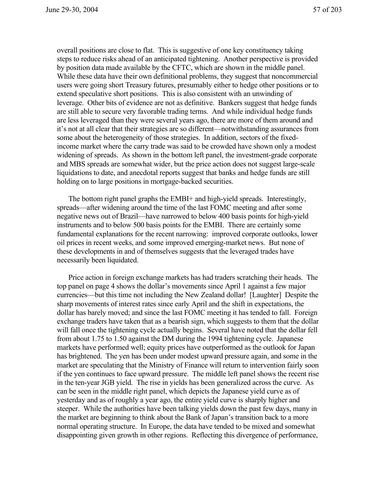overall positions are close to flat. This is suggestive of one key constituency taking steps to reduce risks ahead of an anticipated tightening. Another perspective is provided by position data made available by the CFTC, which are shown in the middle panel. While these data have their own definitional problems, they suggest that noncommercial users were going short Treasury futures, presumably either to hedge other positions or to extend speculative short positions. This is also consistent with an unwinding of leverage. Other bits of evidence are not as definitive. Bankers suggest that hedge funds are still able to secure very favorable trading terms. And while individual hedge funds are less leveraged than they were several years ago, there are more of them around and it's not at all clear that their strategies are so different—notwithstanding assurances from some about the heterogeneity of those strategies. In addition, sectors of the fixedincome market where the carry trade was said to be crowded have shown only a modest widening of spreads. As shown in the bottom left panel, the investment-grade corporate and MBS spreads are somewhat wider, but the price action does not suggest large-scale liquidations to date, and anecdotal reports suggest that banks and hedge funds are still holding on to large positions in mortgage-backed securities.

The bottom right panel graphs the EMBI+ and high-yield spreads. Interestingly, spreads—after widening around the time of the last FOMC meeting and after some negative news out of Brazil—have narrowed to below 400 basis points for high-yield instruments and to below 500 basis points for the EMBI. There are certainly some fundamental explanations for the recent narrowing: improved corporate outlooks, lower oil prices in recent weeks, and some improved emerging-market news. But none of these developments in and of themselves suggests that the leveraged trades have necessarily been liquidated.

Price action in foreign exchange markets has had traders scratching their heads. The top panel on page 4 shows the dollar's movements since April 1 against a few major currencies—but this time not including the New Zealand dollar! [Laughter] Despite the sharp movements of interest rates since early April and the shift in expectations, the dollar has barely moved; and since the last FOMC meeting it has tended to fall. Foreign exchange traders have taken that as a bearish sign, which suggests to them that the dollar will fall once the tightening cycle actually begins. Several have noted that the dollar fell from about 1.75 to 1.50 against the DM during the 1994 tightening cycle. Japanese markets have performed well; equity prices have outperformed as the outlook for Japan has brightened. The yen has been under modest upward pressure again, and some in the market are speculating that the Ministry of Finance will return to intervention fairly soon if the yen continues to face upward pressure. The middle left panel shows the recent rise in the ten-year JGB yield. The rise in yields has been generalized across the curve. As can be seen in the middle right panel, which depicts the Japanese yield curve as of yesterday and as of roughly a year ago, the entire yield curve is sharply higher and steeper. While the authorities have been talking yields down the past few days, many in the market are beginning to think about the Bank of Japan's transition back to a more normal operating structure. In Europe, the data have tended to be mixed and somewhat disappointing given growth in other regions. Reflecting this divergence of performance,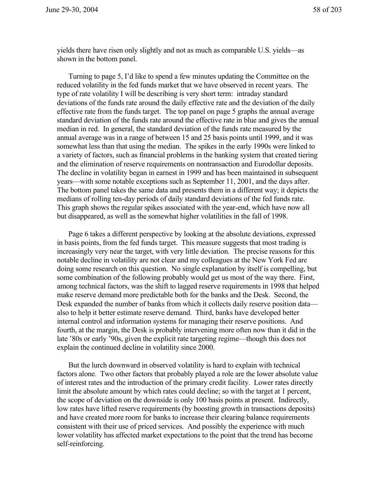yields there have risen only slightly and not as much as comparable U.S. yields—as shown in the bottom panel.

Turning to page 5, I'd like to spend a few minutes updating the Committee on the reduced volatility in the fed funds market that we have observed in recent years. The type of rate volatility I will be describing is very short term: intraday standard deviations of the funds rate around the daily effective rate and the deviation of the daily effective rate from the funds target. The top panel on page 5 graphs the annual average standard deviation of the funds rate around the effective rate in blue and gives the annual median in red. In general, the standard deviation of the funds rate measured by the annual average was in a range of between 15 and 25 basis points until 1999, and it was somewhat less than that using the median. The spikes in the early 1990s were linked to a variety of factors, such as financial problems in the banking system that created tiering and the elimination of reserve requirements on nontransaction and Eurodollar deposits. The decline in volatility began in earnest in 1999 and has been maintained in subsequent years—with some notable exceptions such as September 11, 2001, and the days after. The bottom panel takes the same data and presents them in a different way; it depicts the medians of rolling ten-day periods of daily standard deviations of the fed funds rate. This graph shows the regular spikes associated with the year-end, which have now all but disappeared, as well as the somewhat higher volatilities in the fall of 1998.

Page 6 takes a different perspective by looking at the absolute deviations, expressed in basis points, from the fed funds target. This measure suggests that most trading is increasingly very near the target, with very little deviation. The precise reasons for this notable decline in volatility are not clear and my colleagues at the New York Fed are doing some research on this question. No single explanation by itself is compelling, but some combination of the following probably would get us most of the way there. First, among technical factors, was the shift to lagged reserve requirements in 1998 that helped make reserve demand more predictable both for the banks and the Desk. Second, the Desk expanded the number of banks from which it collects daily reserve position data also to help it better estimate reserve demand. Third, banks have developed better internal control and information systems for managing their reserve positions. And fourth, at the margin, the Desk is probably intervening more often now than it did in the late '80s or early '90s, given the explicit rate targeting regime—though this does not explain the continued decline in volatility since 2000.

But the lurch downward in observed volatility is hard to explain with technical factors alone. Two other factors that probably played a role are the lower absolute value of interest rates and the introduction of the primary credit facility. Lower rates directly limit the absolute amount by which rates could decline; so with the target at 1 percent, the scope of deviation on the downside is only 100 basis points at present. Indirectly, low rates have lifted reserve requirements (by boosting growth in transactions deposits) and have created more room for banks to increase their clearing balance requirements consistent with their use of priced services. And possibly the experience with much lower volatility has affected market expectations to the point that the trend has become self-reinforcing.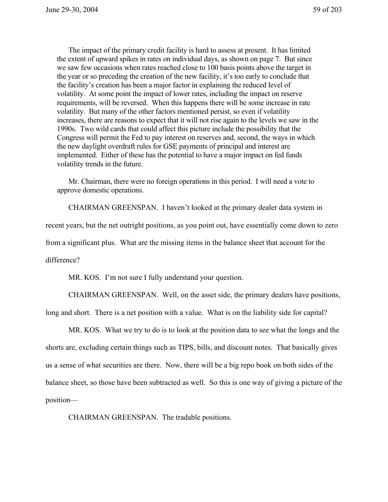The impact of the primary credit facility is hard to assess at present. It has limited the extent of upward spikes in rates on individual days, as shown on page 7. But since we saw few occasions when rates reached close to 100 basis points above the target in the year or so preceding the creation of the new facility, it's too early to conclude that the facility's creation has been a major factor in explaining the reduced level of volatility. At some point the impact of lower rates, including the impact on reserve requirements, will be reversed. When this happens there will be some increase in rate volatility. But many of the other factors mentioned persist, so even if volatility increases, there are reasons to expect that it will not rise again to the levels we saw in the 1990s. Two wild cards that could affect this picture include the possibility that the Congress will permit the Fed to pay interest on reserves and, second, the ways in which the new daylight overdraft rules for GSE payments of principal and interest are implemented. Either of these has the potential to have a major impact on fed funds volatility trends in the future.

Mr. Chairman, there were no foreign operations in this period. I will need a vote to approve domestic operations.

CHAIRMAN GREENSPAN. I haven't looked at the primary dealer data system in

recent years, but the net outright positions, as you point out, have essentially come down to zero

from a significant plus. What are the missing items in the balance sheet that account for the

difference?

MR. KOS. I'm not sure I fully understand your question.

CHAIRMAN GREENSPAN. Well, on the asset side, the primary dealers have positions, long and short. There is a net position with a value. What is on the liability side for capital?

MR. KOS. What we try to do is to look at the position data to see what the longs and the shorts are, excluding certain things such as TIPS, bills, and discount notes. That basically gives us a sense of what securities are there. Now, there will be a big repo book on both sides of the balance sheet, so those have been subtracted as well. So this is one way of giving a picture of the position—

CHAIRMAN GREENSPAN. The tradable positions.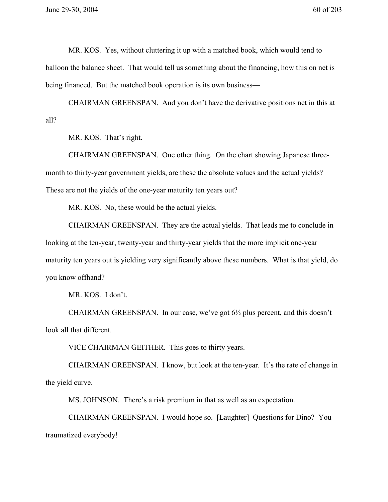MR. KOS. Yes, without cluttering it up with a matched book, which would tend to balloon the balance sheet. That would tell us something about the financing, how this on net is being financed. But the matched book operation is its own business—

CHAIRMAN GREENSPAN. And you don't have the derivative positions net in this at all?

MR. KOS. That's right.

CHAIRMAN GREENSPAN. One other thing. On the chart showing Japanese threemonth to thirty-year government yields, are these the absolute values and the actual yields? These are not the yields of the one-year maturity ten years out?

MR. KOS. No, these would be the actual yields.

CHAIRMAN GREENSPAN. They are the actual yields. That leads me to conclude in looking at the ten-year, twenty-year and thirty-year yields that the more implicit one-year maturity ten years out is yielding very significantly above these numbers. What is that yield, do you know offhand?

MR. KOS. I don't.

CHAIRMAN GREENSPAN. In our case, we've got 6½ plus percent, and this doesn't look all that different.

VICE CHAIRMAN GEITHER. This goes to thirty years.

CHAIRMAN GREENSPAN. I know, but look at the ten-year. It's the rate of change in the yield curve.

MS. JOHNSON. There's a risk premium in that as well as an expectation.

CHAIRMAN GREENSPAN. I would hope so. [Laughter] Questions for Dino? You traumatized everybody!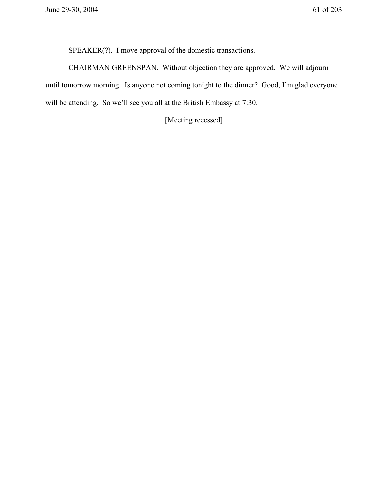SPEAKER(?). I move approval of the domestic transactions.

CHAIRMAN GREENSPAN. Without objection they are approved. We will adjourn until tomorrow morning. Is anyone not coming tonight to the dinner? Good, I'm glad everyone will be attending. So we'll see you all at the British Embassy at 7:30.

[Meeting recessed]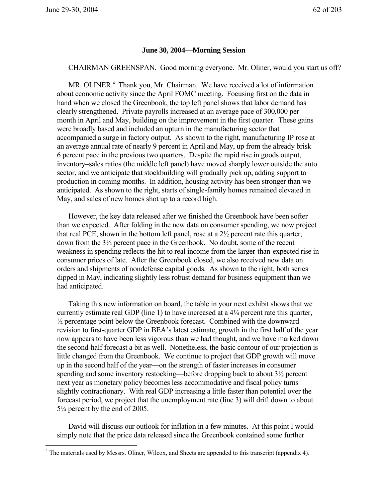$\overline{a}$ 

## **June 30, 2004—Morning Session**

CHAIRMAN GREENSPAN. Good morning everyone. Mr. Oliner, would you start us off?

MR. OLINER.<sup>4</sup> Thank you, Mr. Chairman. We have received a lot of information about economic activity since the April FOMC meeting. Focusing first on the data in hand when we closed the Greenbook, the top left panel shows that labor demand has clearly strengthened. Private payrolls increased at an average pace of 300,000 per month in April and May, building on the improvement in the first quarter. These gains were broadly based and included an upturn in the manufacturing sector that accompanied a surge in factory output. As shown to the right, manufacturing IP rose at an average annual rate of nearly 9 percent in April and May, up from the already brisk 6 percent pace in the previous two quarters. Despite the rapid rise in goods output, inventory–sales ratios (the middle left panel) have moved sharply lower outside the auto sector, and we anticipate that stockbuilding will gradually pick up, adding support to production in coming months. In addition, housing activity has been stronger than we anticipated. As shown to the right, starts of single-family homes remained elevated in May, and sales of new homes shot up to a record high.

However, the key data released after we finished the Greenbook have been softer than we expected. After folding in the new data on consumer spending, we now project that real PCE, shown in the bottom left panel, rose at a 2½ percent rate this quarter, down from the 3½ percent pace in the Greenbook. No doubt, some of the recent weakness in spending reflects the hit to real income from the larger-than-expected rise in consumer prices of late. After the Greenbook closed, we also received new data on orders and shipments of nondefense capital goods. As shown to the right, both series dipped in May, indicating slightly less robust demand for business equipment than we had anticipated.

Taking this new information on board, the table in your next exhibit shows that we currently estimate real GDP (line 1) to have increased at a 4¼ percent rate this quarter,  $\frac{1}{2}$  percentage point below the Greenbook forecast. Combined with the downward revision to first-quarter GDP in BEA's latest estimate, growth in the first half of the year now appears to have been less vigorous than we had thought, and we have marked down the second-half forecast a bit as well. Nonetheless, the basic contour of our projection is little changed from the Greenbook. We continue to project that GDP growth will move up in the second half of the year—on the strength of faster increases in consumer spending and some inventory restocking—before dropping back to about 3½ percent next year as monetary policy becomes less accommodative and fiscal policy turns slightly contractionary. With real GDP increasing a little faster than potential over the forecast period, we project that the unemployment rate (line 3) will drift down to about 5¼ percent by the end of 2005.

David will discuss our outlook for inflation in a few minutes. At this point I would simply note that the price data released since the Greenbook contained some further

<sup>&</sup>lt;sup>4</sup> The materials used by Messrs. Oliner, Wilcox, and Sheets are appended to this transcript (appendix 4).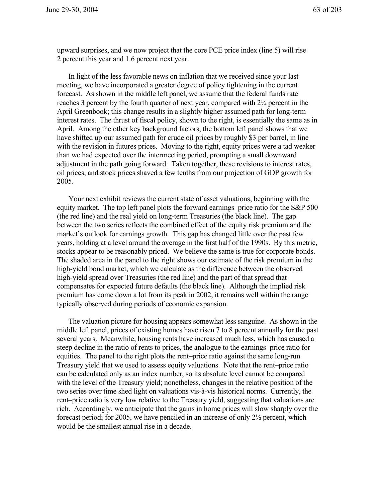upward surprises, and we now project that the core PCE price index (line 5) will rise 2 percent this year and 1.6 percent next year.

In light of the less favorable news on inflation that we received since your last meeting, we have incorporated a greater degree of policy tightening in the current forecast. As shown in the middle left panel, we assume that the federal funds rate reaches 3 percent by the fourth quarter of next year, compared with 2¼ percent in the April Greenbook; this change results in a slightly higher assumed path for long-term interest rates. The thrust of fiscal policy, shown to the right, is essentially the same as in April. Among the other key background factors, the bottom left panel shows that we have shifted up our assumed path for crude oil prices by roughly \$3 per barrel, in line with the revision in futures prices. Moving to the right, equity prices were a tad weaker than we had expected over the intermeeting period, prompting a small downward adjustment in the path going forward. Taken together, these revisions to interest rates, oil prices, and stock prices shaved a few tenths from our projection of GDP growth for 2005.

Your next exhibit reviews the current state of asset valuations, beginning with the equity market. The top left panel plots the forward earnings–price ratio for the S&P 500 (the red line) and the real yield on long-term Treasuries (the black line). The gap between the two series reflects the combined effect of the equity risk premium and the market's outlook for earnings growth. This gap has changed little over the past few years, holding at a level around the average in the first half of the 1990s. By this metric, stocks appear to be reasonably priced. We believe the same is true for corporate bonds. The shaded area in the panel to the right shows our estimate of the risk premium in the high-yield bond market, which we calculate as the difference between the observed high-yield spread over Treasuries (the red line) and the part of that spread that compensates for expected future defaults (the black line). Although the implied risk premium has come down a lot from its peak in 2002, it remains well within the range typically observed during periods of economic expansion.

The valuation picture for housing appears somewhat less sanguine. As shown in the middle left panel, prices of existing homes have risen 7 to 8 percent annually for the past several years. Meanwhile, housing rents have increased much less, which has caused a steep decline in the ratio of rents to prices, the analogue to the earnings–price ratio for equities. The panel to the right plots the rent–price ratio against the same long-run Treasury yield that we used to assess equity valuations. Note that the rent–price ratio can be calculated only as an index number, so its absolute level cannot be compared with the level of the Treasury yield; nonetheless, changes in the relative position of the two series over time shed light on valuations vis-à-vis historical norms. Currently, the rent–price ratio is very low relative to the Treasury yield, suggesting that valuations are rich. Accordingly, we anticipate that the gains in home prices will slow sharply over the forecast period; for 2005, we have penciled in an increase of only 2½ percent, which would be the smallest annual rise in a decade.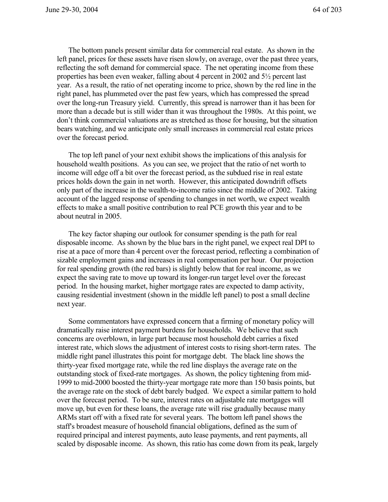The bottom panels present similar data for commercial real estate. As shown in the left panel, prices for these assets have risen slowly, on average, over the past three years, reflecting the soft demand for commercial space. The net operating income from these properties has been even weaker, falling about 4 percent in 2002 and 5½ percent last year. As a result, the ratio of net operating income to price, shown by the red line in the right panel, has plummeted over the past few years, which has compressed the spread over the long-run Treasury yield. Currently, this spread is narrower than it has been for more than a decade but is still wider than it was throughout the 1980s. At this point, we don't think commercial valuations are as stretched as those for housing, but the situation bears watching, and we anticipate only small increases in commercial real estate prices over the forecast period.

The top left panel of your next exhibit shows the implications of this analysis for household wealth positions. As you can see, we project that the ratio of net worth to income will edge off a bit over the forecast period, as the subdued rise in real estate prices holds down the gain in net worth. However, this anticipated downdrift offsets only part of the increase in the wealth-to-income ratio since the middle of 2002. Taking account of the lagged response of spending to changes in net worth, we expect wealth effects to make a small positive contribution to real PCE growth this year and to be about neutral in 2005.

The key factor shaping our outlook for consumer spending is the path for real disposable income. As shown by the blue bars in the right panel, we expect real DPI to rise at a pace of more than 4 percent over the forecast period, reflecting a combination of sizable employment gains and increases in real compensation per hour. Our projection for real spending growth (the red bars) is slightly below that for real income, as we expect the saving rate to move up toward its longer-run target level over the forecast period. In the housing market, higher mortgage rates are expected to damp activity, causing residential investment (shown in the middle left panel) to post a small decline next year.

Some commentators have expressed concern that a firming of monetary policy will dramatically raise interest payment burdens for households. We believe that such concerns are overblown, in large part because most household debt carries a fixed interest rate, which slows the adjustment of interest costs to rising short-term rates. The middle right panel illustrates this point for mortgage debt. The black line shows the thirty-year fixed mortgage rate, while the red line displays the average rate on the outstanding stock of fixed-rate mortgages. As shown, the policy tightening from mid-1999 to mid-2000 boosted the thirty-year mortgage rate more than 150 basis points, but the average rate on the stock of debt barely budged. We expect a similar pattern to hold over the forecast period. To be sure, interest rates on adjustable rate mortgages will move up, but even for these loans, the average rate will rise gradually because many ARMs start off with a fixed rate for several years. The bottom left panel shows the staff's broadest measure of household financial obligations, defined as the sum of required principal and interest payments, auto lease payments, and rent payments, all scaled by disposable income. As shown, this ratio has come down from its peak, largely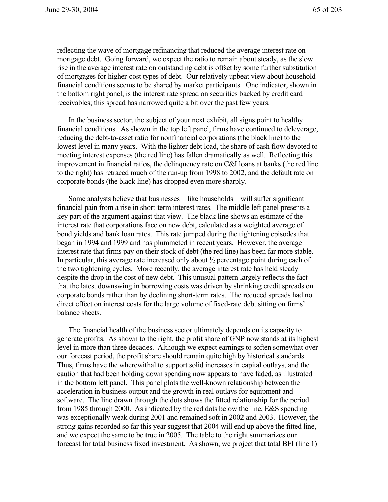reflecting the wave of mortgage refinancing that reduced the average interest rate on mortgage debt. Going forward, we expect the ratio to remain about steady, as the slow rise in the average interest rate on outstanding debt is offset by some further substitution of mortgages for higher-cost types of debt. Our relatively upbeat view about household financial conditions seems to be shared by market participants. One indicator, shown in the bottom right panel, is the interest rate spread on securities backed by credit card receivables; this spread has narrowed quite a bit over the past few years.

In the business sector, the subject of your next exhibit, all signs point to healthy financial conditions. As shown in the top left panel, firms have continued to deleverage, reducing the debt-to-asset ratio for nonfinancial corporations (the black line) to the lowest level in many years. With the lighter debt load, the share of cash flow devoted to meeting interest expenses (the red line) has fallen dramatically as well. Reflecting this improvement in financial ratios, the delinquency rate on C&I loans at banks (the red line to the right) has retraced much of the run-up from 1998 to 2002, and the default rate on corporate bonds (the black line) has dropped even more sharply.

Some analysts believe that businesses—like households—will suffer significant financial pain from a rise in short-term interest rates. The middle left panel presents a key part of the argument against that view. The black line shows an estimate of the interest rate that corporations face on new debt, calculated as a weighted average of bond yields and bank loan rates. This rate jumped during the tightening episodes that began in 1994 and 1999 and has plummeted in recent years. However, the average interest rate that firms pay on their stock of debt (the red line) has been far more stable. In particular, this average rate increased only about  $\frac{1}{2}$  percentage point during each of the two tightening cycles. More recently, the average interest rate has held steady despite the drop in the cost of new debt. This unusual pattern largely reflects the fact that the latest downswing in borrowing costs was driven by shrinking credit spreads on corporate bonds rather than by declining short-term rates. The reduced spreads had no direct effect on interest costs for the large volume of fixed-rate debt sitting on firms' balance sheets.

The financial health of the business sector ultimately depends on its capacity to generate profits. As shown to the right, the profit share of GNP now stands at its highest level in more than three decades. Although we expect earnings to soften somewhat over our forecast period, the profit share should remain quite high by historical standards. Thus, firms have the wherewithal to support solid increases in capital outlays, and the caution that had been holding down spending now appears to have faded, as illustrated in the bottom left panel. This panel plots the well-known relationship between the acceleration in business output and the growth in real outlays for equipment and software. The line drawn through the dots shows the fitted relationship for the period from 1985 through 2000. As indicated by the red dots below the line, E&S spending was exceptionally weak during 2001 and remained soft in 2002 and 2003. However, the strong gains recorded so far this year suggest that 2004 will end up above the fitted line, and we expect the same to be true in 2005. The table to the right summarizes our forecast for total business fixed investment. As shown, we project that total BFI (line 1)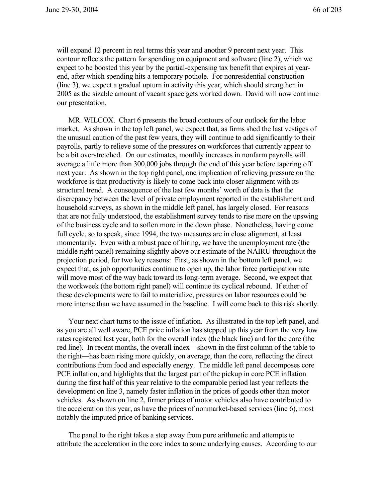will expand 12 percent in real terms this year and another 9 percent next year. This contour reflects the pattern for spending on equipment and software (line 2), which we expect to be boosted this year by the partial-expensing tax benefit that expires at yearend, after which spending hits a temporary pothole. For nonresidential construction (line 3), we expect a gradual upturn in activity this year, which should strengthen in 2005 as the sizable amount of vacant space gets worked down. David will now continue our presentation.

MR. WILCOX. Chart 6 presents the broad contours of our outlook for the labor market. As shown in the top left panel, we expect that, as firms shed the last vestiges of the unusual caution of the past few years, they will continue to add significantly to their payrolls, partly to relieve some of the pressures on workforces that currently appear to be a bit overstretched. On our estimates, monthly increases in nonfarm payrolls will average a little more than 300,000 jobs through the end of this year before tapering off next year. As shown in the top right panel, one implication of relieving pressure on the workforce is that productivity is likely to come back into closer alignment with its structural trend. A consequence of the last few months' worth of data is that the discrepancy between the level of private employment reported in the establishment and household surveys, as shown in the middle left panel, has largely closed. For reasons that are not fully understood, the establishment survey tends to rise more on the upswing of the business cycle and to soften more in the down phase. Nonetheless, having come full cycle, so to speak, since 1994, the two measures are in close alignment, at least momentarily. Even with a robust pace of hiring, we have the unemployment rate (the middle right panel) remaining slightly above our estimate of the NAIRU throughout the projection period, for two key reasons: First, as shown in the bottom left panel, we expect that, as job opportunities continue to open up, the labor force participation rate will move most of the way back toward its long-term average. Second, we expect that the workweek (the bottom right panel) will continue its cyclical rebound. If either of these developments were to fail to materialize, pressures on labor resources could be more intense than we have assumed in the baseline. I will come back to this risk shortly.

Your next chart turns to the issue of inflation. As illustrated in the top left panel, and as you are all well aware, PCE price inflation has stepped up this year from the very low rates registered last year, both for the overall index (the black line) and for the core (the red line). In recent months, the overall index—shown in the first column of the table to the right—has been rising more quickly, on average, than the core, reflecting the direct contributions from food and especially energy. The middle left panel decomposes core PCE inflation, and highlights that the largest part of the pickup in core PCE inflation during the first half of this year relative to the comparable period last year reflects the development on line 3, namely faster inflation in the prices of goods other than motor vehicles. As shown on line 2, firmer prices of motor vehicles also have contributed to the acceleration this year, as have the prices of nonmarket-based services (line 6), most notably the imputed price of banking services.

The panel to the right takes a step away from pure arithmetic and attempts to attribute the acceleration in the core index to some underlying causes. According to our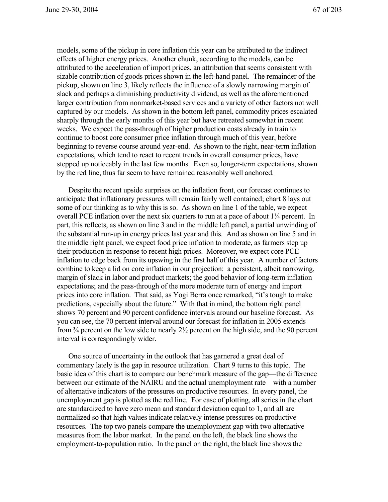models, some of the pickup in core inflation this year can be attributed to the indirect effects of higher energy prices. Another chunk, according to the models, can be attributed to the acceleration of import prices, an attribution that seems consistent with sizable contribution of goods prices shown in the left-hand panel. The remainder of the pickup, shown on line 3, likely reflects the influence of a slowly narrowing margin of slack and perhaps a diminishing productivity dividend, as well as the aforementioned larger contribution from nonmarket-based services and a variety of other factors not well captured by our models. As shown in the bottom left panel, commodity prices escalated sharply through the early months of this year but have retreated somewhat in recent weeks. We expect the pass-through of higher production costs already in train to continue to boost core consumer price inflation through much of this year, before beginning to reverse course around year-end. As shown to the right, near-term inflation expectations, which tend to react to recent trends in overall consumer prices, have stepped up noticeably in the last few months. Even so, longer-term expectations, shown by the red line, thus far seem to have remained reasonably well anchored.

Despite the recent upside surprises on the inflation front, our forecast continues to anticipate that inflationary pressures will remain fairly well contained; chart 8 lays out some of our thinking as to why this is so. As shown on line 1 of the table, we expect overall PCE inflation over the next six quarters to run at a pace of about 1¼ percent. In part, this reflects, as shown on line 3 and in the middle left panel, a partial unwinding of the substantial run-up in energy prices last year and this. And as shown on line 5 and in the middle right panel, we expect food price inflation to moderate, as farmers step up their production in response to recent high prices. Moreover, we expect core PCE inflation to edge back from its upswing in the first half of this year. A number of factors combine to keep a lid on core inflation in our projection: a persistent, albeit narrowing, margin of slack in labor and product markets; the good behavior of long-term inflation expectations; and the pass-through of the more moderate turn of energy and import prices into core inflation. That said, as Yogi Berra once remarked, "it's tough to make predictions, especially about the future." With that in mind, the bottom right panel shows 70 percent and 90 percent confidence intervals around our baseline forecast. As you can see, the 70 percent interval around our forecast for inflation in 2005 extends from  $\frac{3}{4}$  percent on the low side to nearly  $\frac{2\frac{1}{2}}{2}$  percent on the high side, and the 90 percent interval is correspondingly wider.

One source of uncertainty in the outlook that has garnered a great deal of commentary lately is the gap in resource utilization. Chart 9 turns to this topic. The basic idea of this chart is to compare our benchmark measure of the gap—the difference between our estimate of the NAIRU and the actual unemployment rate—with a number of alternative indicators of the pressures on productive resources. In every panel, the unemployment gap is plotted as the red line. For ease of plotting, all series in the chart are standardized to have zero mean and standard deviation equal to 1, and all are normalized so that high values indicate relatively intense pressures on productive resources. The top two panels compare the unemployment gap with two alternative measures from the labor market. In the panel on the left, the black line shows the employment-to-population ratio. In the panel on the right, the black line shows the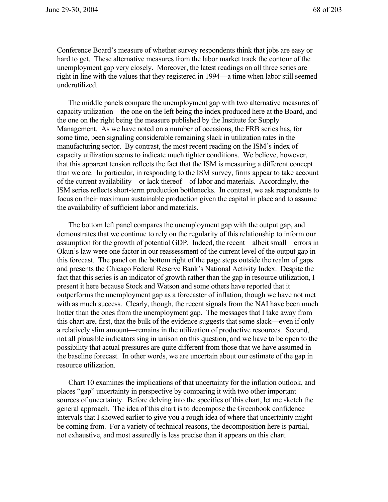Conference Board's measure of whether survey respondents think that jobs are easy or hard to get. These alternative measures from the labor market track the contour of the unemployment gap very closely. Moreover, the latest readings on all three series are right in line with the values that they registered in 1994—a time when labor still seemed underutilized.

The middle panels compare the unemployment gap with two alternative measures of capacity utilization—the one on the left being the index produced here at the Board, and the one on the right being the measure published by the Institute for Supply Management. As we have noted on a number of occasions, the FRB series has, for some time, been signaling considerable remaining slack in utilization rates in the manufacturing sector. By contrast, the most recent reading on the ISM's index of capacity utilization seems to indicate much tighter conditions. We believe, however, that this apparent tension reflects the fact that the ISM is measuring a different concept than we are. In particular, in responding to the ISM survey, firms appear to take account of the current availability—or lack thereof—of labor and materials. Accordingly, the ISM series reflects short-term production bottlenecks. In contrast, we ask respondents to focus on their maximum sustainable production given the capital in place and to assume the availability of sufficient labor and materials.

The bottom left panel compares the unemployment gap with the output gap, and demonstrates that we continue to rely on the regularity of this relationship to inform our assumption for the growth of potential GDP. Indeed, the recent—albeit small—errors in Okun's law were one factor in our reassessment of the current level of the output gap in this forecast. The panel on the bottom right of the page steps outside the realm of gaps and presents the Chicago Federal Reserve Bank's National Activity Index. Despite the fact that this series is an indicator of growth rather than the gap in resource utilization, I present it here because Stock and Watson and some others have reported that it outperforms the unemployment gap as a forecaster of inflation, though we have not met with as much success. Clearly, though, the recent signals from the NAI have been much hotter than the ones from the unemployment gap. The messages that I take away from this chart are, first, that the bulk of the evidence suggests that some slack—even if only a relatively slim amount—remains in the utilization of productive resources. Second, not all plausible indicators sing in unison on this question, and we have to be open to the possibility that actual pressures are quite different from those that we have assumed in the baseline forecast. In other words, we are uncertain about our estimate of the gap in resource utilization.

Chart 10 examines the implications of that uncertainty for the inflation outlook, and places "gap" uncertainty in perspective by comparing it with two other important sources of uncertainty. Before delving into the specifics of this chart, let me sketch the general approach. The idea of this chart is to decompose the Greenbook confidence intervals that I showed earlier to give you a rough idea of where that uncertainty might be coming from. For a variety of technical reasons, the decomposition here is partial, not exhaustive, and most assuredly is less precise than it appears on this chart.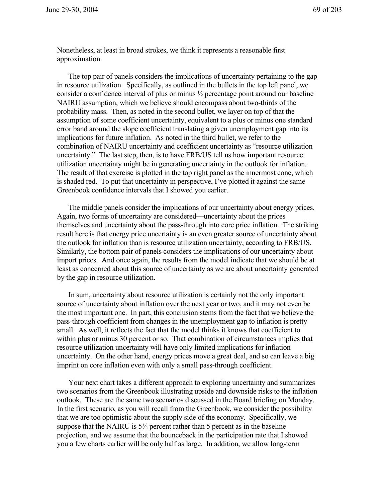Nonetheless, at least in broad strokes, we think it represents a reasonable first approximation.

The top pair of panels considers the implications of uncertainty pertaining to the gap in resource utilization. Specifically, as outlined in the bullets in the top left panel, we consider a confidence interval of plus or minus ½ percentage point around our baseline NAIRU assumption, which we believe should encompass about two-thirds of the probability mass. Then, as noted in the second bullet, we layer on top of that the assumption of some coefficient uncertainty, equivalent to a plus or minus one standard error band around the slope coefficient translating a given unemployment gap into its implications for future inflation. As noted in the third bullet, we refer to the combination of NAIRU uncertainty and coefficient uncertainty as "resource utilization uncertainty." The last step, then, is to have FRB/US tell us how important resource utilization uncertainty might be in generating uncertainty in the outlook for inflation. The result of that exercise is plotted in the top right panel as the innermost cone, which is shaded red. To put that uncertainty in perspective, I've plotted it against the same Greenbook confidence intervals that I showed you earlier.

The middle panels consider the implications of our uncertainty about energy prices. Again, two forms of uncertainty are considered—uncertainty about the prices themselves and uncertainty about the pass-through into core price inflation. The striking result here is that energy price uncertainty is an even greater source of uncertainty about the outlook for inflation than is resource utilization uncertainty, according to FRB/US. Similarly, the bottom pair of panels considers the implications of our uncertainty about import prices. And once again, the results from the model indicate that we should be at least as concerned about this source of uncertainty as we are about uncertainty generated by the gap in resource utilization.

In sum, uncertainty about resource utilization is certainly not the only important source of uncertainty about inflation over the next year or two, and it may not even be the most important one. In part, this conclusion stems from the fact that we believe the pass-through coefficient from changes in the unemployment gap to inflation is pretty small. As well, it reflects the fact that the model thinks it knows that coefficient to within plus or minus 30 percent or so. That combination of circumstances implies that resource utilization uncertainty will have only limited implications for inflation uncertainty. On the other hand, energy prices move a great deal, and so can leave a big imprint on core inflation even with only a small pass-through coefficient.

Your next chart takes a different approach to exploring uncertainty and summarizes two scenarios from the Greenbook illustrating upside and downside risks to the inflation outlook. These are the same two scenarios discussed in the Board briefing on Monday. In the first scenario, as you will recall from the Greenbook, we consider the possibility that we are too optimistic about the supply side of the economy. Specifically, we suppose that the NAIRU is  $5\frac{3}{4}$  percent rather than 5 percent as in the baseline projection, and we assume that the bounceback in the participation rate that I showed you a few charts earlier will be only half as large. In addition, we allow long-term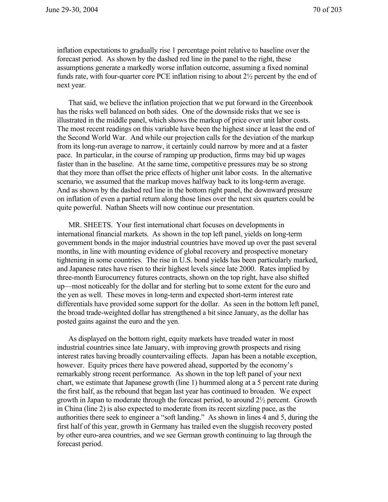inflation expectations to gradually rise 1 percentage point relative to baseline over the forecast period. As shown by the dashed red line in the panel to the right, these assumptions generate a markedly worse inflation outcome, assuming a fixed nominal funds rate, with four-quarter core PCE inflation rising to about 2½ percent by the end of next year.

That said, we believe the inflation projection that we put forward in the Greenbook has the risks well balanced on both sides. One of the downside risks that we see is illustrated in the middle panel, which shows the markup of price over unit labor costs. The most recent readings on this variable have been the highest since at least the end of the Second World War. And while our projection calls for the deviation of the markup from its long-run average to narrow, it certainly could narrow by more and at a faster pace. In particular, in the course of ramping up production, firms may bid up wages faster than in the baseline. At the same time, competitive pressures may be so strong that they more than offset the price effects of higher unit labor costs. In the alternative scenario, we assumed that the markup moves halfway back to its long-term average. And as shown by the dashed red line in the bottom right panel, the downward pressure on inflation of even a partial return along those lines over the next six quarters could be quite powerful. Nathan Sheets will now continue our presentation.

MR. SHEETS. Your first international chart focuses on developments in international financial markets. As shown in the top left panel, yields on long-term government bonds in the major industrial countries have moved up over the past several months, in line with mounting evidence of global recovery and prospective monetary tightening in some countries. The rise in U.S. bond yields has been particularly marked, and Japanese rates have risen to their highest levels since late 2000. Rates implied by three-month Eurocurrency futures contracts, shown on the top right, have also shifted up—most noticeably for the dollar and for sterling but to some extent for the euro and the yen as well. These moves in long-term and expected short-term interest rate differentials have provided some support for the dollar. As seen in the bottom left panel, the broad trade-weighted dollar has strengthened a bit since January, as the dollar has posted gains against the euro and the yen.

As displayed on the bottom right, equity markets have treaded water in most industrial countries since late January, with improving growth prospects and rising interest rates having broadly countervailing effects. Japan has been a notable exception, however. Equity prices there have powered ahead, supported by the economy's remarkably strong recent performance. As shown in the top left panel of your next chart, we estimate that Japanese growth (line 1) hummed along at a 5 percent rate during the first half, as the rebound that began last year has continued to broaden. We expect growth in Japan to moderate through the forecast period, to around 2½ percent. Growth in China (line 2) is also expected to moderate from its recent sizzling pace, as the authorities there seek to engineer a "soft landing." As shown in lines 4 and 5, during the first half of this year, growth in Germany has trailed even the sluggish recovery posted by other euro-area countries, and we see German growth continuing to lag through the forecast period.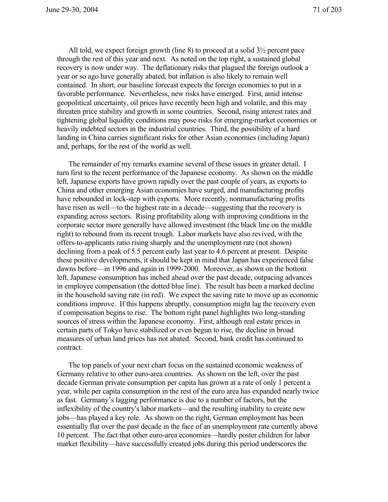All told, we expect foreign growth (line 8) to proceed at a solid 3½ percent pace through the rest of this year and next. As noted on the top right, a sustained global recovery is now under way. The deflationary risks that plagued the foreign outlook a year or so ago have generally abated, but inflation is also likely to remain well contained. In short, our baseline forecast expects the foreign economies to put in a favorable performance. Nevertheless, new risks have emerged. First, amid intense geopolitical uncertainty, oil prices have recently been high and volatile, and this may threaten price stability and growth in some countries. Second, rising interest rates and tightening global liquidity conditions may pose risks for emerging-market economies or heavily indebted sectors in the industrial countries. Third, the possibility of a hard landing in China carries significant risks for other Asian economies (including Japan) and, perhaps, for the rest of the world as well.

The remainder of my remarks examine several of these issues in greater detail. I turn first to the recent performance of the Japanese economy. As shown on the middle left, Japanese exports have grown rapidly over the past couple of years, as exports to China and other emerging Asian economies have surged, and manufacturing profits have rebounded in lock-step with exports. More recently, nonmanufacturing profits have risen as well—to the highest rate in a decade—suggesting that the recovery is expanding across sectors. Rising profitability along with improving conditions in the corporate sector more generally have allowed investment (the black line on the middle right) to rebound from its recent trough. Labor markets have also revived, with the offers-to-applicants ratio rising sharply and the unemployment rate (not shown) declining from a peak of 5.5 percent early last year to 4.6 percent at present. Despite these positive developments, it should be kept in mind that Japan has experienced false dawns before—in 1996 and again in 1999-2000. Moreover, as shown on the bottom left, Japanese consumption has inched ahead over the past decade, outpacing advances in employee compensation (the dotted blue line). The result has been a marked decline in the household saving rate (in red). We expect the saving rate to move up as economic conditions improve. If this happens abruptly, consumption might lag the recovery even if compensation begins to rise. The bottom right panel highlights two long-standing sources of stress within the Japanese economy. First, although real estate prices in certain parts of Tokyo have stabilized or even begun to rise, the decline in broad measures of urban land prices has not abated. Second, bank credit has continued to contract.

The top panels of your next chart focus on the sustained economic weakness of Germany relative to other euro-area countries. As shown on the left, over the past decade German private consumption per capita has grown at a rate of only 1 percent a year, while per capita consumption in the rest of the euro area has expanded nearly twice as fast. Germany's lagging performance is due to a number of factors, but the inflexibility of the country's labor markets—and the resulting inability to create new jobs—has played a key role. As shown on the right, German employment has been essentially flat over the past decade in the face of an unemployment rate currently above 10 percent. The fact that other euro-area economies—hardly poster children for labor market flexibility—have successfully created jobs during this period underscores the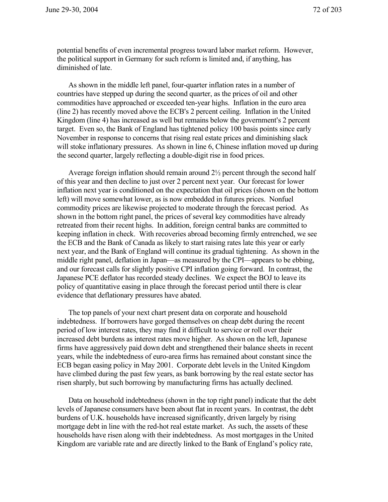potential benefits of even incremental progress toward labor market reform. However, the political support in Germany for such reform is limited and, if anything, has diminished of late.

As shown in the middle left panel, four-quarter inflation rates in a number of countries have stepped up during the second quarter, as the prices of oil and other commodities have approached or exceeded ten-year highs. Inflation in the euro area (line 2) has recently moved above the ECB's 2 percent ceiling. Inflation in the United Kingdom (line 4) has increased as well but remains below the government's 2 percent target. Even so, the Bank of England has tightened policy 100 basis points since early November in response to concerns that rising real estate prices and diminishing slack will stoke inflationary pressures. As shown in line 6, Chinese inflation moved up during the second quarter, largely reflecting a double-digit rise in food prices.

Average foreign inflation should remain around  $2\frac{1}{2}$  percent through the second half of this year and then decline to just over 2 percent next year. Our forecast for lower inflation next year is conditioned on the expectation that oil prices (shown on the bottom left) will move somewhat lower, as is now embedded in futures prices. Nonfuel commodity prices are likewise projected to moderate through the forecast period. As shown in the bottom right panel, the prices of several key commodities have already retreated from their recent highs. In addition, foreign central banks are committed to keeping inflation in check. With recoveries abroad becoming firmly entrenched, we see the ECB and the Bank of Canada as likely to start raising rates late this year or early next year, and the Bank of England will continue its gradual tightening. As shown in the middle right panel, deflation in Japan—as measured by the CPI—appears to be ebbing, and our forecast calls for slightly positive CPI inflation going forward. In contrast, the Japanese PCE deflator has recorded steady declines. We expect the BOJ to leave its policy of quantitative easing in place through the forecast period until there is clear evidence that deflationary pressures have abated.

The top panels of your next chart present data on corporate and household indebtedness. If borrowers have gorged themselves on cheap debt during the recent period of low interest rates, they may find it difficult to service or roll over their increased debt burdens as interest rates move higher. As shown on the left, Japanese firms have aggressively paid down debt and strengthened their balance sheets in recent years, while the indebtedness of euro-area firms has remained about constant since the ECB began easing policy in May 2001. Corporate debt levels in the United Kingdom have climbed during the past few years, as bank borrowing by the real estate sector has risen sharply, but such borrowing by manufacturing firms has actually declined.

Data on household indebtedness (shown in the top right panel) indicate that the debt levels of Japanese consumers have been about flat in recent years. In contrast, the debt burdens of U.K. households have increased significantly, driven largely by rising mortgage debt in line with the red-hot real estate market. As such, the assets of these households have risen along with their indebtedness. As most mortgages in the United Kingdom are variable rate and are directly linked to the Bank of England's policy rate,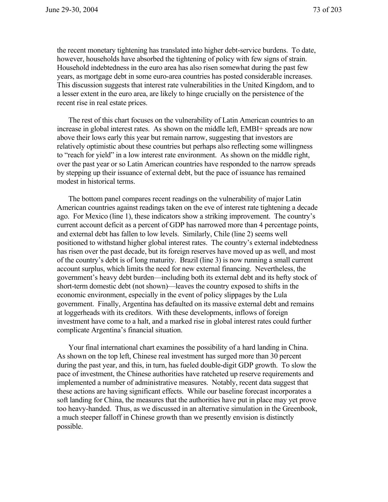the recent monetary tightening has translated into higher debt-service burdens. To date, however, households have absorbed the tightening of policy with few signs of strain. Household indebtedness in the euro area has also risen somewhat during the past few years, as mortgage debt in some euro-area countries has posted considerable increases. This discussion suggests that interest rate vulnerabilities in the United Kingdom, and to a lesser extent in the euro area, are likely to hinge crucially on the persistence of the recent rise in real estate prices.

The rest of this chart focuses on the vulnerability of Latin American countries to an increase in global interest rates. As shown on the middle left, EMBI+ spreads are now above their lows early this year but remain narrow, suggesting that investors are relatively optimistic about these countries but perhaps also reflecting some willingness to "reach for yield" in a low interest rate environment. As shown on the middle right, over the past year or so Latin American countries have responded to the narrow spreads by stepping up their issuance of external debt, but the pace of issuance has remained modest in historical terms.

The bottom panel compares recent readings on the vulnerability of major Latin American countries against readings taken on the eve of interest rate tightening a decade ago. For Mexico (line 1), these indicators show a striking improvement. The country's current account deficit as a percent of GDP has narrowed more than 4 percentage points, and external debt has fallen to low levels. Similarly, Chile (line 2) seems well positioned to withstand higher global interest rates. The country's external indebtedness has risen over the past decade, but its foreign reserves have moved up as well, and most of the country's debt is of long maturity. Brazil (line 3) is now running a small current account surplus, which limits the need for new external financing. Nevertheless, the government's heavy debt burden—including both its external debt and its hefty stock of short-term domestic debt (not shown)—leaves the country exposed to shifts in the economic environment, especially in the event of policy slippages by the Lula government. Finally, Argentina has defaulted on its massive external debt and remains at loggerheads with its creditors. With these developments, inflows of foreign investment have come to a halt, and a marked rise in global interest rates could further complicate Argentina's financial situation.

Your final international chart examines the possibility of a hard landing in China. As shown on the top left, Chinese real investment has surged more than 30 percent during the past year, and this, in turn, has fueled double-digit GDP growth. To slow the pace of investment, the Chinese authorities have ratcheted up reserve requirements and implemented a number of administrative measures. Notably, recent data suggest that these actions are having significant effects. While our baseline forecast incorporates a soft landing for China, the measures that the authorities have put in place may yet prove too heavy-handed. Thus, as we discussed in an alternative simulation in the Greenbook, a much steeper falloff in Chinese growth than we presently envision is distinctly possible.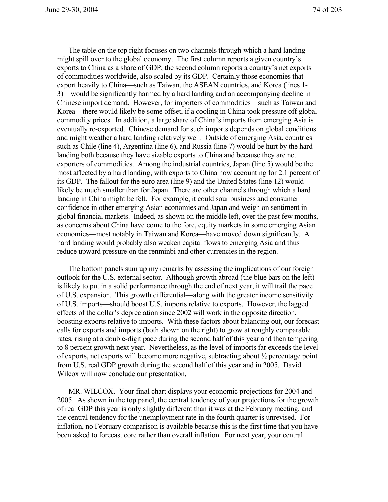The table on the top right focuses on two channels through which a hard landing might spill over to the global economy. The first column reports a given country's exports to China as a share of GDP; the second column reports a country's net exports of commodities worldwide, also scaled by its GDP. Certainly those economies that export heavily to China—such as Taiwan, the ASEAN countries, and Korea (lines 1- 3)—would be significantly harmed by a hard landing and an accompanying decline in Chinese import demand. However, for importers of commodities—such as Taiwan and Korea—there would likely be some offset, if a cooling in China took pressure off global commodity prices. In addition, a large share of China's imports from emerging Asia is eventually re-exported. Chinese demand for such imports depends on global conditions and might weather a hard landing relatively well. Outside of emerging Asia, countries such as Chile (line 4), Argentina (line 6), and Russia (line 7) would be hurt by the hard landing both because they have sizable exports to China and because they are net exporters of commodities. Among the industrial countries, Japan (line 5) would be the most affected by a hard landing, with exports to China now accounting for 2.1 percent of its GDP. The fallout for the euro area (line 9) and the United States (line 12) would likely be much smaller than for Japan. There are other channels through which a hard landing in China might be felt. For example, it could sour business and consumer confidence in other emerging Asian economies and Japan and weigh on sentiment in global financial markets. Indeed, as shown on the middle left, over the past few months, as concerns about China have come to the fore, equity markets in some emerging Asian economies—most notably in Taiwan and Korea—have moved down significantly. A hard landing would probably also weaken capital flows to emerging Asia and thus reduce upward pressure on the renminbi and other currencies in the region.

The bottom panels sum up my remarks by assessing the implications of our foreign outlook for the U.S. external sector. Although growth abroad (the blue bars on the left) is likely to put in a solid performance through the end of next year, it will trail the pace of U.S. expansion. This growth differential—along with the greater income sensitivity of U.S. imports—should boost U.S. imports relative to exports. However, the lagged effects of the dollar's depreciation since 2002 will work in the opposite direction, boosting exports relative to imports. With these factors about balancing out, our forecast calls for exports and imports (both shown on the right) to grow at roughly comparable rates, rising at a double-digit pace during the second half of this year and then tempering to 8 percent growth next year. Nevertheless, as the level of imports far exceeds the level of exports, net exports will become more negative, subtracting about ½ percentage point from U.S. real GDP growth during the second half of this year and in 2005. David Wilcox will now conclude our presentation.

MR. WILCOX. Your final chart displays your economic projections for 2004 and 2005. As shown in the top panel, the central tendency of your projections for the growth of real GDP this year is only slightly different than it was at the February meeting, and the central tendency for the unemployment rate in the fourth quarter is unrevised. For inflation, no February comparison is available because this is the first time that you have been asked to forecast core rather than overall inflation. For next year, your central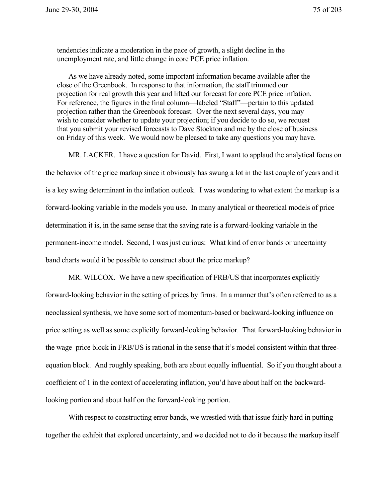tendencies indicate a moderation in the pace of growth, a slight decline in the unemployment rate, and little change in core PCE price inflation.

As we have already noted, some important information became available after the close of the Greenbook. In response to that information, the staff trimmed our projection for real growth this year and lifted our forecast for core PCE price inflation. For reference, the figures in the final column—labeled "Staff"—pertain to this updated projection rather than the Greenbook forecast. Over the next several days, you may wish to consider whether to update your projection; if you decide to do so, we request that you submit your revised forecasts to Dave Stockton and me by the close of business on Friday of this week. We would now be pleased to take any questions you may have.

MR. LACKER. I have a question for David. First, I want to applaud the analytical focus on the behavior of the price markup since it obviously has swung a lot in the last couple of years and it is a key swing determinant in the inflation outlook. I was wondering to what extent the markup is a forward-looking variable in the models you use. In many analytical or theoretical models of price determination it is, in the same sense that the saving rate is a forward-looking variable in the permanent-income model. Second, I was just curious: What kind of error bands or uncertainty band charts would it be possible to construct about the price markup?

MR. WILCOX. We have a new specification of FRB/US that incorporates explicitly forward-looking behavior in the setting of prices by firms. In a manner that's often referred to as a neoclassical synthesis, we have some sort of momentum-based or backward-looking influence on price setting as well as some explicitly forward-looking behavior. That forward-looking behavior in the wage–price block in FRB/US is rational in the sense that it's model consistent within that threeequation block. And roughly speaking, both are about equally influential. So if you thought about a coefficient of 1 in the context of accelerating inflation, you'd have about half on the backwardlooking portion and about half on the forward-looking portion.

With respect to constructing error bands, we wrestled with that issue fairly hard in putting together the exhibit that explored uncertainty, and we decided not to do it because the markup itself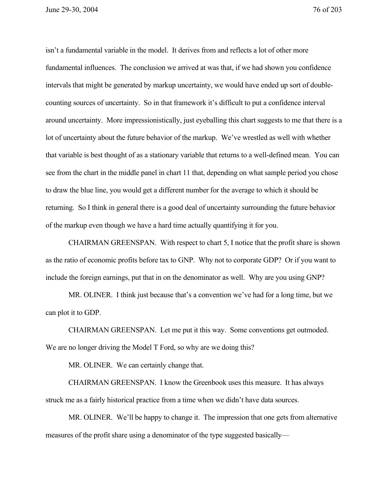June 29-30, 2004 76 of 203

isn't a fundamental variable in the model. It derives from and reflects a lot of other more fundamental influences. The conclusion we arrived at was that, if we had shown you confidence intervals that might be generated by markup uncertainty, we would have ended up sort of doublecounting sources of uncertainty. So in that framework it's difficult to put a confidence interval around uncertainty. More impressionistically, just eyeballing this chart suggests to me that there is a lot of uncertainty about the future behavior of the markup. We've wrestled as well with whether that variable is best thought of as a stationary variable that returns to a well-defined mean. You can see from the chart in the middle panel in chart 11 that, depending on what sample period you chose to draw the blue line, you would get a different number for the average to which it should be returning. So I think in general there is a good deal of uncertainty surrounding the future behavior of the markup even though we have a hard time actually quantifying it for you.

CHAIRMAN GREENSPAN. With respect to chart 5, I notice that the profit share is shown as the ratio of economic profits before tax to GNP. Why not to corporate GDP? Or if you want to include the foreign earnings, put that in on the denominator as well. Why are you using GNP?

MR. OLINER. I think just because that's a convention we've had for a long time, but we can plot it to GDP.

CHAIRMAN GREENSPAN. Let me put it this way. Some conventions get outmoded. We are no longer driving the Model T Ford, so why are we doing this?

MR. OLINER. We can certainly change that.

CHAIRMAN GREENSPAN. I know the Greenbook uses this measure. It has always struck me as a fairly historical practice from a time when we didn't have data sources.

MR. OLINER. We'll be happy to change it. The impression that one gets from alternative measures of the profit share using a denominator of the type suggested basically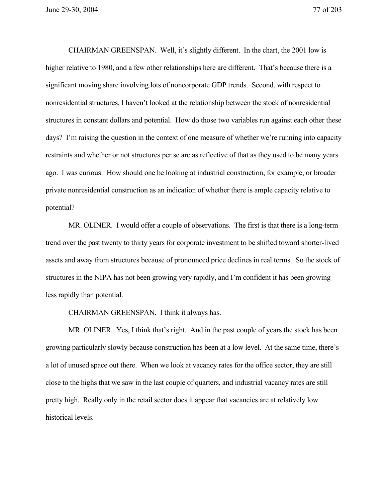June 29-30, 2004 77 of 203

CHAIRMAN GREENSPAN. Well, it's slightly different. In the chart, the 2001 low is higher relative to 1980, and a few other relationships here are different. That's because there is a significant moving share involving lots of noncorporate GDP trends. Second, with respect to nonresidential structures, I haven't looked at the relationship between the stock of nonresidential structures in constant dollars and potential. How do those two variables run against each other these days? I'm raising the question in the context of one measure of whether we're running into capacity restraints and whether or not structures per se are as reflective of that as they used to be many years ago. I was curious: How should one be looking at industrial construction, for example, or broader private nonresidential construction as an indication of whether there is ample capacity relative to potential?

MR. OLINER. I would offer a couple of observations. The first is that there is a long-term trend over the past twenty to thirty years for corporate investment to be shifted toward shorter-lived assets and away from structures because of pronounced price declines in real terms. So the stock of structures in the NIPA has not been growing very rapidly, and I'm confident it has been growing less rapidly than potential.

CHAIRMAN GREENSPAN. I think it always has.

MR. OLINER. Yes, I think that's right. And in the past couple of years the stock has been growing particularly slowly because construction has been at a low level. At the same time, there's a lot of unused space out there. When we look at vacancy rates for the office sector, they are still close to the highs that we saw in the last couple of quarters, and industrial vacancy rates are still pretty high. Really only in the retail sector does it appear that vacancies are at relatively low historical levels.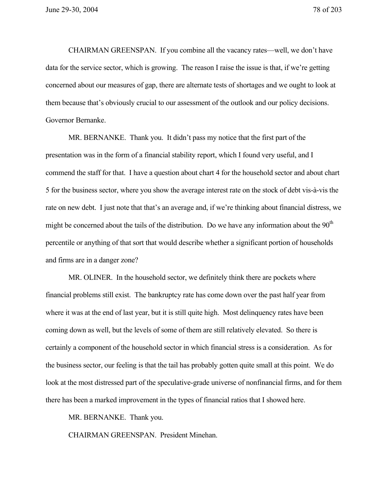CHAIRMAN GREENSPAN. If you combine all the vacancy rates—well, we don't have data for the service sector, which is growing. The reason I raise the issue is that, if we're getting concerned about our measures of gap, there are alternate tests of shortages and we ought to look at them because that's obviously crucial to our assessment of the outlook and our policy decisions. Governor Bernanke.

MR. BERNANKE. Thank you. It didn't pass my notice that the first part of the presentation was in the form of a financial stability report, which I found very useful, and I commend the staff for that. I have a question about chart 4 for the household sector and about chart 5 for the business sector, where you show the average interest rate on the stock of debt vis-à-vis the rate on new debt. I just note that that's an average and, if we're thinking about financial distress, we might be concerned about the tails of the distribution. Do we have any information about the  $90<sup>th</sup>$ percentile or anything of that sort that would describe whether a significant portion of households and firms are in a danger zone?

MR. OLINER. In the household sector, we definitely think there are pockets where financial problems still exist. The bankruptcy rate has come down over the past half year from where it was at the end of last year, but it is still quite high. Most delinquency rates have been coming down as well, but the levels of some of them are still relatively elevated. So there is certainly a component of the household sector in which financial stress is a consideration. As for the business sector, our feeling is that the tail has probably gotten quite small at this point. We do look at the most distressed part of the speculative-grade universe of nonfinancial firms, and for them there has been a marked improvement in the types of financial ratios that I showed here.

MR. BERNANKE. Thank you.

CHAIRMAN GREENSPAN. President Minehan.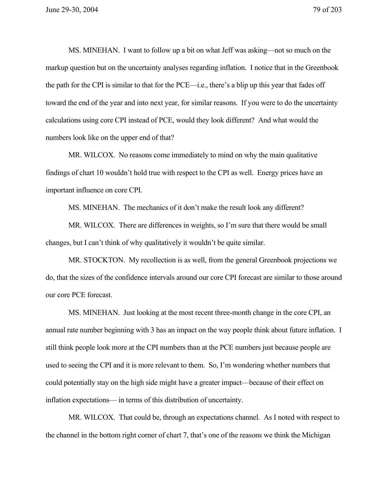MS. MINEHAN. I want to follow up a bit on what Jeff was asking—not so much on the markup question but on the uncertainty analyses regarding inflation. I notice that in the Greenbook the path for the CPI is similar to that for the PCE—i.e., there's a blip up this year that fades off toward the end of the year and into next year, for similar reasons. If you were to do the uncertainty calculations using core CPI instead of PCE, would they look different? And what would the numbers look like on the upper end of that?

MR. WILCOX. No reasons come immediately to mind on why the main qualitative findings of chart 10 wouldn't hold true with respect to the CPI as well. Energy prices have an important influence on core CPI.

MS. MINEHAN. The mechanics of it don't make the result look any different?

MR. WILCOX. There are differences in weights, so I'm sure that there would be small changes, but I can't think of why qualitatively it wouldn't be quite similar.

MR. STOCKTON. My recollection is as well, from the general Greenbook projections we do, that the sizes of the confidence intervals around our core CPI forecast are similar to those around our core PCE forecast.

MS. MINEHAN. Just looking at the most recent three-month change in the core CPI, an annual rate number beginning with 3 has an impact on the way people think about future inflation. I still think people look more at the CPI numbers than at the PCE numbers just because people are used to seeing the CPI and it is more relevant to them. So, I'm wondering whether numbers that could potentially stay on the high side might have a greater impact—because of their effect on inflation expectations— in terms of this distribution of uncertainty.

MR. WILCOX. That could be, through an expectations channel. As I noted with respect to the channel in the bottom right corner of chart 7, that's one of the reasons we think the Michigan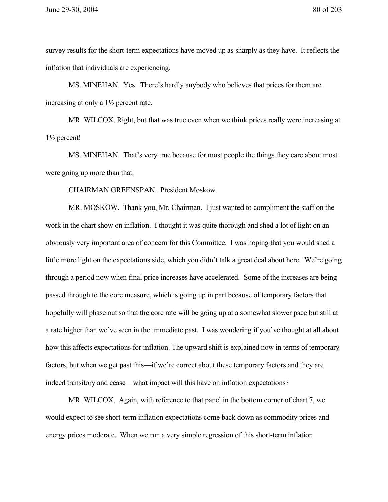survey results for the short-term expectations have moved up as sharply as they have. It reflects the inflation that individuals are experiencing.

MS. MINEHAN. Yes. There's hardly anybody who believes that prices for them are increasing at only a 1½ percent rate.

MR. WILCOX. Right, but that was true even when we think prices really were increasing at 1½ percent!

MS. MINEHAN. That's very true because for most people the things they care about most were going up more than that.

CHAIRMAN GREENSPAN. President Moskow.

MR. MOSKOW. Thank you, Mr. Chairman. I just wanted to compliment the staff on the work in the chart show on inflation. I thought it was quite thorough and shed a lot of light on an obviously very important area of concern for this Committee. I was hoping that you would shed a little more light on the expectations side, which you didn't talk a great deal about here. We're going through a period now when final price increases have accelerated. Some of the increases are being passed through to the core measure, which is going up in part because of temporary factors that hopefully will phase out so that the core rate will be going up at a somewhat slower pace but still at a rate higher than we've seen in the immediate past. I was wondering if you've thought at all about how this affects expectations for inflation. The upward shift is explained now in terms of temporary factors, but when we get past this—if we're correct about these temporary factors and they are indeed transitory and cease—what impact will this have on inflation expectations?

MR. WILCOX. Again, with reference to that panel in the bottom corner of chart 7, we would expect to see short-term inflation expectations come back down as commodity prices and energy prices moderate. When we run a very simple regression of this short-term inflation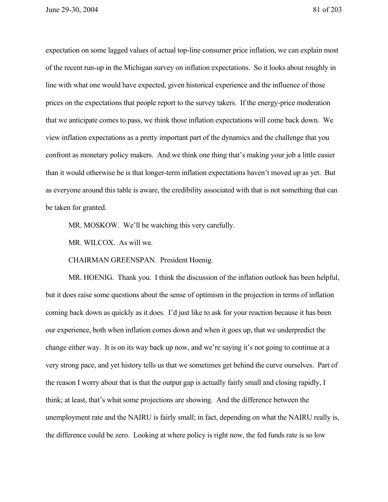June 29-30, 2004 81 of 203

expectation on some lagged values of actual top-line consumer price inflation, we can explain most of the recent run-up in the Michigan survey on inflation expectations. So it looks about roughly in line with what one would have expected, given historical experience and the influence of those prices on the expectations that people report to the survey takers. If the energy-price moderation that we anticipate comes to pass, we think those inflation expectations will come back down. We view inflation expectations as a pretty important part of the dynamics and the challenge that you confront as monetary policy makers. And we think one thing that's making your job a little easier than it would otherwise be is that longer-term inflation expectations haven't moved up as yet. But as everyone around this table is aware, the credibility associated with that is not something that can be taken for granted.

MR. MOSKOW. We'll be watching this very carefully.

MR. WILCOX. As will we.

CHAIRMAN GREENSPAN. President Hoenig.

MR. HOENIG. Thank you. I think the discussion of the inflation outlook has been helpful, but it does raise some questions about the sense of optimism in the projection in terms of inflation coming back down as quickly as it does. I'd just like to ask for your reaction because it has been our experience, both when inflation comes down and when it goes up, that we underpredict the change either way. It is on its way back up now, and we're saying it's not going to continue at a very strong pace, and yet history tells us that we sometimes get behind the curve ourselves. Part of the reason I worry about that is that the output gap is actually fairly small and closing rapidly, I think; at least, that's what some projections are showing. And the difference between the unemployment rate and the NAIRU is fairly small; in fact, depending on what the NAIRU really is, the difference could be zero. Looking at where policy is right now, the fed funds rate is so low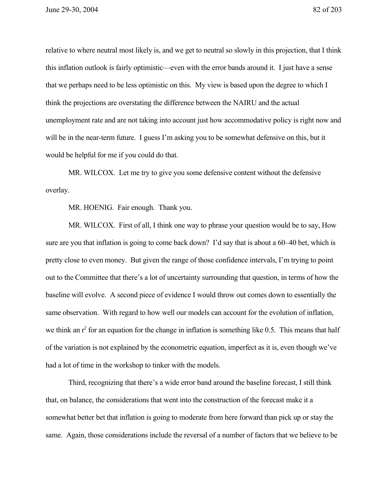relative to where neutral most likely is, and we get to neutral so slowly in this projection, that I think this inflation outlook is fairly optimistic—even with the error bands around it. I just have a sense that we perhaps need to be less optimistic on this. My view is based upon the degree to which I think the projections are overstating the difference between the NAIRU and the actual unemployment rate and are not taking into account just how accommodative policy is right now and will be in the near-term future. I guess I'm asking you to be somewhat defensive on this, but it would be helpful for me if you could do that.

MR. WILCOX. Let me try to give you some defensive content without the defensive overlay.

MR. HOENIG. Fair enough. Thank you.

MR. WILCOX. First of all, I think one way to phrase your question would be to say, How sure are you that inflation is going to come back down? I'd say that is about a 60–40 bet, which is pretty close to even money. But given the range of those confidence intervals, I'm trying to point out to the Committee that there's a lot of uncertainty surrounding that question, in terms of how the baseline will evolve. A second piece of evidence I would throw out comes down to essentially the same observation. With regard to how well our models can account for the evolution of inflation, we think an  $r^2$  for an equation for the change in inflation is something like 0.5. This means that half of the variation is not explained by the econometric equation, imperfect as it is, even though we've had a lot of time in the workshop to tinker with the models.

Third, recognizing that there's a wide error band around the baseline forecast, I still think that, on balance, the considerations that went into the construction of the forecast make it a somewhat better bet that inflation is going to moderate from here forward than pick up or stay the same. Again, those considerations include the reversal of a number of factors that we believe to be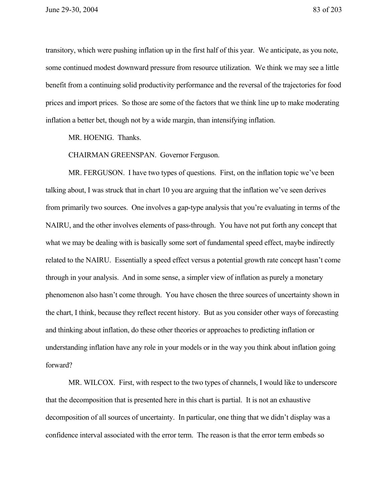transitory, which were pushing inflation up in the first half of this year. We anticipate, as you note, some continued modest downward pressure from resource utilization. We think we may see a little benefit from a continuing solid productivity performance and the reversal of the trajectories for food prices and import prices. So those are some of the factors that we think line up to make moderating inflation a better bet, though not by a wide margin, than intensifying inflation.

MR. HOENIG. Thanks.

CHAIRMAN GREENSPAN. Governor Ferguson.

MR. FERGUSON. I have two types of questions. First, on the inflation topic we've been talking about, I was struck that in chart 10 you are arguing that the inflation we've seen derives from primarily two sources. One involves a gap-type analysis that you're evaluating in terms of the NAIRU, and the other involves elements of pass-through. You have not put forth any concept that what we may be dealing with is basically some sort of fundamental speed effect, maybe indirectly related to the NAIRU. Essentially a speed effect versus a potential growth rate concept hasn't come through in your analysis. And in some sense, a simpler view of inflation as purely a monetary phenomenon also hasn't come through. You have chosen the three sources of uncertainty shown in the chart, I think, because they reflect recent history. But as you consider other ways of forecasting and thinking about inflation, do these other theories or approaches to predicting inflation or understanding inflation have any role in your models or in the way you think about inflation going forward?

MR. WILCOX. First, with respect to the two types of channels, I would like to underscore that the decomposition that is presented here in this chart is partial. It is not an exhaustive decomposition of all sources of uncertainty. In particular, one thing that we didn't display was a confidence interval associated with the error term. The reason is that the error term embeds so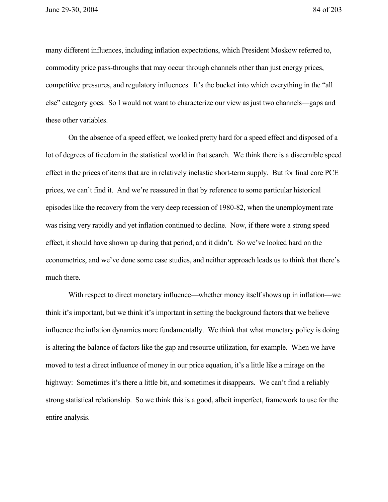many different influences, including inflation expectations, which President Moskow referred to, commodity price pass-throughs that may occur through channels other than just energy prices, competitive pressures, and regulatory influences. It's the bucket into which everything in the "all else" category goes. So I would not want to characterize our view as just two channels—gaps and these other variables.

On the absence of a speed effect, we looked pretty hard for a speed effect and disposed of a lot of degrees of freedom in the statistical world in that search. We think there is a discernible speed effect in the prices of items that are in relatively inelastic short-term supply. But for final core PCE prices, we can't find it. And we're reassured in that by reference to some particular historical episodes like the recovery from the very deep recession of 1980-82, when the unemployment rate was rising very rapidly and yet inflation continued to decline. Now, if there were a strong speed effect, it should have shown up during that period, and it didn't. So we've looked hard on the econometrics, and we've done some case studies, and neither approach leads us to think that there's much there.

With respect to direct monetary influence—whether money itself shows up in inflation—we think it's important, but we think it's important in setting the background factors that we believe influence the inflation dynamics more fundamentally. We think that what monetary policy is doing is altering the balance of factors like the gap and resource utilization, for example. When we have moved to test a direct influence of money in our price equation, it's a little like a mirage on the highway: Sometimes it's there a little bit, and sometimes it disappears. We can't find a reliably strong statistical relationship. So we think this is a good, albeit imperfect, framework to use for the entire analysis.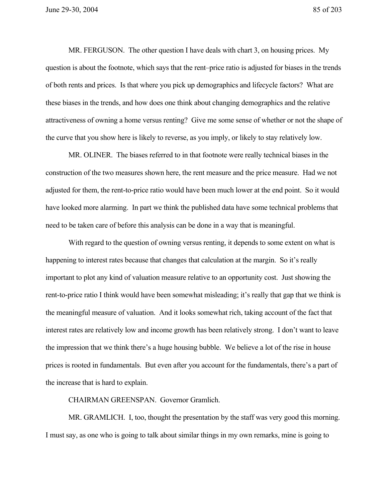MR. FERGUSON. The other question I have deals with chart 3, on housing prices. My question is about the footnote, which says that the rent–price ratio is adjusted for biases in the trends of both rents and prices. Is that where you pick up demographics and lifecycle factors? What are these biases in the trends, and how does one think about changing demographics and the relative attractiveness of owning a home versus renting? Give me some sense of whether or not the shape of the curve that you show here is likely to reverse, as you imply, or likely to stay relatively low.

MR. OLINER. The biases referred to in that footnote were really technical biases in the construction of the two measures shown here, the rent measure and the price measure. Had we not adjusted for them, the rent-to-price ratio would have been much lower at the end point. So it would have looked more alarming. In part we think the published data have some technical problems that need to be taken care of before this analysis can be done in a way that is meaningful.

With regard to the question of owning versus renting, it depends to some extent on what is happening to interest rates because that changes that calculation at the margin. So it's really important to plot any kind of valuation measure relative to an opportunity cost. Just showing the rent-to-price ratio I think would have been somewhat misleading; it's really that gap that we think is the meaningful measure of valuation. And it looks somewhat rich, taking account of the fact that interest rates are relatively low and income growth has been relatively strong. I don't want to leave the impression that we think there's a huge housing bubble. We believe a lot of the rise in house prices is rooted in fundamentals. But even after you account for the fundamentals, there's a part of the increase that is hard to explain.

CHAIRMAN GREENSPAN. Governor Gramlich.

MR. GRAMLICH. I, too, thought the presentation by the staff was very good this morning. I must say, as one who is going to talk about similar things in my own remarks, mine is going to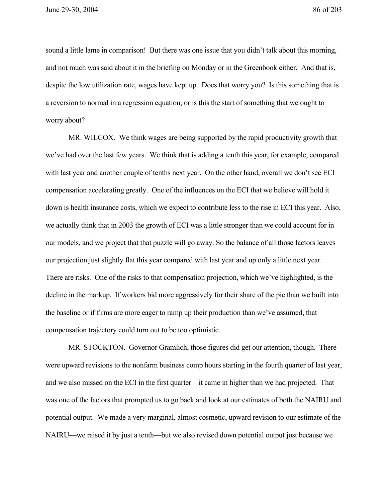sound a little lame in comparison! But there was one issue that you didn't talk about this morning, and not much was said about it in the briefing on Monday or in the Greenbook either. And that is, despite the low utilization rate, wages have kept up. Does that worry you? Is this something that is a reversion to normal in a regression equation, or is this the start of something that we ought to worry about?

MR. WILCOX. We think wages are being supported by the rapid productivity growth that we've had over the last few years. We think that is adding a tenth this year, for example, compared with last year and another couple of tenths next year. On the other hand, overall we don't see ECI compensation accelerating greatly. One of the influences on the ECI that we believe will hold it down is health insurance costs, which we expect to contribute less to the rise in ECI this year. Also, we actually think that in 2003 the growth of ECI was a little stronger than we could account for in our models, and we project that that puzzle will go away. So the balance of all those factors leaves our projection just slightly flat this year compared with last year and up only a little next year. There are risks. One of the risks to that compensation projection, which we've highlighted, is the decline in the markup. If workers bid more aggressively for their share of the pie than we built into the baseline or if firms are more eager to ramp up their production than we've assumed, that compensation trajectory could turn out to be too optimistic.

MR. STOCKTON. Governor Gramlich, those figures did get our attention, though. There were upward revisions to the nonfarm business comp hours starting in the fourth quarter of last year, and we also missed on the ECI in the first quarter—it came in higher than we had projected. That was one of the factors that prompted us to go back and look at our estimates of both the NAIRU and potential output. We made a very marginal, almost cosmetic, upward revision to our estimate of the NAIRU—we raised it by just a tenth—but we also revised down potential output just because we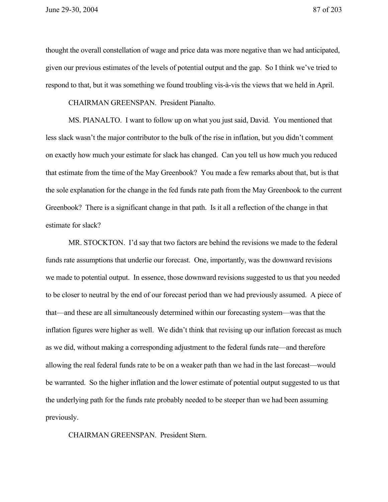June 29-30, 2004 87 of 203

thought the overall constellation of wage and price data was more negative than we had anticipated, given our previous estimates of the levels of potential output and the gap. So I think we've tried to respond to that, but it was something we found troubling vis-à-vis the views that we held in April.

CHAIRMAN GREENSPAN. President Pianalto.

MS. PIANALTO. I want to follow up on what you just said, David. You mentioned that less slack wasn't the major contributor to the bulk of the rise in inflation, but you didn't comment on exactly how much your estimate for slack has changed. Can you tell us how much you reduced that estimate from the time of the May Greenbook? You made a few remarks about that, but is that the sole explanation for the change in the fed funds rate path from the May Greenbook to the current Greenbook? There is a significant change in that path. Is it all a reflection of the change in that estimate for slack?

MR. STOCKTON. I'd say that two factors are behind the revisions we made to the federal funds rate assumptions that underlie our forecast. One, importantly, was the downward revisions we made to potential output. In essence, those downward revisions suggested to us that you needed to be closer to neutral by the end of our forecast period than we had previously assumed. A piece of that—and these are all simultaneously determined within our forecasting system—was that the inflation figures were higher as well. We didn't think that revising up our inflation forecast as much as we did, without making a corresponding adjustment to the federal funds rate—and therefore allowing the real federal funds rate to be on a weaker path than we had in the last forecast—would be warranted. So the higher inflation and the lower estimate of potential output suggested to us that the underlying path for the funds rate probably needed to be steeper than we had been assuming previously.

CHAIRMAN GREENSPAN. President Stern.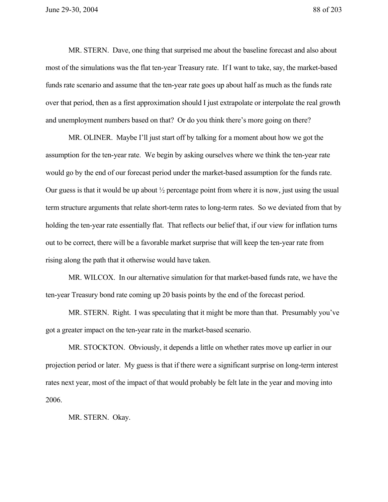MR. STERN. Dave, one thing that surprised me about the baseline forecast and also about most of the simulations was the flat ten-year Treasury rate. If I want to take, say, the market-based funds rate scenario and assume that the ten-year rate goes up about half as much as the funds rate over that period, then as a first approximation should I just extrapolate or interpolate the real growth and unemployment numbers based on that? Or do you think there's more going on there?

MR. OLINER. Maybe I'll just start off by talking for a moment about how we got the assumption for the ten-year rate. We begin by asking ourselves where we think the ten-year rate would go by the end of our forecast period under the market-based assumption for the funds rate. Our guess is that it would be up about  $\frac{1}{2}$  percentage point from where it is now, just using the usual term structure arguments that relate short-term rates to long-term rates. So we deviated from that by holding the ten-year rate essentially flat. That reflects our belief that, if our view for inflation turns out to be correct, there will be a favorable market surprise that will keep the ten-year rate from rising along the path that it otherwise would have taken.

MR. WILCOX. In our alternative simulation for that market-based funds rate, we have the ten-year Treasury bond rate coming up 20 basis points by the end of the forecast period.

MR. STERN. Right. I was speculating that it might be more than that. Presumably you've got a greater impact on the ten-year rate in the market-based scenario.

MR. STOCKTON. Obviously, it depends a little on whether rates move up earlier in our projection period or later. My guess is that if there were a significant surprise on long-term interest rates next year, most of the impact of that would probably be felt late in the year and moving into 2006.

MR. STERN. Okay.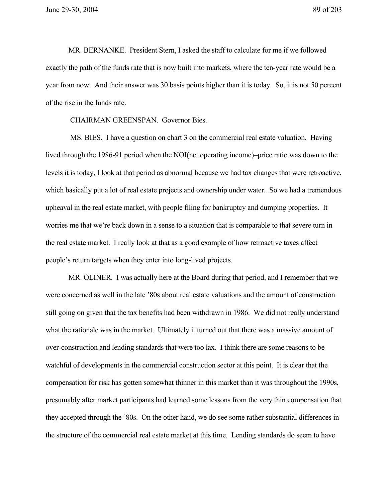MR. BERNANKE. President Stern, I asked the staff to calculate for me if we followed exactly the path of the funds rate that is now built into markets, where the ten-year rate would be a year from now. And their answer was 30 basis points higher than it is today. So, it is not 50 percent of the rise in the funds rate.

CHAIRMAN GREENSPAN. Governor Bies.

 MS. BIES. I have a question on chart 3 on the commercial real estate valuation. Having lived through the 1986-91 period when the NOI(net operating income)–price ratio was down to the levels it is today, I look at that period as abnormal because we had tax changes that were retroactive, which basically put a lot of real estate projects and ownership under water. So we had a tremendous upheaval in the real estate market, with people filing for bankruptcy and dumping properties. It worries me that we're back down in a sense to a situation that is comparable to that severe turn in the real estate market. I really look at that as a good example of how retroactive taxes affect people's return targets when they enter into long-lived projects.

MR. OLINER. I was actually here at the Board during that period, and I remember that we were concerned as well in the late '80s about real estate valuations and the amount of construction still going on given that the tax benefits had been withdrawn in 1986. We did not really understand what the rationale was in the market. Ultimately it turned out that there was a massive amount of over-construction and lending standards that were too lax. I think there are some reasons to be watchful of developments in the commercial construction sector at this point. It is clear that the compensation for risk has gotten somewhat thinner in this market than it was throughout the 1990s, presumably after market participants had learned some lessons from the very thin compensation that they accepted through the '80s. On the other hand, we do see some rather substantial differences in the structure of the commercial real estate market at this time. Lending standards do seem to have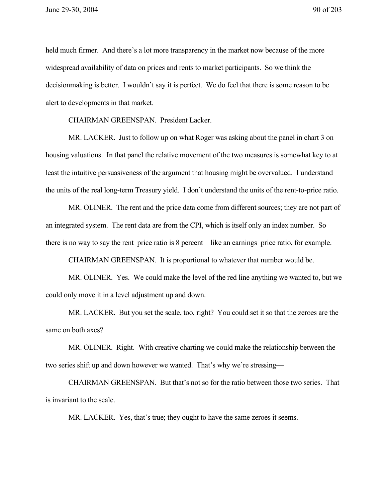held much firmer. And there's a lot more transparency in the market now because of the more widespread availability of data on prices and rents to market participants. So we think the decisionmaking is better. I wouldn't say it is perfect. We do feel that there is some reason to be alert to developments in that market.

CHAIRMAN GREENSPAN. President Lacker.

MR. LACKER. Just to follow up on what Roger was asking about the panel in chart 3 on housing valuations. In that panel the relative movement of the two measures is somewhat key to at least the intuitive persuasiveness of the argument that housing might be overvalued. I understand the units of the real long-term Treasury yield. I don't understand the units of the rent-to-price ratio.

MR. OLINER. The rent and the price data come from different sources; they are not part of an integrated system. The rent data are from the CPI, which is itself only an index number. So there is no way to say the rent–price ratio is 8 percent—like an earnings–price ratio, for example.

CHAIRMAN GREENSPAN. It is proportional to whatever that number would be.

MR. OLINER. Yes. We could make the level of the red line anything we wanted to, but we could only move it in a level adjustment up and down.

MR. LACKER. But you set the scale, too, right? You could set it so that the zeroes are the same on both axes?

MR. OLINER. Right. With creative charting we could make the relationship between the two series shift up and down however we wanted. That's why we're stressing—

CHAIRMAN GREENSPAN. But that's not so for the ratio between those two series. That is invariant to the scale.

MR. LACKER. Yes, that's true; they ought to have the same zeroes it seems.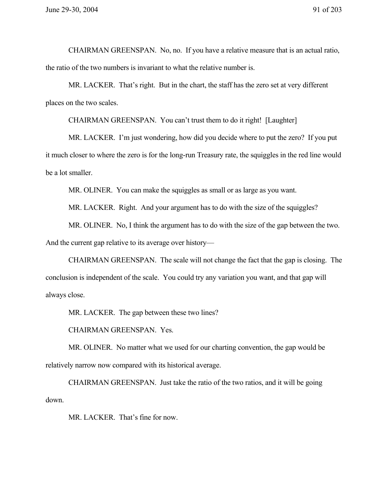CHAIRMAN GREENSPAN. No, no. If you have a relative measure that is an actual ratio, the ratio of the two numbers is invariant to what the relative number is.

MR. LACKER. That's right. But in the chart, the staff has the zero set at very different places on the two scales.

CHAIRMAN GREENSPAN. You can't trust them to do it right! [Laughter]

MR. LACKER. I'm just wondering, how did you decide where to put the zero? If you put it much closer to where the zero is for the long-run Treasury rate, the squiggles in the red line would be a lot smaller.

MR. OLINER. You can make the squiggles as small or as large as you want.

MR. LACKER. Right. And your argument has to do with the size of the squiggles?

MR. OLINER. No, I think the argument has to do with the size of the gap between the two.

And the current gap relative to its average over history—

CHAIRMAN GREENSPAN. The scale will not change the fact that the gap is closing. The conclusion is independent of the scale. You could try any variation you want, and that gap will always close.

MR. LACKER. The gap between these two lines?

CHAIRMAN GREENSPAN. Yes.

MR. OLINER. No matter what we used for our charting convention, the gap would be relatively narrow now compared with its historical average.

CHAIRMAN GREENSPAN. Just take the ratio of the two ratios, and it will be going down.

MR. LACKER. That's fine for now.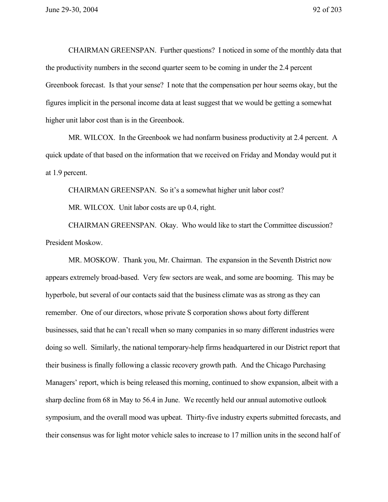CHAIRMAN GREENSPAN. Further questions? I noticed in some of the monthly data that the productivity numbers in the second quarter seem to be coming in under the 2.4 percent Greenbook forecast. Is that your sense? I note that the compensation per hour seems okay, but the figures implicit in the personal income data at least suggest that we would be getting a somewhat higher unit labor cost than is in the Greenbook.

MR. WILCOX. In the Greenbook we had nonfarm business productivity at 2.4 percent. A quick update of that based on the information that we received on Friday and Monday would put it at 1.9 percent.

CHAIRMAN GREENSPAN. So it's a somewhat higher unit labor cost?

MR. WILCOX. Unit labor costs are up 0.4, right.

CHAIRMAN GREENSPAN. Okay. Who would like to start the Committee discussion? President Moskow.

MR. MOSKOW. Thank you, Mr. Chairman. The expansion in the Seventh District now appears extremely broad-based. Very few sectors are weak, and some are booming. This may be hyperbole, but several of our contacts said that the business climate was as strong as they can remember. One of our directors, whose private S corporation shows about forty different businesses, said that he can't recall when so many companies in so many different industries were doing so well. Similarly, the national temporary-help firms headquartered in our District report that their business is finally following a classic recovery growth path. And the Chicago Purchasing Managers' report, which is being released this morning, continued to show expansion, albeit with a sharp decline from 68 in May to 56.4 in June. We recently held our annual automotive outlook symposium, and the overall mood was upbeat. Thirty-five industry experts submitted forecasts, and their consensus was for light motor vehicle sales to increase to 17 million units in the second half of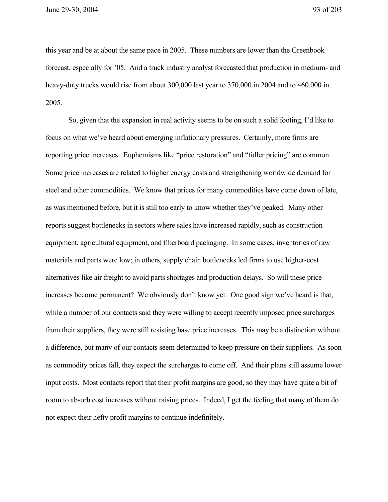this year and be at about the same pace in 2005. These numbers are lower than the Greenbook forecast, especially for '05. And a truck industry analyst forecasted that production in medium- and heavy-duty trucks would rise from about 300,000 last year to 370,000 in 2004 and to 460,000 in 2005.

So, given that the expansion in real activity seems to be on such a solid footing, I'd like to focus on what we've heard about emerging inflationary pressures. Certainly, more firms are reporting price increases. Euphemisms like "price restoration" and "fuller pricing" are common. Some price increases are related to higher energy costs and strengthening worldwide demand for steel and other commodities. We know that prices for many commodities have come down of late, as was mentioned before, but it is still too early to know whether they've peaked. Many other reports suggest bottlenecks in sectors where sales have increased rapidly, such as construction equipment, agricultural equipment, and fiberboard packaging. In some cases, inventories of raw materials and parts were low; in others, supply chain bottlenecks led firms to use higher-cost alternatives like air freight to avoid parts shortages and production delays. So will these price increases become permanent? We obviously don't know yet. One good sign we've heard is that, while a number of our contacts said they were willing to accept recently imposed price surcharges from their suppliers, they were still resisting base price increases. This may be a distinction without a difference, but many of our contacts seem determined to keep pressure on their suppliers. As soon as commodity prices fall, they expect the surcharges to come off. And their plans still assume lower input costs. Most contacts report that their profit margins are good, so they may have quite a bit of room to absorb cost increases without raising prices. Indeed, I get the feeling that many of them do not expect their hefty profit margins to continue indefinitely.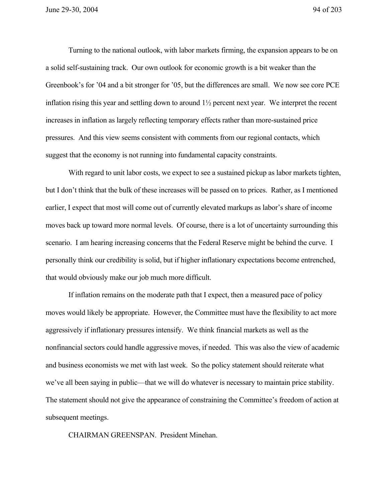Turning to the national outlook, with labor markets firming, the expansion appears to be on a solid self-sustaining track. Our own outlook for economic growth is a bit weaker than the Greenbook's for '04 and a bit stronger for '05, but the differences are small. We now see core PCE inflation rising this year and settling down to around 1½ percent next year. We interpret the recent increases in inflation as largely reflecting temporary effects rather than more-sustained price pressures. And this view seems consistent with comments from our regional contacts, which suggest that the economy is not running into fundamental capacity constraints.

With regard to unit labor costs, we expect to see a sustained pickup as labor markets tighten, but I don't think that the bulk of these increases will be passed on to prices. Rather, as I mentioned earlier, I expect that most will come out of currently elevated markups as labor's share of income moves back up toward more normal levels. Of course, there is a lot of uncertainty surrounding this scenario. I am hearing increasing concerns that the Federal Reserve might be behind the curve. I personally think our credibility is solid, but if higher inflationary expectations become entrenched, that would obviously make our job much more difficult.

If inflation remains on the moderate path that I expect, then a measured pace of policy moves would likely be appropriate. However, the Committee must have the flexibility to act more aggressively if inflationary pressures intensify. We think financial markets as well as the nonfinancial sectors could handle aggressive moves, if needed. This was also the view of academic and business economists we met with last week. So the policy statement should reiterate what we've all been saying in public—that we will do whatever is necessary to maintain price stability. The statement should not give the appearance of constraining the Committee's freedom of action at subsequent meetings.

CHAIRMAN GREENSPAN. President Minehan.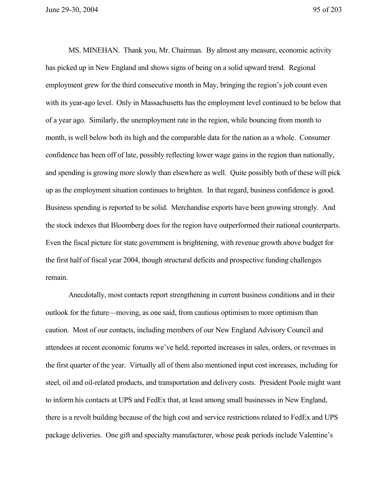June 29-30, 2004 95 of 203

MS. MINEHAN. Thank you, Mr. Chairman. By almost any measure, economic activity has picked up in New England and shows signs of being on a solid upward trend. Regional employment grew for the third consecutive month in May, bringing the region's job count even with its year-ago level. Only in Massachusetts has the employment level continued to be below that of a year ago. Similarly, the unemployment rate in the region, while bouncing from month to month, is well below both its high and the comparable data for the nation as a whole. Consumer confidence has been off of late, possibly reflecting lower wage gains in the region than nationally, and spending is growing more slowly than elsewhere as well. Quite possibly both of these will pick up as the employment situation continues to brighten. In that regard, business confidence is good. Business spending is reported to be solid. Merchandise exports have been growing strongly. And the stock indexes that Bloomberg does for the region have outperformed their national counterparts. Even the fiscal picture for state government is brightening, with revenue growth above budget for the first half of fiscal year 2004, though structural deficits and prospective funding challenges remain.

Anecdotally, most contacts report strengthening in current business conditions and in their outlook for the future—moving, as one said, from cautious optimism to more optimism than caution. Most of our contacts, including members of our New England Advisory Council and attendees at recent economic forums we've held, reported increases in sales, orders, or revenues in the first quarter of the year. Virtually all of them also mentioned input cost increases, including for steel, oil and oil-related products, and transportation and delivery costs. President Poole might want to inform his contacts at UPS and FedEx that, at least among small businesses in New England, there is a revolt building because of the high cost and service restrictions related to FedEx and UPS package deliveries. One gift and specialty manufacturer, whose peak periods include Valentine's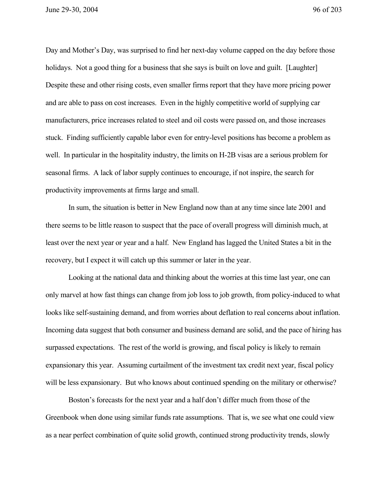June 29-30, 2004 96 of 203

Day and Mother's Day, was surprised to find her next-day volume capped on the day before those holidays. Not a good thing for a business that she says is built on love and guilt. [Laughter] Despite these and other rising costs, even smaller firms report that they have more pricing power and are able to pass on cost increases. Even in the highly competitive world of supplying car manufacturers, price increases related to steel and oil costs were passed on, and those increases stuck. Finding sufficiently capable labor even for entry-level positions has become a problem as well. In particular in the hospitality industry, the limits on H-2B visas are a serious problem for seasonal firms. A lack of labor supply continues to encourage, if not inspire, the search for productivity improvements at firms large and small.

In sum, the situation is better in New England now than at any time since late 2001 and there seems to be little reason to suspect that the pace of overall progress will diminish much, at least over the next year or year and a half. New England has lagged the United States a bit in the recovery, but I expect it will catch up this summer or later in the year.

Looking at the national data and thinking about the worries at this time last year, one can only marvel at how fast things can change from job loss to job growth, from policy-induced to what looks like self-sustaining demand, and from worries about deflation to real concerns about inflation. Incoming data suggest that both consumer and business demand are solid, and the pace of hiring has surpassed expectations. The rest of the world is growing, and fiscal policy is likely to remain expansionary this year. Assuming curtailment of the investment tax credit next year, fiscal policy will be less expansionary. But who knows about continued spending on the military or otherwise?

Boston's forecasts for the next year and a half don't differ much from those of the Greenbook when done using similar funds rate assumptions. That is, we see what one could view as a near perfect combination of quite solid growth, continued strong productivity trends, slowly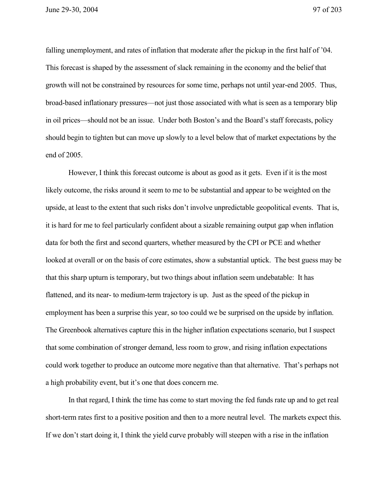June 29-30, 2004 97 of 203

falling unemployment, and rates of inflation that moderate after the pickup in the first half of '04. This forecast is shaped by the assessment of slack remaining in the economy and the belief that growth will not be constrained by resources for some time, perhaps not until year-end 2005. Thus, broad-based inflationary pressures—not just those associated with what is seen as a temporary blip in oil prices—should not be an issue. Under both Boston's and the Board's staff forecasts, policy should begin to tighten but can move up slowly to a level below that of market expectations by the end of 2005.

However, I think this forecast outcome is about as good as it gets. Even if it is the most likely outcome, the risks around it seem to me to be substantial and appear to be weighted on the upside, at least to the extent that such risks don't involve unpredictable geopolitical events. That is, it is hard for me to feel particularly confident about a sizable remaining output gap when inflation data for both the first and second quarters, whether measured by the CPI or PCE and whether looked at overall or on the basis of core estimates, show a substantial uptick. The best guess may be that this sharp upturn is temporary, but two things about inflation seem undebatable: It has flattened, and its near- to medium-term trajectory is up. Just as the speed of the pickup in employment has been a surprise this year, so too could we be surprised on the upside by inflation. The Greenbook alternatives capture this in the higher inflation expectations scenario, but I suspect that some combination of stronger demand, less room to grow, and rising inflation expectations could work together to produce an outcome more negative than that alternative. That's perhaps not a high probability event, but it's one that does concern me.

In that regard, I think the time has come to start moving the fed funds rate up and to get real short-term rates first to a positive position and then to a more neutral level. The markets expect this. If we don't start doing it, I think the yield curve probably will steepen with a rise in the inflation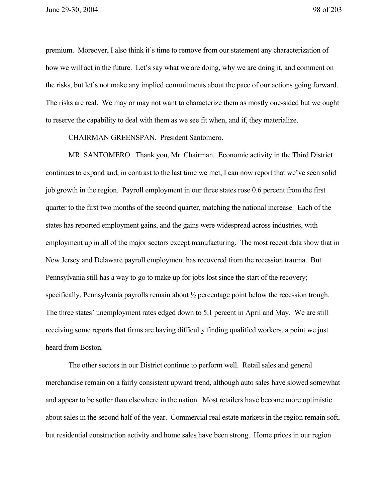premium. Moreover, I also think it's time to remove from our statement any characterization of how we will act in the future. Let's say what we are doing, why we are doing it, and comment on the risks, but let's not make any implied commitments about the pace of our actions going forward. The risks are real. We may or may not want to characterize them as mostly one-sided but we ought to reserve the capability to deal with them as we see fit when, and if, they materialize.

CHAIRMAN GREENSPAN. President Santomero.

MR. SANTOMERO. Thank you, Mr. Chairman. Economic activity in the Third District continues to expand and, in contrast to the last time we met, I can now report that we've seen solid job growth in the region. Payroll employment in our three states rose 0.6 percent from the first quarter to the first two months of the second quarter, matching the national increase. Each of the states has reported employment gains, and the gains were widespread across industries, with employment up in all of the major sectors except manufacturing. The most recent data show that in New Jersey and Delaware payroll employment has recovered from the recession trauma. But Pennsylvania still has a way to go to make up for jobs lost since the start of the recovery; specifically, Pennsylvania payrolls remain about  $\frac{1}{2}$  percentage point below the recession trough. The three states' unemployment rates edged down to 5.1 percent in April and May. We are still receiving some reports that firms are having difficulty finding qualified workers, a point we just heard from Boston.

The other sectors in our District continue to perform well. Retail sales and general merchandise remain on a fairly consistent upward trend, although auto sales have slowed somewhat and appear to be softer than elsewhere in the nation. Most retailers have become more optimistic about sales in the second half of the year. Commercial real estate markets in the region remain soft, but residential construction activity and home sales have been strong. Home prices in our region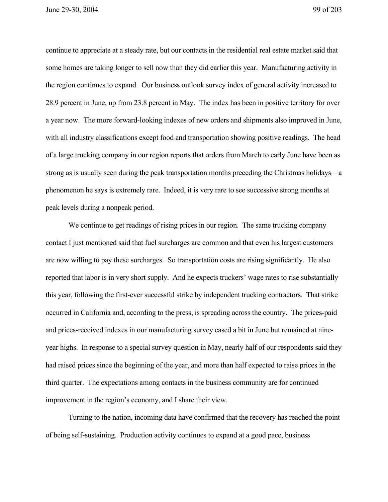June 29-30, 2004 99 of 203

continue to appreciate at a steady rate, but our contacts in the residential real estate market said that some homes are taking longer to sell now than they did earlier this year. Manufacturing activity in the region continues to expand. Our business outlook survey index of general activity increased to 28.9 percent in June, up from 23.8 percent in May. The index has been in positive territory for over a year now. The more forward-looking indexes of new orders and shipments also improved in June, with all industry classifications except food and transportation showing positive readings. The head of a large trucking company in our region reports that orders from March to early June have been as strong as is usually seen during the peak transportation months preceding the Christmas holidays—a phenomenon he says is extremely rare. Indeed, it is very rare to see successive strong months at peak levels during a nonpeak period.

We continue to get readings of rising prices in our region. The same trucking company contact I just mentioned said that fuel surcharges are common and that even his largest customers are now willing to pay these surcharges. So transportation costs are rising significantly. He also reported that labor is in very short supply. And he expects truckers' wage rates to rise substantially this year, following the first-ever successful strike by independent trucking contractors. That strike occurred in California and, according to the press, is spreading across the country. The prices-paid and prices-received indexes in our manufacturing survey eased a bit in June but remained at nineyear highs. In response to a special survey question in May, nearly half of our respondents said they had raised prices since the beginning of the year, and more than half expected to raise prices in the third quarter. The expectations among contacts in the business community are for continued improvement in the region's economy, and I share their view.

Turning to the nation, incoming data have confirmed that the recovery has reached the point of being self-sustaining. Production activity continues to expand at a good pace, business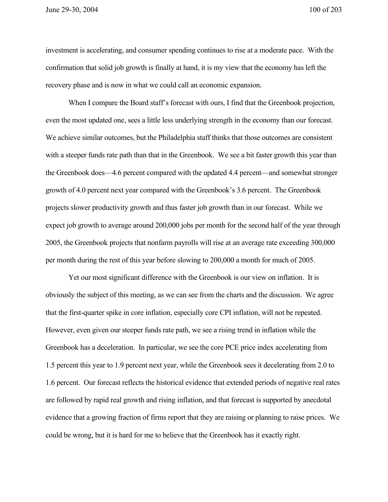investment is accelerating, and consumer spending continues to rise at a moderate pace. With the confirmation that solid job growth is finally at hand, it is my view that the economy has left the recovery phase and is now in what we could call an economic expansion.

When I compare the Board staff's forecast with ours, I find that the Greenbook projection, even the most updated one, sees a little less underlying strength in the economy than our forecast. We achieve similar outcomes, but the Philadelphia staff thinks that those outcomes are consistent with a steeper funds rate path than that in the Greenbook. We see a bit faster growth this year than the Greenbook does—4.6 percent compared with the updated 4.4 percent—and somewhat stronger growth of 4.0 percent next year compared with the Greenbook's 3.6 percent. The Greenbook projects slower productivity growth and thus faster job growth than in our forecast. While we expect job growth to average around 200,000 jobs per month for the second half of the year through 2005, the Greenbook projects that nonfarm payrolls will rise at an average rate exceeding 300,000 per month during the rest of this year before slowing to 200,000 a month for much of 2005.

Yet our most significant difference with the Greenbook is our view on inflation. It is obviously the subject of this meeting, as we can see from the charts and the discussion. We agree that the first-quarter spike in core inflation, especially core CPI inflation, will not be repeated. However, even given our steeper funds rate path, we see a rising trend in inflation while the Greenbook has a deceleration. In particular, we see the core PCE price index accelerating from 1.5 percent this year to 1.9 percent next year, while the Greenbook sees it decelerating from 2.0 to 1.6 percent. Our forecast reflects the historical evidence that extended periods of negative real rates are followed by rapid real growth and rising inflation, and that forecast is supported by anecdotal evidence that a growing fraction of firms report that they are raising or planning to raise prices. We could be wrong, but it is hard for me to believe that the Greenbook has it exactly right.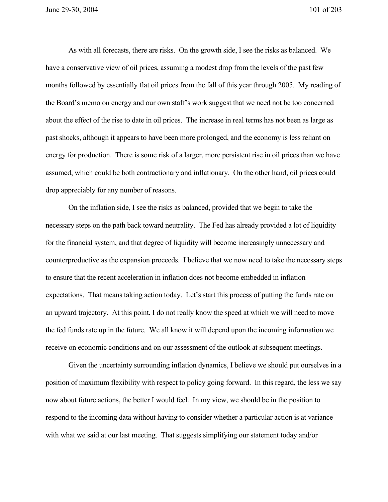As with all forecasts, there are risks. On the growth side, I see the risks as balanced. We have a conservative view of oil prices, assuming a modest drop from the levels of the past few months followed by essentially flat oil prices from the fall of this year through 2005. My reading of the Board's memo on energy and our own staff's work suggest that we need not be too concerned about the effect of the rise to date in oil prices. The increase in real terms has not been as large as past shocks, although it appears to have been more prolonged, and the economy is less reliant on energy for production. There is some risk of a larger, more persistent rise in oil prices than we have assumed, which could be both contractionary and inflationary. On the other hand, oil prices could drop appreciably for any number of reasons.

On the inflation side, I see the risks as balanced, provided that we begin to take the necessary steps on the path back toward neutrality. The Fed has already provided a lot of liquidity for the financial system, and that degree of liquidity will become increasingly unnecessary and counterproductive as the expansion proceeds. I believe that we now need to take the necessary steps to ensure that the recent acceleration in inflation does not become embedded in inflation expectations. That means taking action today. Let's start this process of putting the funds rate on an upward trajectory. At this point, I do not really know the speed at which we will need to move the fed funds rate up in the future. We all know it will depend upon the incoming information we receive on economic conditions and on our assessment of the outlook at subsequent meetings.

Given the uncertainty surrounding inflation dynamics, I believe we should put ourselves in a position of maximum flexibility with respect to policy going forward. In this regard, the less we say now about future actions, the better I would feel. In my view, we should be in the position to respond to the incoming data without having to consider whether a particular action is at variance with what we said at our last meeting. That suggests simplifying our statement today and/or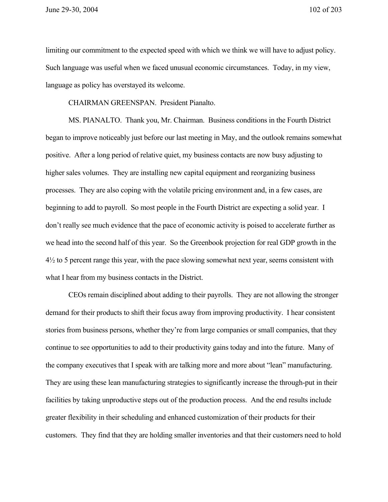June 29-30, 2004 102 of 203

limiting our commitment to the expected speed with which we think we will have to adjust policy. Such language was useful when we faced unusual economic circumstances. Today, in my view, language as policy has overstayed its welcome.

CHAIRMAN GREENSPAN. President Pianalto.

MS. PIANALTO. Thank you, Mr. Chairman. Business conditions in the Fourth District began to improve noticeably just before our last meeting in May, and the outlook remains somewhat positive. After a long period of relative quiet, my business contacts are now busy adjusting to higher sales volumes. They are installing new capital equipment and reorganizing business processes. They are also coping with the volatile pricing environment and, in a few cases, are beginning to add to payroll. So most people in the Fourth District are expecting a solid year. I don't really see much evidence that the pace of economic activity is poised to accelerate further as we head into the second half of this year. So the Greenbook projection for real GDP growth in the 4½ to 5 percent range this year, with the pace slowing somewhat next year, seems consistent with what I hear from my business contacts in the District.

CEOs remain disciplined about adding to their payrolls. They are not allowing the stronger demand for their products to shift their focus away from improving productivity. I hear consistent stories from business persons, whether they're from large companies or small companies, that they continue to see opportunities to add to their productivity gains today and into the future. Many of the company executives that I speak with are talking more and more about "lean" manufacturing. They are using these lean manufacturing strategies to significantly increase the through-put in their facilities by taking unproductive steps out of the production process. And the end results include greater flexibility in their scheduling and enhanced customization of their products for their customers. They find that they are holding smaller inventories and that their customers need to hold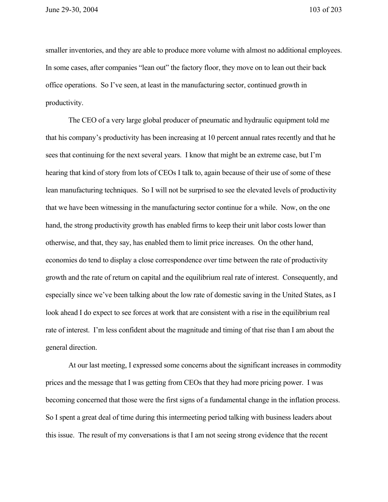smaller inventories, and they are able to produce more volume with almost no additional employees. In some cases, after companies "lean out" the factory floor, they move on to lean out their back office operations. So I've seen, at least in the manufacturing sector, continued growth in productivity.

The CEO of a very large global producer of pneumatic and hydraulic equipment told me that his company's productivity has been increasing at 10 percent annual rates recently and that he sees that continuing for the next several years. I know that might be an extreme case, but I'm hearing that kind of story from lots of CEOs I talk to, again because of their use of some of these lean manufacturing techniques. So I will not be surprised to see the elevated levels of productivity that we have been witnessing in the manufacturing sector continue for a while. Now, on the one hand, the strong productivity growth has enabled firms to keep their unit labor costs lower than otherwise, and that, they say, has enabled them to limit price increases. On the other hand, economies do tend to display a close correspondence over time between the rate of productivity growth and the rate of return on capital and the equilibrium real rate of interest. Consequently, and especially since we've been talking about the low rate of domestic saving in the United States, as I look ahead I do expect to see forces at work that are consistent with a rise in the equilibrium real rate of interest. I'm less confident about the magnitude and timing of that rise than I am about the general direction.

At our last meeting, I expressed some concerns about the significant increases in commodity prices and the message that I was getting from CEOs that they had more pricing power. I was becoming concerned that those were the first signs of a fundamental change in the inflation process. So I spent a great deal of time during this intermeeting period talking with business leaders about this issue. The result of my conversations is that I am not seeing strong evidence that the recent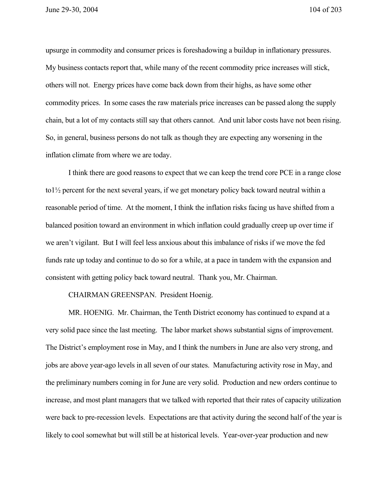upsurge in commodity and consumer prices is foreshadowing a buildup in inflationary pressures. My business contacts report that, while many of the recent commodity price increases will stick, others will not. Energy prices have come back down from their highs, as have some other commodity prices. In some cases the raw materials price increases can be passed along the supply chain, but a lot of my contacts still say that others cannot. And unit labor costs have not been rising. So, in general, business persons do not talk as though they are expecting any worsening in the inflation climate from where we are today.

I think there are good reasons to expect that we can keep the trend core PCE in a range close to1½ percent for the next several years, if we get monetary policy back toward neutral within a reasonable period of time. At the moment, I think the inflation risks facing us have shifted from a balanced position toward an environment in which inflation could gradually creep up over time if we aren't vigilant. But I will feel less anxious about this imbalance of risks if we move the fed funds rate up today and continue to do so for a while, at a pace in tandem with the expansion and consistent with getting policy back toward neutral. Thank you, Mr. Chairman.

## CHAIRMAN GREENSPAN. President Hoenig.

MR. HOENIG. Mr. Chairman, the Tenth District economy has continued to expand at a very solid pace since the last meeting. The labor market shows substantial signs of improvement. The District's employment rose in May, and I think the numbers in June are also very strong, and jobs are above year-ago levels in all seven of our states. Manufacturing activity rose in May, and the preliminary numbers coming in for June are very solid. Production and new orders continue to increase, and most plant managers that we talked with reported that their rates of capacity utilization were back to pre-recession levels. Expectations are that activity during the second half of the year is likely to cool somewhat but will still be at historical levels. Year-over-year production and new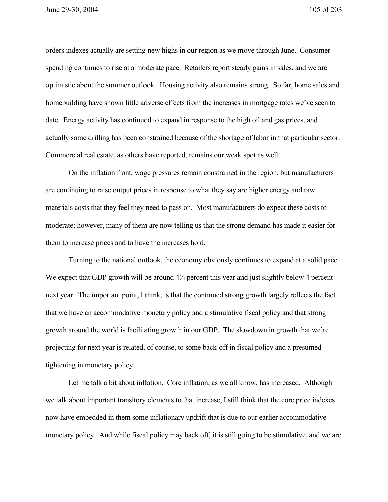orders indexes actually are setting new highs in our region as we move through June. Consumer spending continues to rise at a moderate pace. Retailers report steady gains in sales, and we are optimistic about the summer outlook. Housing activity also remains strong. So far, home sales and homebuilding have shown little adverse effects from the increases in mortgage rates we've seen to date. Energy activity has continued to expand in response to the high oil and gas prices, and actually some drilling has been constrained because of the shortage of labor in that particular sector. Commercial real estate, as others have reported, remains our weak spot as well.

On the inflation front, wage pressures remain constrained in the region, but manufacturers are continuing to raise output prices in response to what they say are higher energy and raw materials costs that they feel they need to pass on. Most manufacturers do expect these costs to moderate; however, many of them are now telling us that the strong demand has made it easier for them to increase prices and to have the increases hold.

Turning to the national outlook, the economy obviously continues to expand at a solid pace. We expect that GDP growth will be around  $4\frac{3}{4}$  percent this year and just slightly below 4 percent next year. The important point, I think, is that the continued strong growth largely reflects the fact that we have an accommodative monetary policy and a stimulative fiscal policy and that strong growth around the world is facilitating growth in our GDP. The slowdown in growth that we're projecting for next year is related, of course, to some back-off in fiscal policy and a presumed tightening in monetary policy.

Let me talk a bit about inflation. Core inflation, as we all know, has increased. Although we talk about important transitory elements to that increase, I still think that the core price indexes now have embedded in them some inflationary updrift that is due to our earlier accommodative monetary policy. And while fiscal policy may back off, it is still going to be stimulative, and we are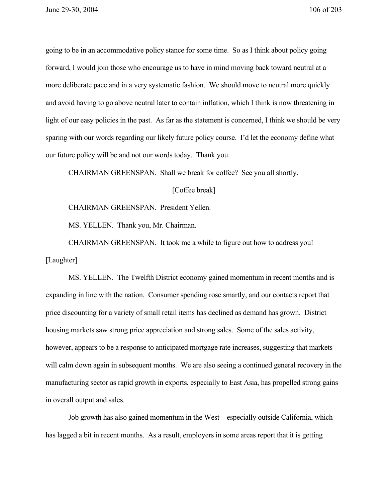going to be in an accommodative policy stance for some time. So as I think about policy going forward, I would join those who encourage us to have in mind moving back toward neutral at a more deliberate pace and in a very systematic fashion. We should move to neutral more quickly and avoid having to go above neutral later to contain inflation, which I think is now threatening in light of our easy policies in the past. As far as the statement is concerned, I think we should be very sparing with our words regarding our likely future policy course. I'd let the economy define what our future policy will be and not our words today. Thank you.

CHAIRMAN GREENSPAN. Shall we break for coffee? See you all shortly.

[Coffee break]

CHAIRMAN GREENSPAN. President Yellen.

MS. YELLEN. Thank you, Mr. Chairman.

CHAIRMAN GREENSPAN. It took me a while to figure out how to address you! [Laughter]

MS. YELLEN. The Twelfth District economy gained momentum in recent months and is expanding in line with the nation. Consumer spending rose smartly, and our contacts report that price discounting for a variety of small retail items has declined as demand has grown. District housing markets saw strong price appreciation and strong sales. Some of the sales activity, however, appears to be a response to anticipated mortgage rate increases, suggesting that markets will calm down again in subsequent months. We are also seeing a continued general recovery in the manufacturing sector as rapid growth in exports, especially to East Asia, has propelled strong gains in overall output and sales.

Job growth has also gained momentum in the West—especially outside California, which has lagged a bit in recent months. As a result, employers in some areas report that it is getting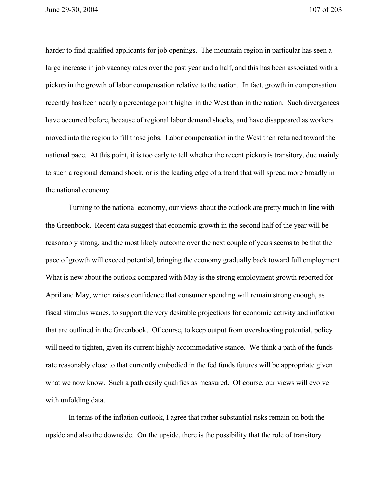June 29-30, 2004 107 of 203

harder to find qualified applicants for job openings. The mountain region in particular has seen a large increase in job vacancy rates over the past year and a half, and this has been associated with a pickup in the growth of labor compensation relative to the nation. In fact, growth in compensation recently has been nearly a percentage point higher in the West than in the nation. Such divergences have occurred before, because of regional labor demand shocks, and have disappeared as workers moved into the region to fill those jobs. Labor compensation in the West then returned toward the national pace. At this point, it is too early to tell whether the recent pickup is transitory, due mainly to such a regional demand shock, or is the leading edge of a trend that will spread more broadly in the national economy.

Turning to the national economy, our views about the outlook are pretty much in line with the Greenbook. Recent data suggest that economic growth in the second half of the year will be reasonably strong, and the most likely outcome over the next couple of years seems to be that the pace of growth will exceed potential, bringing the economy gradually back toward full employment. What is new about the outlook compared with May is the strong employment growth reported for April and May, which raises confidence that consumer spending will remain strong enough, as fiscal stimulus wanes, to support the very desirable projections for economic activity and inflation that are outlined in the Greenbook. Of course, to keep output from overshooting potential, policy will need to tighten, given its current highly accommodative stance. We think a path of the funds rate reasonably close to that currently embodied in the fed funds futures will be appropriate given what we now know. Such a path easily qualifies as measured. Of course, our views will evolve with unfolding data.

In terms of the inflation outlook, I agree that rather substantial risks remain on both the upside and also the downside. On the upside, there is the possibility that the role of transitory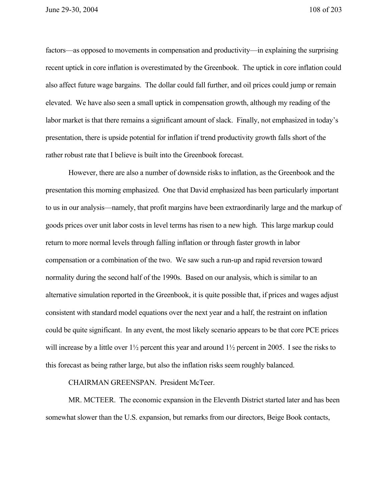factors—as opposed to movements in compensation and productivity—in explaining the surprising recent uptick in core inflation is overestimated by the Greenbook. The uptick in core inflation could also affect future wage bargains. The dollar could fall further, and oil prices could jump or remain elevated. We have also seen a small uptick in compensation growth, although my reading of the labor market is that there remains a significant amount of slack. Finally, not emphasized in today's presentation, there is upside potential for inflation if trend productivity growth falls short of the rather robust rate that I believe is built into the Greenbook forecast.

However, there are also a number of downside risks to inflation, as the Greenbook and the presentation this morning emphasized. One that David emphasized has been particularly important to us in our analysis—namely, that profit margins have been extraordinarily large and the markup of goods prices over unit labor costs in level terms has risen to a new high. This large markup could return to more normal levels through falling inflation or through faster growth in labor compensation or a combination of the two. We saw such a run-up and rapid reversion toward normality during the second half of the 1990s. Based on our analysis, which is similar to an alternative simulation reported in the Greenbook, it is quite possible that, if prices and wages adjust consistent with standard model equations over the next year and a half, the restraint on inflation could be quite significant. In any event, the most likely scenario appears to be that core PCE prices will increase by a little over  $1\frac{1}{2}$  percent this year and around  $1\frac{1}{2}$  percent in 2005. I see the risks to this forecast as being rather large, but also the inflation risks seem roughly balanced.

CHAIRMAN GREENSPAN. President McTeer.

MR. MCTEER. The economic expansion in the Eleventh District started later and has been somewhat slower than the U.S. expansion, but remarks from our directors, Beige Book contacts,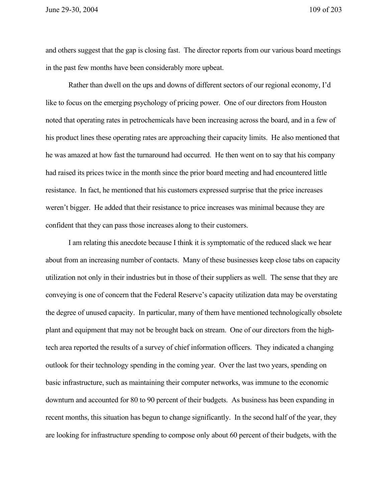and others suggest that the gap is closing fast. The director reports from our various board meetings in the past few months have been considerably more upbeat.

Rather than dwell on the ups and downs of different sectors of our regional economy, I'd like to focus on the emerging psychology of pricing power. One of our directors from Houston noted that operating rates in petrochemicals have been increasing across the board, and in a few of his product lines these operating rates are approaching their capacity limits. He also mentioned that he was amazed at how fast the turnaround had occurred. He then went on to say that his company had raised its prices twice in the month since the prior board meeting and had encountered little resistance. In fact, he mentioned that his customers expressed surprise that the price increases weren't bigger. He added that their resistance to price increases was minimal because they are confident that they can pass those increases along to their customers.

I am relating this anecdote because I think it is symptomatic of the reduced slack we hear about from an increasing number of contacts. Many of these businesses keep close tabs on capacity utilization not only in their industries but in those of their suppliers as well. The sense that they are conveying is one of concern that the Federal Reserve's capacity utilization data may be overstating the degree of unused capacity. In particular, many of them have mentioned technologically obsolete plant and equipment that may not be brought back on stream. One of our directors from the hightech area reported the results of a survey of chief information officers. They indicated a changing outlook for their technology spending in the coming year. Over the last two years, spending on basic infrastructure, such as maintaining their computer networks, was immune to the economic downturn and accounted for 80 to 90 percent of their budgets. As business has been expanding in recent months, this situation has begun to change significantly. In the second half of the year, they are looking for infrastructure spending to compose only about 60 percent of their budgets, with the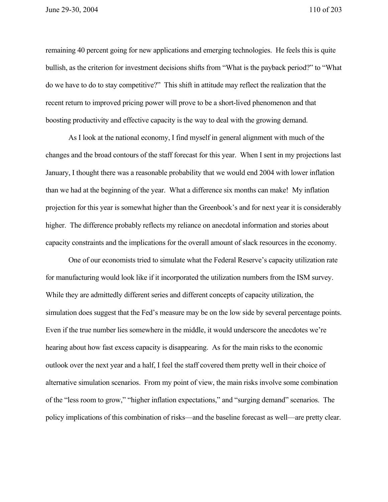remaining 40 percent going for new applications and emerging technologies. He feels this is quite bullish, as the criterion for investment decisions shifts from "What is the payback period?" to "What do we have to do to stay competitive?" This shift in attitude may reflect the realization that the recent return to improved pricing power will prove to be a short-lived phenomenon and that boosting productivity and effective capacity is the way to deal with the growing demand.

As I look at the national economy, I find myself in general alignment with much of the changes and the broad contours of the staff forecast for this year. When I sent in my projections last January, I thought there was a reasonable probability that we would end 2004 with lower inflation than we had at the beginning of the year. What a difference six months can make! My inflation projection for this year is somewhat higher than the Greenbook's and for next year it is considerably higher. The difference probably reflects my reliance on anecdotal information and stories about capacity constraints and the implications for the overall amount of slack resources in the economy.

One of our economists tried to simulate what the Federal Reserve's capacity utilization rate for manufacturing would look like if it incorporated the utilization numbers from the ISM survey. While they are admittedly different series and different concepts of capacity utilization, the simulation does suggest that the Fed's measure may be on the low side by several percentage points. Even if the true number lies somewhere in the middle, it would underscore the anecdotes we're hearing about how fast excess capacity is disappearing. As for the main risks to the economic outlook over the next year and a half, I feel the staff covered them pretty well in their choice of alternative simulation scenarios. From my point of view, the main risks involve some combination of the "less room to grow," "higher inflation expectations," and "surging demand" scenarios. The policy implications of this combination of risks—and the baseline forecast as well—are pretty clear.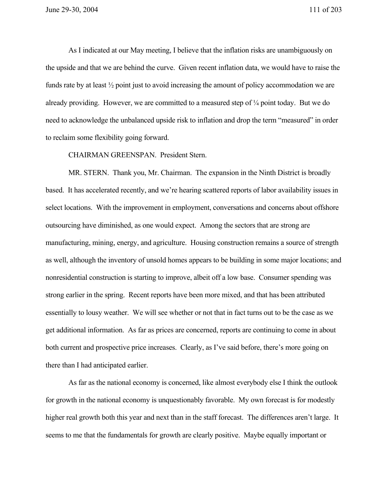As I indicated at our May meeting, I believe that the inflation risks are unambiguously on the upside and that we are behind the curve. Given recent inflation data, we would have to raise the funds rate by at least ½ point just to avoid increasing the amount of policy accommodation we are already providing. However, we are committed to a measured step of ¼ point today. But we do need to acknowledge the unbalanced upside risk to inflation and drop the term "measured" in order to reclaim some flexibility going forward.

CHAIRMAN GREENSPAN. President Stern.

MR. STERN. Thank you, Mr. Chairman. The expansion in the Ninth District is broadly based. It has accelerated recently, and we're hearing scattered reports of labor availability issues in select locations. With the improvement in employment, conversations and concerns about offshore outsourcing have diminished, as one would expect. Among the sectors that are strong are manufacturing, mining, energy, and agriculture. Housing construction remains a source of strength as well, although the inventory of unsold homes appears to be building in some major locations; and nonresidential construction is starting to improve, albeit off a low base. Consumer spending was strong earlier in the spring. Recent reports have been more mixed, and that has been attributed essentially to lousy weather. We will see whether or not that in fact turns out to be the case as we get additional information. As far as prices are concerned, reports are continuing to come in about both current and prospective price increases. Clearly, as I've said before, there's more going on there than I had anticipated earlier.

As far as the national economy is concerned, like almost everybody else I think the outlook for growth in the national economy is unquestionably favorable. My own forecast is for modestly higher real growth both this year and next than in the staff forecast. The differences aren't large. It seems to me that the fundamentals for growth are clearly positive. Maybe equally important or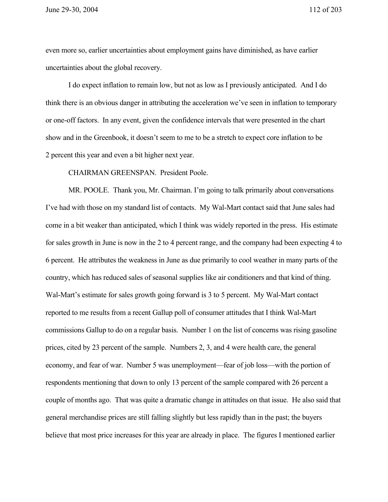June 29-30, 2004 112 of 203

even more so, earlier uncertainties about employment gains have diminished, as have earlier uncertainties about the global recovery.

I do expect inflation to remain low, but not as low as I previously anticipated. And I do think there is an obvious danger in attributing the acceleration we've seen in inflation to temporary or one-off factors. In any event, given the confidence intervals that were presented in the chart show and in the Greenbook, it doesn't seem to me to be a stretch to expect core inflation to be 2 percent this year and even a bit higher next year.

CHAIRMAN GREENSPAN. President Poole.

MR. POOLE. Thank you, Mr. Chairman. I'm going to talk primarily about conversations I've had with those on my standard list of contacts. My Wal-Mart contact said that June sales had come in a bit weaker than anticipated, which I think was widely reported in the press. His estimate for sales growth in June is now in the 2 to 4 percent range, and the company had been expecting 4 to 6 percent. He attributes the weakness in June as due primarily to cool weather in many parts of the country, which has reduced sales of seasonal supplies like air conditioners and that kind of thing. Wal-Mart's estimate for sales growth going forward is 3 to 5 percent. My Wal-Mart contact reported to me results from a recent Gallup poll of consumer attitudes that I think Wal-Mart commissions Gallup to do on a regular basis. Number 1 on the list of concerns was rising gasoline prices, cited by 23 percent of the sample. Numbers 2, 3, and 4 were health care, the general economy, and fear of war. Number 5 was unemployment—fear of job loss—with the portion of respondents mentioning that down to only 13 percent of the sample compared with 26 percent a couple of months ago. That was quite a dramatic change in attitudes on that issue. He also said that general merchandise prices are still falling slightly but less rapidly than in the past; the buyers believe that most price increases for this year are already in place. The figures I mentioned earlier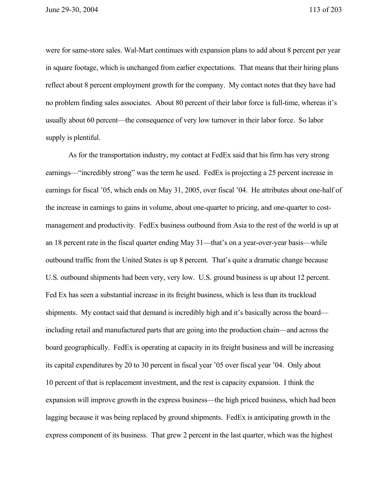were for same-store sales. Wal-Mart continues with expansion plans to add about 8 percent per year in square footage, which is unchanged from earlier expectations. That means that their hiring plans reflect about 8 percent employment growth for the company. My contact notes that they have had no problem finding sales associates. About 80 percent of their labor force is full-time, whereas it's usually about 60 percent—the consequence of very low turnover in their labor force. So labor supply is plentiful.

As for the transportation industry, my contact at FedEx said that his firm has very strong earnings—"incredibly strong" was the term he used. FedEx is projecting a 25 percent increase in earnings for fiscal '05, which ends on May 31, 2005, over fiscal '04. He attributes about one-half of the increase in earnings to gains in volume, about one-quarter to pricing, and one-quarter to costmanagement and productivity. FedEx business outbound from Asia to the rest of the world is up at an 18 percent rate in the fiscal quarter ending May 31—that's on a year-over-year basis—while outbound traffic from the United States is up 8 percent. That's quite a dramatic change because U.S. outbound shipments had been very, very low. U.S. ground business is up about 12 percent. Fed Ex has seen a substantial increase in its freight business, which is less than its truckload shipments. My contact said that demand is incredibly high and it's basically across the board including retail and manufactured parts that are going into the production chain—and across the board geographically. FedEx is operating at capacity in its freight business and will be increasing its capital expenditures by 20 to 30 percent in fiscal year '05 over fiscal year '04. Only about 10 percent of that is replacement investment, and the rest is capacity expansion. I think the expansion will improve growth in the express business—the high priced business, which had been lagging because it was being replaced by ground shipments. FedEx is anticipating growth in the express component of its business. That grew 2 percent in the last quarter, which was the highest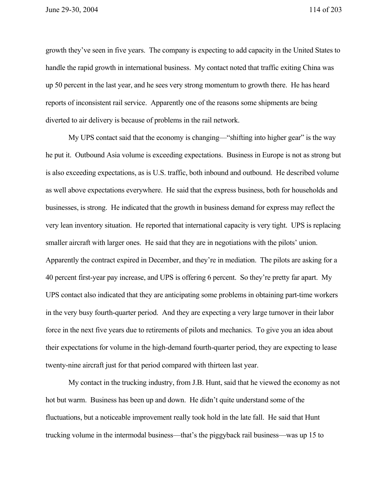growth they've seen in five years. The company is expecting to add capacity in the United States to handle the rapid growth in international business. My contact noted that traffic exiting China was up 50 percent in the last year, and he sees very strong momentum to growth there. He has heard reports of inconsistent rail service. Apparently one of the reasons some shipments are being diverted to air delivery is because of problems in the rail network.

My UPS contact said that the economy is changing—"shifting into higher gear" is the way he put it. Outbound Asia volume is exceeding expectations. Business in Europe is not as strong but is also exceeding expectations, as is U.S. traffic, both inbound and outbound. He described volume as well above expectations everywhere. He said that the express business, both for households and businesses, is strong. He indicated that the growth in business demand for express may reflect the very lean inventory situation. He reported that international capacity is very tight. UPS is replacing smaller aircraft with larger ones. He said that they are in negotiations with the pilots' union. Apparently the contract expired in December, and they're in mediation. The pilots are asking for a 40 percent first-year pay increase, and UPS is offering 6 percent. So they're pretty far apart. My UPS contact also indicated that they are anticipating some problems in obtaining part-time workers in the very busy fourth-quarter period. And they are expecting a very large turnover in their labor force in the next five years due to retirements of pilots and mechanics. To give you an idea about their expectations for volume in the high-demand fourth-quarter period, they are expecting to lease twenty-nine aircraft just for that period compared with thirteen last year.

My contact in the trucking industry, from J.B. Hunt, said that he viewed the economy as not hot but warm. Business has been up and down. He didn't quite understand some of the fluctuations, but a noticeable improvement really took hold in the late fall. He said that Hunt trucking volume in the intermodal business—that's the piggyback rail business—was up 15 to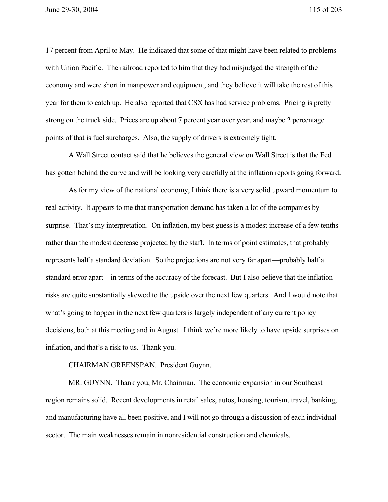17 percent from April to May. He indicated that some of that might have been related to problems with Union Pacific. The railroad reported to him that they had misjudged the strength of the economy and were short in manpower and equipment, and they believe it will take the rest of this year for them to catch up. He also reported that CSX has had service problems. Pricing is pretty strong on the truck side. Prices are up about 7 percent year over year, and maybe 2 percentage points of that is fuel surcharges. Also, the supply of drivers is extremely tight.

A Wall Street contact said that he believes the general view on Wall Street is that the Fed has gotten behind the curve and will be looking very carefully at the inflation reports going forward.

As for my view of the national economy, I think there is a very solid upward momentum to real activity. It appears to me that transportation demand has taken a lot of the companies by surprise. That's my interpretation. On inflation, my best guess is a modest increase of a few tenths rather than the modest decrease projected by the staff. In terms of point estimates, that probably represents half a standard deviation. So the projections are not very far apart—probably half a standard error apart—in terms of the accuracy of the forecast. But I also believe that the inflation risks are quite substantially skewed to the upside over the next few quarters. And I would note that what's going to happen in the next few quarters is largely independent of any current policy decisions, both at this meeting and in August. I think we're more likely to have upside surprises on inflation, and that's a risk to us. Thank you.

CHAIRMAN GREENSPAN. President Guynn.

MR. GUYNN. Thank you, Mr. Chairman. The economic expansion in our Southeast region remains solid. Recent developments in retail sales, autos, housing, tourism, travel, banking, and manufacturing have all been positive, and I will not go through a discussion of each individual sector. The main weaknesses remain in nonresidential construction and chemicals.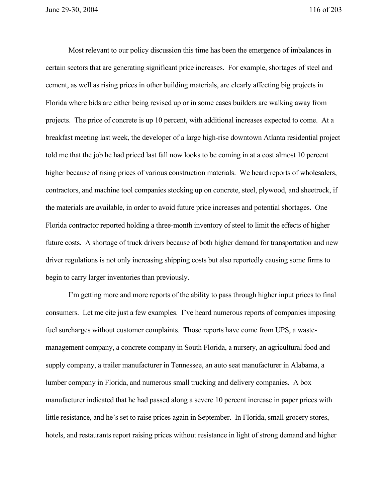Most relevant to our policy discussion this time has been the emergence of imbalances in certain sectors that are generating significant price increases. For example, shortages of steel and cement, as well as rising prices in other building materials, are clearly affecting big projects in Florida where bids are either being revised up or in some cases builders are walking away from projects. The price of concrete is up 10 percent, with additional increases expected to come. At a breakfast meeting last week, the developer of a large high-rise downtown Atlanta residential project told me that the job he had priced last fall now looks to be coming in at a cost almost 10 percent higher because of rising prices of various construction materials. We heard reports of wholesalers, contractors, and machine tool companies stocking up on concrete, steel, plywood, and sheetrock, if the materials are available, in order to avoid future price increases and potential shortages. One Florida contractor reported holding a three-month inventory of steel to limit the effects of higher future costs. A shortage of truck drivers because of both higher demand for transportation and new driver regulations is not only increasing shipping costs but also reportedly causing some firms to begin to carry larger inventories than previously.

I'm getting more and more reports of the ability to pass through higher input prices to final consumers. Let me cite just a few examples. I've heard numerous reports of companies imposing fuel surcharges without customer complaints. Those reports have come from UPS, a wastemanagement company, a concrete company in South Florida, a nursery, an agricultural food and supply company, a trailer manufacturer in Tennessee, an auto seat manufacturer in Alabama, a lumber company in Florida, and numerous small trucking and delivery companies. A box manufacturer indicated that he had passed along a severe 10 percent increase in paper prices with little resistance, and he's set to raise prices again in September. In Florida, small grocery stores, hotels, and restaurants report raising prices without resistance in light of strong demand and higher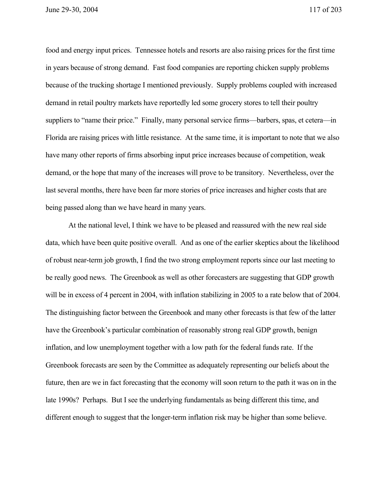June 29-30, 2004 117 of 203

food and energy input prices. Tennessee hotels and resorts are also raising prices for the first time in years because of strong demand. Fast food companies are reporting chicken supply problems because of the trucking shortage I mentioned previously. Supply problems coupled with increased demand in retail poultry markets have reportedly led some grocery stores to tell their poultry suppliers to "name their price." Finally, many personal service firms—barbers, spas, et cetera—in Florida are raising prices with little resistance. At the same time, it is important to note that we also have many other reports of firms absorbing input price increases because of competition, weak demand, or the hope that many of the increases will prove to be transitory. Nevertheless, over the last several months, there have been far more stories of price increases and higher costs that are being passed along than we have heard in many years.

At the national level, I think we have to be pleased and reassured with the new real side data, which have been quite positive overall. And as one of the earlier skeptics about the likelihood of robust near-term job growth, I find the two strong employment reports since our last meeting to be really good news. The Greenbook as well as other forecasters are suggesting that GDP growth will be in excess of 4 percent in 2004, with inflation stabilizing in 2005 to a rate below that of 2004. The distinguishing factor between the Greenbook and many other forecasts is that few of the latter have the Greenbook's particular combination of reasonably strong real GDP growth, benign inflation, and low unemployment together with a low path for the federal funds rate. If the Greenbook forecasts are seen by the Committee as adequately representing our beliefs about the future, then are we in fact forecasting that the economy will soon return to the path it was on in the late 1990s? Perhaps. But I see the underlying fundamentals as being different this time, and different enough to suggest that the longer-term inflation risk may be higher than some believe.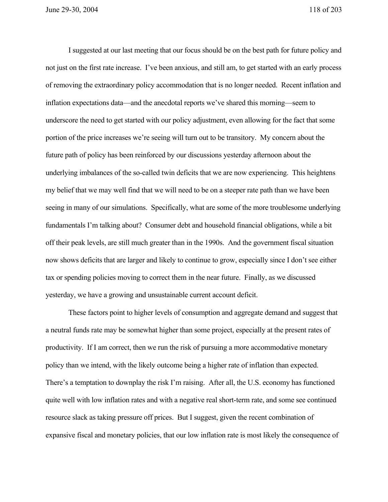I suggested at our last meeting that our focus should be on the best path for future policy and not just on the first rate increase. I've been anxious, and still am, to get started with an early process of removing the extraordinary policy accommodation that is no longer needed. Recent inflation and inflation expectations data—and the anecdotal reports we've shared this morning—seem to underscore the need to get started with our policy adjustment, even allowing for the fact that some portion of the price increases we're seeing will turn out to be transitory. My concern about the future path of policy has been reinforced by our discussions yesterday afternoon about the underlying imbalances of the so-called twin deficits that we are now experiencing. This heightens my belief that we may well find that we will need to be on a steeper rate path than we have been seeing in many of our simulations. Specifically, what are some of the more troublesome underlying fundamentals I'm talking about? Consumer debt and household financial obligations, while a bit off their peak levels, are still much greater than in the 1990s. And the government fiscal situation now shows deficits that are larger and likely to continue to grow, especially since I don't see either tax or spending policies moving to correct them in the near future. Finally, as we discussed yesterday, we have a growing and unsustainable current account deficit.

These factors point to higher levels of consumption and aggregate demand and suggest that a neutral funds rate may be somewhat higher than some project, especially at the present rates of productivity. If I am correct, then we run the risk of pursuing a more accommodative monetary policy than we intend, with the likely outcome being a higher rate of inflation than expected. There's a temptation to downplay the risk I'm raising. After all, the U.S. economy has functioned quite well with low inflation rates and with a negative real short-term rate, and some see continued resource slack as taking pressure off prices. But I suggest, given the recent combination of expansive fiscal and monetary policies, that our low inflation rate is most likely the consequence of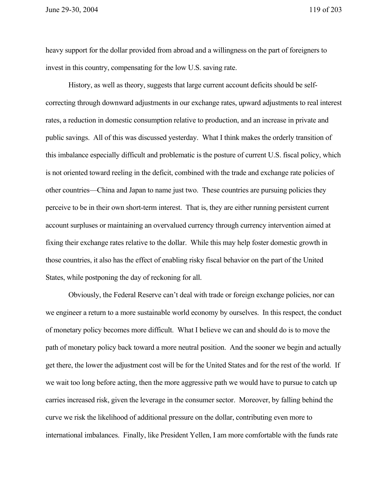heavy support for the dollar provided from abroad and a willingness on the part of foreigners to invest in this country, compensating for the low U.S. saving rate.

History, as well as theory, suggests that large current account deficits should be selfcorrecting through downward adjustments in our exchange rates, upward adjustments to real interest rates, a reduction in domestic consumption relative to production, and an increase in private and public savings. All of this was discussed yesterday. What I think makes the orderly transition of this imbalance especially difficult and problematic is the posture of current U.S. fiscal policy, which is not oriented toward reeling in the deficit, combined with the trade and exchange rate policies of other countries—China and Japan to name just two. These countries are pursuing policies they perceive to be in their own short-term interest. That is, they are either running persistent current account surpluses or maintaining an overvalued currency through currency intervention aimed at fixing their exchange rates relative to the dollar. While this may help foster domestic growth in those countries, it also has the effect of enabling risky fiscal behavior on the part of the United States, while postponing the day of reckoning for all.

Obviously, the Federal Reserve can't deal with trade or foreign exchange policies, nor can we engineer a return to a more sustainable world economy by ourselves. In this respect, the conduct of monetary policy becomes more difficult. What I believe we can and should do is to move the path of monetary policy back toward a more neutral position. And the sooner we begin and actually get there, the lower the adjustment cost will be for the United States and for the rest of the world. If we wait too long before acting, then the more aggressive path we would have to pursue to catch up carries increased risk, given the leverage in the consumer sector. Moreover, by falling behind the curve we risk the likelihood of additional pressure on the dollar, contributing even more to international imbalances. Finally, like President Yellen, I am more comfortable with the funds rate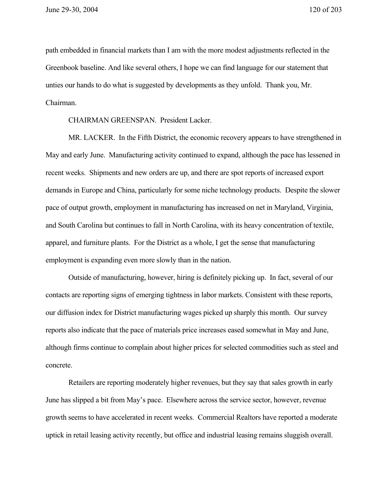path embedded in financial markets than I am with the more modest adjustments reflected in the Greenbook baseline. And like several others, I hope we can find language for our statement that unties our hands to do what is suggested by developments as they unfold. Thank you, Mr. Chairman.

CHAIRMAN GREENSPAN. President Lacker.

MR. LACKER. In the Fifth District, the economic recovery appears to have strengthened in May and early June. Manufacturing activity continued to expand, although the pace has lessened in recent weeks. Shipments and new orders are up, and there are spot reports of increased export demands in Europe and China, particularly for some niche technology products. Despite the slower pace of output growth, employment in manufacturing has increased on net in Maryland, Virginia, and South Carolina but continues to fall in North Carolina, with its heavy concentration of textile, apparel, and furniture plants. For the District as a whole, I get the sense that manufacturing employment is expanding even more slowly than in the nation.

Outside of manufacturing, however, hiring is definitely picking up. In fact, several of our contacts are reporting signs of emerging tightness in labor markets. Consistent with these reports, our diffusion index for District manufacturing wages picked up sharply this month. Our survey reports also indicate that the pace of materials price increases eased somewhat in May and June, although firms continue to complain about higher prices for selected commodities such as steel and concrete.

Retailers are reporting moderately higher revenues, but they say that sales growth in early June has slipped a bit from May's pace. Elsewhere across the service sector, however, revenue growth seems to have accelerated in recent weeks. Commercial Realtors have reported a moderate uptick in retail leasing activity recently, but office and industrial leasing remains sluggish overall.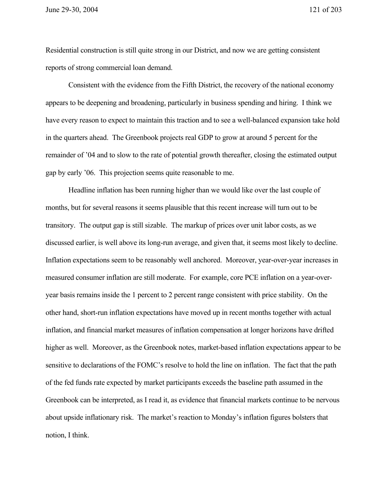June 29-30, 2004 121 of 203

Residential construction is still quite strong in our District, and now we are getting consistent reports of strong commercial loan demand.

Consistent with the evidence from the Fifth District, the recovery of the national economy appears to be deepening and broadening, particularly in business spending and hiring. I think we have every reason to expect to maintain this traction and to see a well-balanced expansion take hold in the quarters ahead. The Greenbook projects real GDP to grow at around 5 percent for the remainder of '04 and to slow to the rate of potential growth thereafter, closing the estimated output gap by early '06. This projection seems quite reasonable to me.

Headline inflation has been running higher than we would like over the last couple of months, but for several reasons it seems plausible that this recent increase will turn out to be transitory. The output gap is still sizable. The markup of prices over unit labor costs, as we discussed earlier, is well above its long-run average, and given that, it seems most likely to decline. Inflation expectations seem to be reasonably well anchored. Moreover, year-over-year increases in measured consumer inflation are still moderate. For example, core PCE inflation on a year-overyear basis remains inside the 1 percent to 2 percent range consistent with price stability. On the other hand, short-run inflation expectations have moved up in recent months together with actual inflation, and financial market measures of inflation compensation at longer horizons have drifted higher as well. Moreover, as the Greenbook notes, market-based inflation expectations appear to be sensitive to declarations of the FOMC's resolve to hold the line on inflation. The fact that the path of the fed funds rate expected by market participants exceeds the baseline path assumed in the Greenbook can be interpreted, as I read it, as evidence that financial markets continue to be nervous about upside inflationary risk. The market's reaction to Monday's inflation figures bolsters that notion, I think.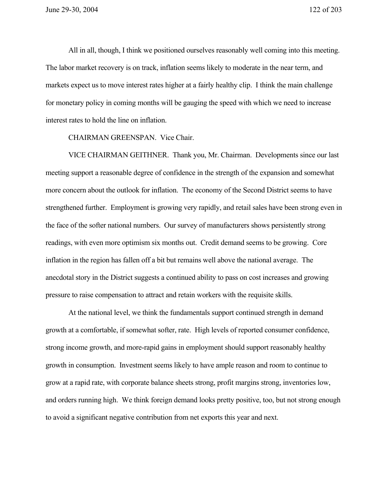All in all, though, I think we positioned ourselves reasonably well coming into this meeting. The labor market recovery is on track, inflation seems likely to moderate in the near term, and markets expect us to move interest rates higher at a fairly healthy clip. I think the main challenge for monetary policy in coming months will be gauging the speed with which we need to increase interest rates to hold the line on inflation.

CHAIRMAN GREENSPAN. Vice Chair.

VICE CHAIRMAN GEITHNER. Thank you, Mr. Chairman. Developments since our last meeting support a reasonable degree of confidence in the strength of the expansion and somewhat more concern about the outlook for inflation. The economy of the Second District seems to have strengthened further. Employment is growing very rapidly, and retail sales have been strong even in the face of the softer national numbers. Our survey of manufacturers shows persistently strong readings, with even more optimism six months out. Credit demand seems to be growing. Core inflation in the region has fallen off a bit but remains well above the national average. The anecdotal story in the District suggests a continued ability to pass on cost increases and growing pressure to raise compensation to attract and retain workers with the requisite skills.

At the national level, we think the fundamentals support continued strength in demand growth at a comfortable, if somewhat softer, rate. High levels of reported consumer confidence, strong income growth, and more-rapid gains in employment should support reasonably healthy growth in consumption. Investment seems likely to have ample reason and room to continue to grow at a rapid rate, with corporate balance sheets strong, profit margins strong, inventories low, and orders running high. We think foreign demand looks pretty positive, too, but not strong enough to avoid a significant negative contribution from net exports this year and next.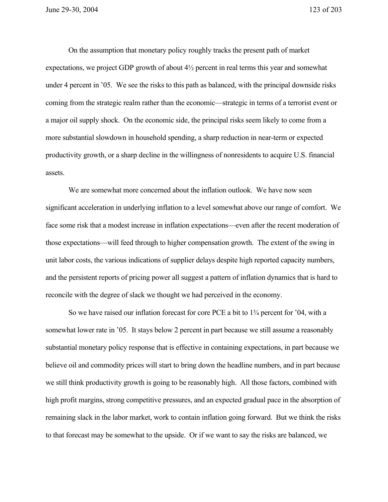On the assumption that monetary policy roughly tracks the present path of market expectations, we project GDP growth of about 4½ percent in real terms this year and somewhat under 4 percent in '05. We see the risks to this path as balanced, with the principal downside risks coming from the strategic realm rather than the economic—strategic in terms of a terrorist event or a major oil supply shock. On the economic side, the principal risks seem likely to come from a more substantial slowdown in household spending, a sharp reduction in near-term or expected productivity growth, or a sharp decline in the willingness of nonresidents to acquire U.S. financial assets.

We are somewhat more concerned about the inflation outlook. We have now seen significant acceleration in underlying inflation to a level somewhat above our range of comfort. We face some risk that a modest increase in inflation expectations—even after the recent moderation of those expectations—will feed through to higher compensation growth. The extent of the swing in unit labor costs, the various indications of supplier delays despite high reported capacity numbers, and the persistent reports of pricing power all suggest a pattern of inflation dynamics that is hard to reconcile with the degree of slack we thought we had perceived in the economy.

So we have raised our inflation forecast for core PCE a bit to 1¾ percent for '04, with a somewhat lower rate in '05. It stays below 2 percent in part because we still assume a reasonably substantial monetary policy response that is effective in containing expectations, in part because we believe oil and commodity prices will start to bring down the headline numbers, and in part because we still think productivity growth is going to be reasonably high. All those factors, combined with high profit margins, strong competitive pressures, and an expected gradual pace in the absorption of remaining slack in the labor market, work to contain inflation going forward. But we think the risks to that forecast may be somewhat to the upside. Or if we want to say the risks are balanced, we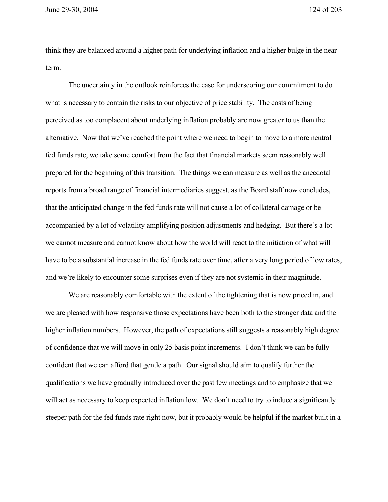June 29-30, 2004 124 of 203

think they are balanced around a higher path for underlying inflation and a higher bulge in the near term.

The uncertainty in the outlook reinforces the case for underscoring our commitment to do what is necessary to contain the risks to our objective of price stability. The costs of being perceived as too complacent about underlying inflation probably are now greater to us than the alternative. Now that we've reached the point where we need to begin to move to a more neutral fed funds rate, we take some comfort from the fact that financial markets seem reasonably well prepared for the beginning of this transition. The things we can measure as well as the anecdotal reports from a broad range of financial intermediaries suggest, as the Board staff now concludes, that the anticipated change in the fed funds rate will not cause a lot of collateral damage or be accompanied by a lot of volatility amplifying position adjustments and hedging. But there's a lot we cannot measure and cannot know about how the world will react to the initiation of what will have to be a substantial increase in the fed funds rate over time, after a very long period of low rates, and we're likely to encounter some surprises even if they are not systemic in their magnitude.

We are reasonably comfortable with the extent of the tightening that is now priced in, and we are pleased with how responsive those expectations have been both to the stronger data and the higher inflation numbers. However, the path of expectations still suggests a reasonably high degree of confidence that we will move in only 25 basis point increments. I don't think we can be fully confident that we can afford that gentle a path. Our signal should aim to qualify further the qualifications we have gradually introduced over the past few meetings and to emphasize that we will act as necessary to keep expected inflation low. We don't need to try to induce a significantly steeper path for the fed funds rate right now, but it probably would be helpful if the market built in a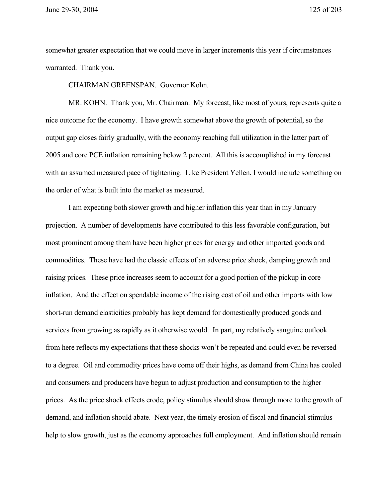somewhat greater expectation that we could move in larger increments this year if circumstances warranted. Thank you.

CHAIRMAN GREENSPAN. Governor Kohn.

MR. KOHN. Thank you, Mr. Chairman. My forecast, like most of yours, represents quite a nice outcome for the economy. I have growth somewhat above the growth of potential, so the output gap closes fairly gradually, with the economy reaching full utilization in the latter part of 2005 and core PCE inflation remaining below 2 percent. All this is accomplished in my forecast with an assumed measured pace of tightening. Like President Yellen, I would include something on the order of what is built into the market as measured.

I am expecting both slower growth and higher inflation this year than in my January projection. A number of developments have contributed to this less favorable configuration, but most prominent among them have been higher prices for energy and other imported goods and commodities. These have had the classic effects of an adverse price shock, damping growth and raising prices. These price increases seem to account for a good portion of the pickup in core inflation. And the effect on spendable income of the rising cost of oil and other imports with low short-run demand elasticities probably has kept demand for domestically produced goods and services from growing as rapidly as it otherwise would. In part, my relatively sanguine outlook from here reflects my expectations that these shocks won't be repeated and could even be reversed to a degree. Oil and commodity prices have come off their highs, as demand from China has cooled and consumers and producers have begun to adjust production and consumption to the higher prices. As the price shock effects erode, policy stimulus should show through more to the growth of demand, and inflation should abate. Next year, the timely erosion of fiscal and financial stimulus help to slow growth, just as the economy approaches full employment. And inflation should remain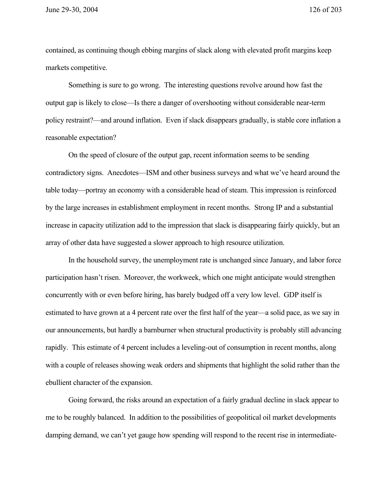contained, as continuing though ebbing margins of slack along with elevated profit margins keep markets competitive.

Something is sure to go wrong. The interesting questions revolve around how fast the output gap is likely to close—Is there a danger of overshooting without considerable near-term policy restraint?—and around inflation. Even if slack disappears gradually, is stable core inflation a reasonable expectation?

On the speed of closure of the output gap, recent information seems to be sending contradictory signs. Anecdotes—ISM and other business surveys and what we've heard around the table today—portray an economy with a considerable head of steam. This impression is reinforced by the large increases in establishment employment in recent months. Strong IP and a substantial increase in capacity utilization add to the impression that slack is disappearing fairly quickly, but an array of other data have suggested a slower approach to high resource utilization.

In the household survey, the unemployment rate is unchanged since January, and labor force participation hasn't risen. Moreover, the workweek, which one might anticipate would strengthen concurrently with or even before hiring, has barely budged off a very low level. GDP itself is estimated to have grown at a 4 percent rate over the first half of the year—a solid pace, as we say in our announcements, but hardly a barnburner when structural productivity is probably still advancing rapidly. This estimate of 4 percent includes a leveling-out of consumption in recent months, along with a couple of releases showing weak orders and shipments that highlight the solid rather than the ebullient character of the expansion.

Going forward, the risks around an expectation of a fairly gradual decline in slack appear to me to be roughly balanced. In addition to the possibilities of geopolitical oil market developments damping demand, we can't yet gauge how spending will respond to the recent rise in intermediate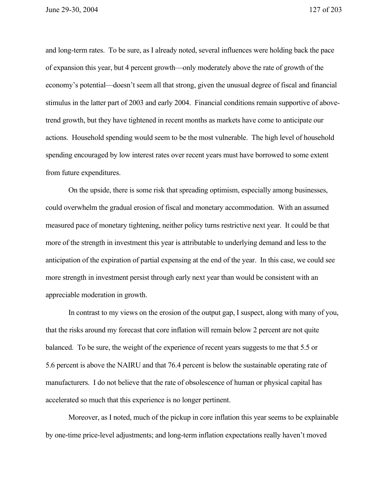June 29-30, 2004 127 of 203

and long-term rates. To be sure, as I already noted, several influences were holding back the pace of expansion this year, but 4 percent growth—only moderately above the rate of growth of the economy's potential—doesn't seem all that strong, given the unusual degree of fiscal and financial stimulus in the latter part of 2003 and early 2004. Financial conditions remain supportive of abovetrend growth, but they have tightened in recent months as markets have come to anticipate our actions. Household spending would seem to be the most vulnerable. The high level of household spending encouraged by low interest rates over recent years must have borrowed to some extent from future expenditures.

On the upside, there is some risk that spreading optimism, especially among businesses, could overwhelm the gradual erosion of fiscal and monetary accommodation. With an assumed measured pace of monetary tightening, neither policy turns restrictive next year. It could be that more of the strength in investment this year is attributable to underlying demand and less to the anticipation of the expiration of partial expensing at the end of the year. In this case, we could see more strength in investment persist through early next year than would be consistent with an appreciable moderation in growth.

In contrast to my views on the erosion of the output gap, I suspect, along with many of you, that the risks around my forecast that core inflation will remain below 2 percent are not quite balanced. To be sure, the weight of the experience of recent years suggests to me that 5.5 or 5.6 percent is above the NAIRU and that 76.4 percent is below the sustainable operating rate of manufacturers. I do not believe that the rate of obsolescence of human or physical capital has accelerated so much that this experience is no longer pertinent.

Moreover, as I noted, much of the pickup in core inflation this year seems to be explainable by one-time price-level adjustments; and long-term inflation expectations really haven't moved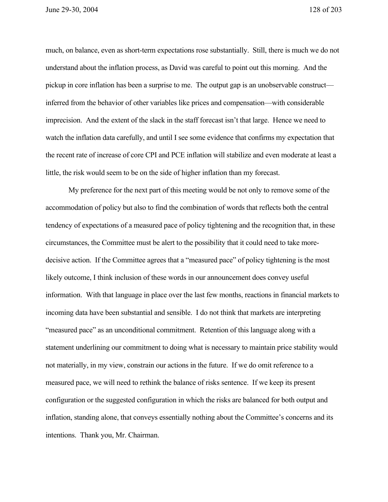June 29-30, 2004 128 of 203

much, on balance, even as short-term expectations rose substantially. Still, there is much we do not understand about the inflation process, as David was careful to point out this morning. And the pickup in core inflation has been a surprise to me. The output gap is an unobservable construct inferred from the behavior of other variables like prices and compensation—with considerable imprecision. And the extent of the slack in the staff forecast isn't that large. Hence we need to watch the inflation data carefully, and until I see some evidence that confirms my expectation that the recent rate of increase of core CPI and PCE inflation will stabilize and even moderate at least a little, the risk would seem to be on the side of higher inflation than my forecast.

My preference for the next part of this meeting would be not only to remove some of the accommodation of policy but also to find the combination of words that reflects both the central tendency of expectations of a measured pace of policy tightening and the recognition that, in these circumstances, the Committee must be alert to the possibility that it could need to take moredecisive action. If the Committee agrees that a "measured pace" of policy tightening is the most likely outcome, I think inclusion of these words in our announcement does convey useful information. With that language in place over the last few months, reactions in financial markets to incoming data have been substantial and sensible. I do not think that markets are interpreting "measured pace" as an unconditional commitment. Retention of this language along with a statement underlining our commitment to doing what is necessary to maintain price stability would not materially, in my view, constrain our actions in the future. If we do omit reference to a measured pace, we will need to rethink the balance of risks sentence. If we keep its present configuration or the suggested configuration in which the risks are balanced for both output and inflation, standing alone, that conveys essentially nothing about the Committee's concerns and its intentions. Thank you, Mr. Chairman.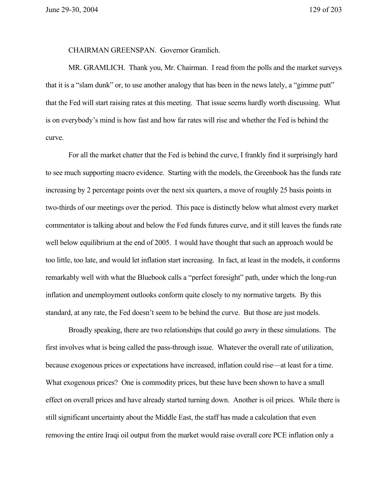June 29-30, 2004 129 of 203

CHAIRMAN GREENSPAN. Governor Gramlich.

MR. GRAMLICH. Thank you, Mr. Chairman. I read from the polls and the market surveys that it is a "slam dunk" or, to use another analogy that has been in the news lately, a "gimme putt" that the Fed will start raising rates at this meeting. That issue seems hardly worth discussing. What is on everybody's mind is how fast and how far rates will rise and whether the Fed is behind the curve.

For all the market chatter that the Fed is behind the curve, I frankly find it surprisingly hard to see much supporting macro evidence. Starting with the models, the Greenbook has the funds rate increasing by 2 percentage points over the next six quarters, a move of roughly 25 basis points in two-thirds of our meetings over the period. This pace is distinctly below what almost every market commentator is talking about and below the Fed funds futures curve, and it still leaves the funds rate well below equilibrium at the end of 2005. I would have thought that such an approach would be too little, too late, and would let inflation start increasing. In fact, at least in the models, it conforms remarkably well with what the Bluebook calls a "perfect foresight" path, under which the long-run inflation and unemployment outlooks conform quite closely to my normative targets. By this standard, at any rate, the Fed doesn't seem to be behind the curve. But those are just models.

Broadly speaking, there are two relationships that could go awry in these simulations. The first involves what is being called the pass-through issue. Whatever the overall rate of utilization, because exogenous prices or expectations have increased, inflation could rise—at least for a time. What exogenous prices? One is commodity prices, but these have been shown to have a small effect on overall prices and have already started turning down. Another is oil prices. While there is still significant uncertainty about the Middle East, the staff has made a calculation that even removing the entire Iraqi oil output from the market would raise overall core PCE inflation only a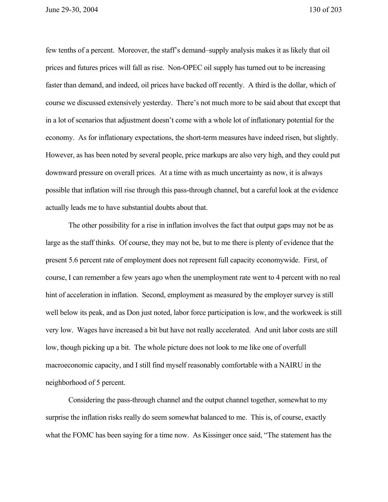June 29-30, 2004 130 of 203

few tenths of a percent. Moreover, the staff's demand–supply analysis makes it as likely that oil prices and futures prices will fall as rise. Non-OPEC oil supply has turned out to be increasing faster than demand, and indeed, oil prices have backed off recently. A third is the dollar, which of course we discussed extensively yesterday. There's not much more to be said about that except that in a lot of scenarios that adjustment doesn't come with a whole lot of inflationary potential for the economy. As for inflationary expectations, the short-term measures have indeed risen, but slightly. However, as has been noted by several people, price markups are also very high, and they could put downward pressure on overall prices. At a time with as much uncertainty as now, it is always possible that inflation will rise through this pass-through channel, but a careful look at the evidence actually leads me to have substantial doubts about that.

The other possibility for a rise in inflation involves the fact that output gaps may not be as large as the staff thinks. Of course, they may not be, but to me there is plenty of evidence that the present 5.6 percent rate of employment does not represent full capacity economywide. First, of course, I can remember a few years ago when the unemployment rate went to 4 percent with no real hint of acceleration in inflation. Second, employment as measured by the employer survey is still well below its peak, and as Don just noted, labor force participation is low, and the workweek is still very low. Wages have increased a bit but have not really accelerated. And unit labor costs are still low, though picking up a bit. The whole picture does not look to me like one of overfull macroeconomic capacity, and I still find myself reasonably comfortable with a NAIRU in the neighborhood of 5 percent.

Considering the pass-through channel and the output channel together, somewhat to my surprise the inflation risks really do seem somewhat balanced to me. This is, of course, exactly what the FOMC has been saying for a time now. As Kissinger once said, "The statement has the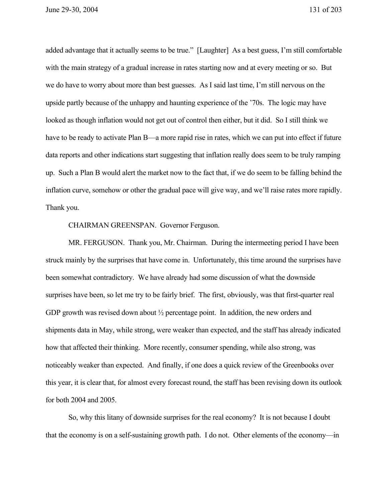added advantage that it actually seems to be true." [Laughter] As a best guess, I'm still comfortable with the main strategy of a gradual increase in rates starting now and at every meeting or so. But we do have to worry about more than best guesses. As I said last time, I'm still nervous on the upside partly because of the unhappy and haunting experience of the '70s. The logic may have looked as though inflation would not get out of control then either, but it did. So I still think we have to be ready to activate Plan B—a more rapid rise in rates, which we can put into effect if future data reports and other indications start suggesting that inflation really does seem to be truly ramping up. Such a Plan B would alert the market now to the fact that, if we do seem to be falling behind the inflation curve, somehow or other the gradual pace will give way, and we'll raise rates more rapidly. Thank you.

## CHAIRMAN GREENSPAN. Governor Ferguson.

MR. FERGUSON. Thank you, Mr. Chairman. During the intermeeting period I have been struck mainly by the surprises that have come in. Unfortunately, this time around the surprises have been somewhat contradictory. We have already had some discussion of what the downside surprises have been, so let me try to be fairly brief. The first, obviously, was that first-quarter real GDP growth was revised down about  $\frac{1}{2}$  percentage point. In addition, the new orders and shipments data in May, while strong, were weaker than expected, and the staff has already indicated how that affected their thinking. More recently, consumer spending, while also strong, was noticeably weaker than expected. And finally, if one does a quick review of the Greenbooks over this year, it is clear that, for almost every forecast round, the staff has been revising down its outlook for both 2004 and 2005.

So, why this litany of downside surprises for the real economy? It is not because I doubt that the economy is on a self-sustaining growth path. I do not. Other elements of the economy—in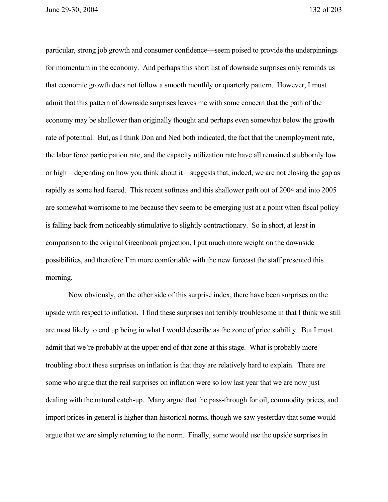June 29-30, 2004 132 of 203

particular, strong job growth and consumer confidence—seem poised to provide the underpinnings for momentum in the economy. And perhaps this short list of downside surprises only reminds us that economic growth does not follow a smooth monthly or quarterly pattern. However, I must admit that this pattern of downside surprises leaves me with some concern that the path of the economy may be shallower than originally thought and perhaps even somewhat below the growth rate of potential. But, as I think Don and Ned both indicated, the fact that the unemployment rate, the labor force participation rate, and the capacity utilization rate have all remained stubbornly low or high—depending on how you think about it—suggests that, indeed, we are not closing the gap as rapidly as some had feared. This recent softness and this shallower path out of 2004 and into 2005 are somewhat worrisome to me because they seem to be emerging just at a point when fiscal policy is falling back from noticeably stimulative to slightly contractionary. So in short, at least in comparison to the original Greenbook projection, I put much more weight on the downside possibilities, and therefore I'm more comfortable with the new forecast the staff presented this morning.

Now obviously, on the other side of this surprise index, there have been surprises on the upside with respect to inflation. I find these surprises not terribly troublesome in that I think we still are most likely to end up being in what I would describe as the zone of price stability. But I must admit that we're probably at the upper end of that zone at this stage. What is probably more troubling about these surprises on inflation is that they are relatively hard to explain. There are some who argue that the real surprises on inflation were so low last year that we are now just dealing with the natural catch-up. Many argue that the pass-through for oil, commodity prices, and import prices in general is higher than historical norms, though we saw yesterday that some would argue that we are simply returning to the norm. Finally, some would use the upside surprises in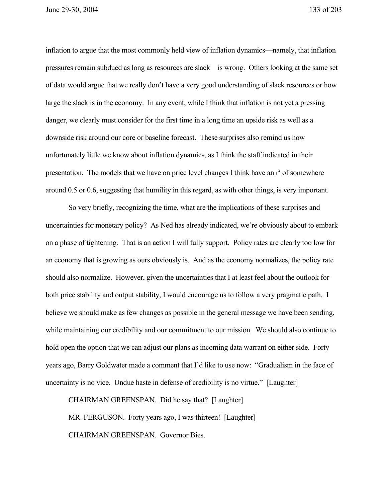June 29-30, 2004 133 of 203

inflation to argue that the most commonly held view of inflation dynamics—namely, that inflation pressures remain subdued as long as resources are slack—is wrong. Others looking at the same set of data would argue that we really don't have a very good understanding of slack resources or how large the slack is in the economy. In any event, while I think that inflation is not yet a pressing danger, we clearly must consider for the first time in a long time an upside risk as well as a downside risk around our core or baseline forecast. These surprises also remind us how unfortunately little we know about inflation dynamics, as I think the staff indicated in their presentation. The models that we have on price level changes I think have an  $r^2$  of somewhere around 0.5 or 0.6, suggesting that humility in this regard, as with other things, is very important.

So very briefly, recognizing the time, what are the implications of these surprises and uncertainties for monetary policy? As Ned has already indicated, we're obviously about to embark on a phase of tightening. That is an action I will fully support. Policy rates are clearly too low for an economy that is growing as ours obviously is. And as the economy normalizes, the policy rate should also normalize. However, given the uncertainties that I at least feel about the outlook for both price stability and output stability, I would encourage us to follow a very pragmatic path. I believe we should make as few changes as possible in the general message we have been sending, while maintaining our credibility and our commitment to our mission. We should also continue to hold open the option that we can adjust our plans as incoming data warrant on either side. Forty years ago, Barry Goldwater made a comment that I'd like to use now: "Gradualism in the face of uncertainty is no vice. Undue haste in defense of credibility is no virtue." [Laughter]

CHAIRMAN GREENSPAN. Did he say that? [Laughter] MR. FERGUSON. Forty years ago, I was thirteen! [Laughter] CHAIRMAN GREENSPAN. Governor Bies.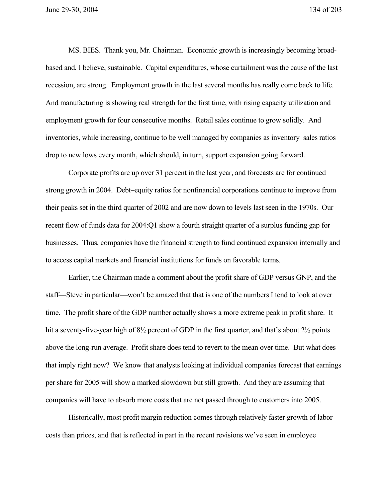MS. BIES. Thank you, Mr. Chairman. Economic growth is increasingly becoming broadbased and, I believe, sustainable. Capital expenditures, whose curtailment was the cause of the last recession, are strong. Employment growth in the last several months has really come back to life. And manufacturing is showing real strength for the first time, with rising capacity utilization and employment growth for four consecutive months. Retail sales continue to grow solidly. And inventories, while increasing, continue to be well managed by companies as inventory–sales ratios drop to new lows every month, which should, in turn, support expansion going forward.

Corporate profits are up over 31 percent in the last year, and forecasts are for continued strong growth in 2004. Debt–equity ratios for nonfinancial corporations continue to improve from their peaks set in the third quarter of 2002 and are now down to levels last seen in the 1970s. Our recent flow of funds data for 2004:Q1 show a fourth straight quarter of a surplus funding gap for businesses. Thus, companies have the financial strength to fund continued expansion internally and to access capital markets and financial institutions for funds on favorable terms.

Earlier, the Chairman made a comment about the profit share of GDP versus GNP, and the staff—Steve in particular—won't be amazed that that is one of the numbers I tend to look at over time. The profit share of the GDP number actually shows a more extreme peak in profit share. It hit a seventy-five-year high of  $8\frac{1}{2}$  percent of GDP in the first quarter, and that's about  $2\frac{1}{2}$  points above the long-run average. Profit share does tend to revert to the mean over time. But what does that imply right now? We know that analysts looking at individual companies forecast that earnings per share for 2005 will show a marked slowdown but still growth. And they are assuming that companies will have to absorb more costs that are not passed through to customers into 2005.

Historically, most profit margin reduction comes through relatively faster growth of labor costs than prices, and that is reflected in part in the recent revisions we've seen in employee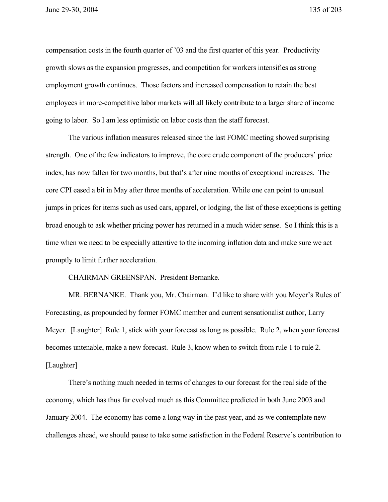compensation costs in the fourth quarter of '03 and the first quarter of this year. Productivity growth slows as the expansion progresses, and competition for workers intensifies as strong employment growth continues. Those factors and increased compensation to retain the best employees in more-competitive labor markets will all likely contribute to a larger share of income going to labor. So I am less optimistic on labor costs than the staff forecast.

The various inflation measures released since the last FOMC meeting showed surprising strength. One of the few indicators to improve, the core crude component of the producers' price index, has now fallen for two months, but that's after nine months of exceptional increases. The core CPI eased a bit in May after three months of acceleration. While one can point to unusual jumps in prices for items such as used cars, apparel, or lodging, the list of these exceptions is getting broad enough to ask whether pricing power has returned in a much wider sense. So I think this is a time when we need to be especially attentive to the incoming inflation data and make sure we act promptly to limit further acceleration.

CHAIRMAN GREENSPAN. President Bernanke.

MR. BERNANKE. Thank you, Mr. Chairman. I'd like to share with you Meyer's Rules of Forecasting, as propounded by former FOMC member and current sensationalist author, Larry Meyer. [Laughter] Rule 1, stick with your forecast as long as possible. Rule 2, when your forecast becomes untenable, make a new forecast. Rule 3, know when to switch from rule 1 to rule 2. [Laughter]

There's nothing much needed in terms of changes to our forecast for the real side of the economy, which has thus far evolved much as this Committee predicted in both June 2003 and January 2004. The economy has come a long way in the past year, and as we contemplate new challenges ahead, we should pause to take some satisfaction in the Federal Reserve's contribution to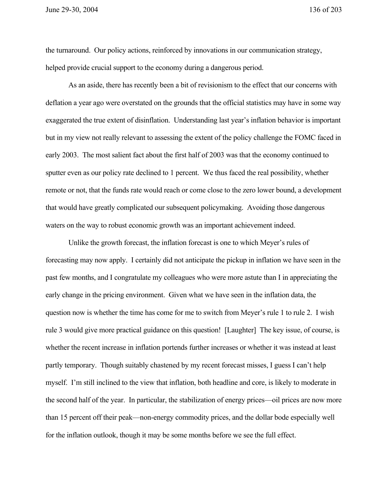the turnaround. Our policy actions, reinforced by innovations in our communication strategy, helped provide crucial support to the economy during a dangerous period.

As an aside, there has recently been a bit of revisionism to the effect that our concerns with deflation a year ago were overstated on the grounds that the official statistics may have in some way exaggerated the true extent of disinflation. Understanding last year's inflation behavior is important but in my view not really relevant to assessing the extent of the policy challenge the FOMC faced in early 2003. The most salient fact about the first half of 2003 was that the economy continued to sputter even as our policy rate declined to 1 percent. We thus faced the real possibility, whether remote or not, that the funds rate would reach or come close to the zero lower bound, a development that would have greatly complicated our subsequent policymaking. Avoiding those dangerous waters on the way to robust economic growth was an important achievement indeed.

Unlike the growth forecast, the inflation forecast is one to which Meyer's rules of forecasting may now apply. I certainly did not anticipate the pickup in inflation we have seen in the past few months, and I congratulate my colleagues who were more astute than I in appreciating the early change in the pricing environment. Given what we have seen in the inflation data, the question now is whether the time has come for me to switch from Meyer's rule 1 to rule 2. I wish rule 3 would give more practical guidance on this question! [Laughter] The key issue, of course, is whether the recent increase in inflation portends further increases or whether it was instead at least partly temporary. Though suitably chastened by my recent forecast misses, I guess I can't help myself. I'm still inclined to the view that inflation, both headline and core, is likely to moderate in the second half of the year. In particular, the stabilization of energy prices—oil prices are now more than 15 percent off their peak—non-energy commodity prices, and the dollar bode especially well for the inflation outlook, though it may be some months before we see the full effect.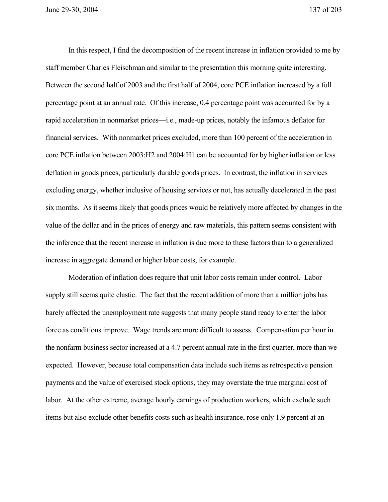In this respect, I find the decomposition of the recent increase in inflation provided to me by staff member Charles Fleischman and similar to the presentation this morning quite interesting. Between the second half of 2003 and the first half of 2004, core PCE inflation increased by a full percentage point at an annual rate. Of this increase, 0.4 percentage point was accounted for by a rapid acceleration in nonmarket prices—i.e., made-up prices, notably the infamous deflator for financial services. With nonmarket prices excluded, more than 100 percent of the acceleration in core PCE inflation between 2003:H2 and 2004:H1 can be accounted for by higher inflation or less deflation in goods prices, particularly durable goods prices. In contrast, the inflation in services excluding energy, whether inclusive of housing services or not, has actually decelerated in the past six months. As it seems likely that goods prices would be relatively more affected by changes in the value of the dollar and in the prices of energy and raw materials, this pattern seems consistent with the inference that the recent increase in inflation is due more to these factors than to a generalized increase in aggregate demand or higher labor costs, for example.

Moderation of inflation does require that unit labor costs remain under control. Labor supply still seems quite elastic. The fact that the recent addition of more than a million jobs has barely affected the unemployment rate suggests that many people stand ready to enter the labor force as conditions improve. Wage trends are more difficult to assess. Compensation per hour in the nonfarm business sector increased at a 4.7 percent annual rate in the first quarter, more than we expected. However, because total compensation data include such items as retrospective pension payments and the value of exercised stock options, they may overstate the true marginal cost of labor. At the other extreme, average hourly earnings of production workers, which exclude such items but also exclude other benefits costs such as health insurance, rose only 1.9 percent at an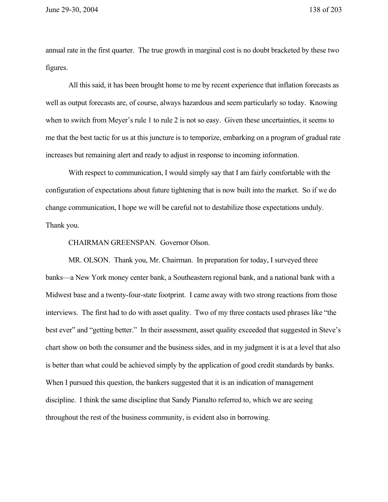annual rate in the first quarter. The true growth in marginal cost is no doubt bracketed by these two figures.

All this said, it has been brought home to me by recent experience that inflation forecasts as well as output forecasts are, of course, always hazardous and seem particularly so today. Knowing when to switch from Meyer's rule 1 to rule 2 is not so easy. Given these uncertainties, it seems to me that the best tactic for us at this juncture is to temporize, embarking on a program of gradual rate increases but remaining alert and ready to adjust in response to incoming information.

With respect to communication, I would simply say that I am fairly comfortable with the configuration of expectations about future tightening that is now built into the market. So if we do change communication, I hope we will be careful not to destabilize those expectations unduly. Thank you.

CHAIRMAN GREENSPAN. Governor Olson.

MR. OLSON. Thank you, Mr. Chairman. In preparation for today, I surveyed three banks—a New York money center bank, a Southeastern regional bank, and a national bank with a Midwest base and a twenty-four-state footprint. I came away with two strong reactions from those interviews. The first had to do with asset quality. Two of my three contacts used phrases like "the best ever" and "getting better." In their assessment, asset quality exceeded that suggested in Steve's chart show on both the consumer and the business sides, and in my judgment it is at a level that also is better than what could be achieved simply by the application of good credit standards by banks. When I pursued this question, the bankers suggested that it is an indication of management discipline. I think the same discipline that Sandy Pianalto referred to, which we are seeing throughout the rest of the business community, is evident also in borrowing.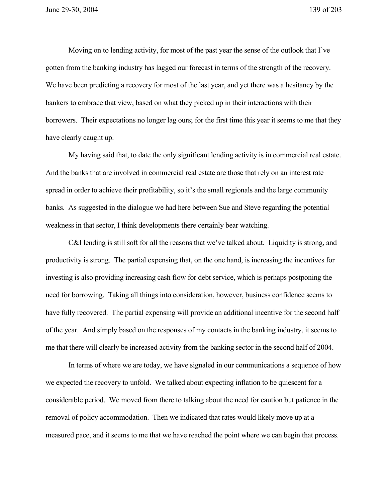Moving on to lending activity, for most of the past year the sense of the outlook that I've gotten from the banking industry has lagged our forecast in terms of the strength of the recovery. We have been predicting a recovery for most of the last year, and yet there was a hesitancy by the bankers to embrace that view, based on what they picked up in their interactions with their borrowers. Their expectations no longer lag ours; for the first time this year it seems to me that they have clearly caught up.

My having said that, to date the only significant lending activity is in commercial real estate. And the banks that are involved in commercial real estate are those that rely on an interest rate spread in order to achieve their profitability, so it's the small regionals and the large community banks. As suggested in the dialogue we had here between Sue and Steve regarding the potential weakness in that sector, I think developments there certainly bear watching.

C&I lending is still soft for all the reasons that we've talked about. Liquidity is strong, and productivity is strong. The partial expensing that, on the one hand, is increasing the incentives for investing is also providing increasing cash flow for debt service, which is perhaps postponing the need for borrowing. Taking all things into consideration, however, business confidence seems to have fully recovered. The partial expensing will provide an additional incentive for the second half of the year. And simply based on the responses of my contacts in the banking industry, it seems to me that there will clearly be increased activity from the banking sector in the second half of 2004.

In terms of where we are today, we have signaled in our communications a sequence of how we expected the recovery to unfold. We talked about expecting inflation to be quiescent for a considerable period. We moved from there to talking about the need for caution but patience in the removal of policy accommodation. Then we indicated that rates would likely move up at a measured pace, and it seems to me that we have reached the point where we can begin that process.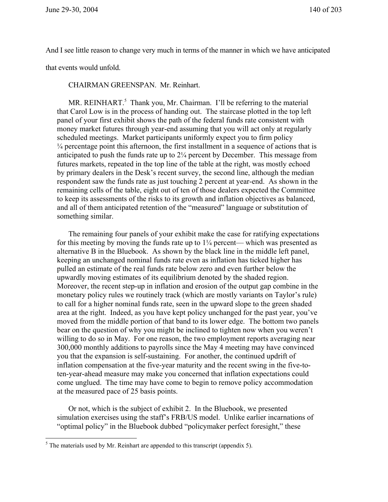And I see little reason to change very much in terms of the manner in which we have anticipated

that events would unfold.

## CHAIRMAN GREENSPAN. Mr. Reinhart.

MR. REINHART. $5$  Thank you, Mr. Chairman. I'll be referring to the material that Carol Low is in the process of handing out. The staircase plotted in the top left panel of your first exhibit shows the path of the federal funds rate consistent with money market futures through year-end assuming that you will act only at regularly scheduled meetings. Market participants uniformly expect you to firm policy  $\frac{1}{4}$  percentage point this afternoon, the first installment in a sequence of actions that is anticipated to push the funds rate up to 2¼ percent by December. This message from futures markets, repeated in the top line of the table at the right, was mostly echoed by primary dealers in the Desk's recent survey, the second line, although the median respondent saw the funds rate as just touching 2 percent at year-end. As shown in the remaining cells of the table, eight out of ten of those dealers expected the Committee to keep its assessments of the risks to its growth and inflation objectives as balanced, and all of them anticipated retention of the "measured" language or substitution of something similar.

The remaining four panels of your exhibit make the case for ratifying expectations for this meeting by moving the funds rate up to  $1\frac{1}{4}$  percent— which was presented as alternative B in the Bluebook. As shown by the black line in the middle left panel, keeping an unchanged nominal funds rate even as inflation has ticked higher has pulled an estimate of the real funds rate below zero and even further below the upwardly moving estimates of its equilibrium denoted by the shaded region. Moreover, the recent step-up in inflation and erosion of the output gap combine in the monetary policy rules we routinely track (which are mostly variants on Taylor's rule) to call for a higher nominal funds rate, seen in the upward slope to the green shaded area at the right. Indeed, as you have kept policy unchanged for the past year, you've moved from the middle portion of that band to its lower edge. The bottom two panels bear on the question of why you might be inclined to tighten now when you weren't willing to do so in May. For one reason, the two employment reports averaging near 300,000 monthly additions to payrolls since the May 4 meeting may have convinced you that the expansion is self-sustaining. For another, the continued updrift of inflation compensation at the five-year maturity and the recent swing in the five-toten-year-ahead measure may make you concerned that inflation expectations could come unglued. The time may have come to begin to remove policy accommodation at the measured pace of 25 basis points.

Or not, which is the subject of exhibit 2. In the Bluebook, we presented simulation exercises using the staff's FRB/US model. Unlike earlier incarnations of "optimal policy" in the Bluebook dubbed "policymaker perfect foresight," these

<sup>&</sup>lt;sup>5</sup> The materials used by Mr. Reinhart are appended to this transcript (appendix 5).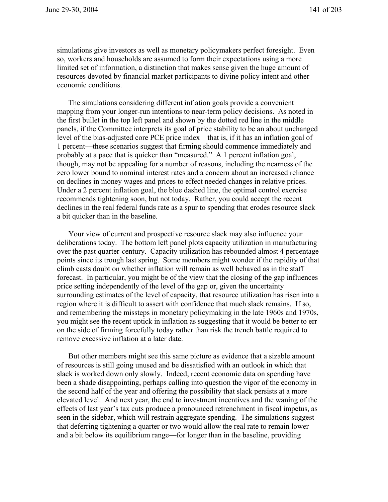simulations give investors as well as monetary policymakers perfect foresight. Even so, workers and households are assumed to form their expectations using a more limited set of information, a distinction that makes sense given the huge amount of resources devoted by financial market participants to divine policy intent and other economic conditions.

The simulations considering different inflation goals provide a convenient mapping from your longer-run intentions to near-term policy decisions. As noted in the first bullet in the top left panel and shown by the dotted red line in the middle panels, if the Committee interprets its goal of price stability to be an about unchanged level of the bias-adjusted core PCE price index—that is, if it has an inflation goal of 1 percent—these scenarios suggest that firming should commence immediately and probably at a pace that is quicker than "measured." A 1 percent inflation goal, though, may not be appealing for a number of reasons, including the nearness of the zero lower bound to nominal interest rates and a concern about an increased reliance on declines in money wages and prices to effect needed changes in relative prices. Under a 2 percent inflation goal, the blue dashed line, the optimal control exercise recommends tightening soon, but not today. Rather, you could accept the recent declines in the real federal funds rate as a spur to spending that erodes resource slack a bit quicker than in the baseline.

Your view of current and prospective resource slack may also influence your deliberations today. The bottom left panel plots capacity utilization in manufacturing over the past quarter-century. Capacity utilization has rebounded almost 4 percentage points since its trough last spring. Some members might wonder if the rapidity of that climb casts doubt on whether inflation will remain as well behaved as in the staff forecast. In particular, you might be of the view that the closing of the gap influences price setting independently of the level of the gap or, given the uncertainty surrounding estimates of the level of capacity, that resource utilization has risen into a region where it is difficult to assert with confidence that much slack remains. If so, and remembering the missteps in monetary policymaking in the late 1960s and 1970s, you might see the recent uptick in inflation as suggesting that it would be better to err on the side of firming forcefully today rather than risk the trench battle required to remove excessive inflation at a later date.

But other members might see this same picture as evidence that a sizable amount of resources is still going unused and be dissatisfied with an outlook in which that slack is worked down only slowly. Indeed, recent economic data on spending have been a shade disappointing, perhaps calling into question the vigor of the economy in the second half of the year and offering the possibility that slack persists at a more elevated level. And next year, the end to investment incentives and the waning of the effects of last year's tax cuts produce a pronounced retrenchment in fiscal impetus, as seen in the sidebar, which will restrain aggregate spending. The simulations suggest that deferring tightening a quarter or two would allow the real rate to remain lower and a bit below its equilibrium range—for longer than in the baseline, providing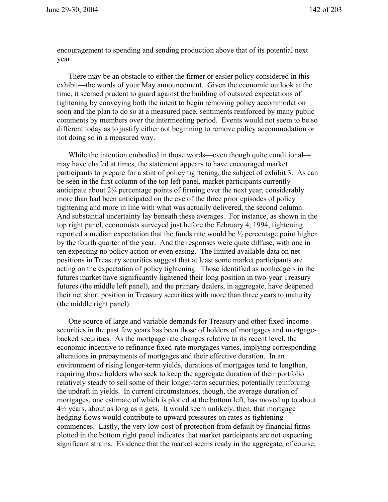encouragement to spending and sending production above that of its potential next year.

There may be an obstacle to either the firmer or easier policy considered in this exhibit—the words of your May announcement. Given the economic outlook at the time, it seemed prudent to guard against the building of outsized expectations of tightening by conveying both the intent to begin removing policy accommodation soon and the plan to do so at a measured pace, sentiments reinforced by many public comments by members over the intermeeting period. Events would not seem to be so different today as to justify either not beginning to remove policy accommodation or not doing so in a measured way.

While the intention embodied in those words—even though quite conditional may have chafed at times, the statement appears to have encouraged market participants to prepare for a stint of policy tightening, the subject of exhibit 3. As can be seen in the first column of the top left panel, market participants currently anticipate about  $2\frac{1}{4}$  percentage points of firming over the next year, considerably more than had been anticipated on the eve of the three prior episodes of policy tightening and more in line with what was actually delivered, the second column. And substantial uncertainty lay beneath these averages. For instance, as shown in the top right panel, economists surveyed just before the February 4, 1994, tightening reported a median expectation that the funds rate would be ½ percentage point higher by the fourth quarter of the year. And the responses were quite diffuse, with one in ten expecting no policy action or even easing. The limited available data on net positions in Treasury securities suggest that at least some market participants are acting on the expectation of policy tightening. Those identified as nonhedgers in the futures market have significantly lightened their long position in two-year Treasury futures (the middle left panel), and the primary dealers, in aggregate, have deepened their net short position in Treasury securities with more than three years to maturity (the middle right panel).

One source of large and variable demands for Treasury and other fixed-income securities in the past few years has been those of holders of mortgages and mortgagebacked securities. As the mortgage rate changes relative to its recent level, the economic incentive to refinance fixed-rate mortgages varies, implying corresponding alterations in prepayments of mortgages and their effective duration. In an environment of rising longer-term yields, durations of mortgages tend to lengthen, requiring those holders who seek to keep the aggregate duration of their portfolio relatively steady to sell some of their longer-term securities, potentially reinforcing the updraft in yields. In current circumstances, though, the average duration of mortgages, one estimate of which is plotted at the bottom left, has moved up to about 4½ years, about as long as it gets. It would seem unlikely, then, that mortgage hedging flows would contribute to upward pressures on rates as tightening commences. Lastly, the very low cost of protection from default by financial firms plotted in the bottom right panel indicates that market participants are not expecting significant strains. Evidence that the market seems ready in the aggregate, of course,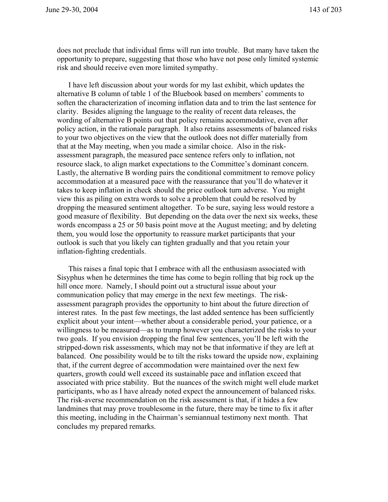does not preclude that individual firms will run into trouble. But many have taken the opportunity to prepare, suggesting that those who have not pose only limited systemic risk and should receive even more limited sympathy.

I have left discussion about your words for my last exhibit, which updates the alternative B column of table 1 of the Bluebook based on members' comments to soften the characterization of incoming inflation data and to trim the last sentence for clarity. Besides aligning the language to the reality of recent data releases, the wording of alternative B points out that policy remains accommodative, even after policy action, in the rationale paragraph. It also retains assessments of balanced risks to your two objectives on the view that the outlook does not differ materially from that at the May meeting, when you made a similar choice. Also in the riskassessment paragraph, the measured pace sentence refers only to inflation, not resource slack, to align market expectations to the Committee's dominant concern. Lastly, the alternative B wording pairs the conditional commitment to remove policy accommodation at a measured pace with the reassurance that you'll do whatever it takes to keep inflation in check should the price outlook turn adverse. You might view this as piling on extra words to solve a problem that could be resolved by dropping the measured sentiment altogether. To be sure, saying less would restore a good measure of flexibility. But depending on the data over the next six weeks, these words encompass a 25 or 50 basis point move at the August meeting; and by deleting them, you would lose the opportunity to reassure market participants that your outlook is such that you likely can tighten gradually and that you retain your inflation-fighting credentials.

This raises a final topic that I embrace with all the enthusiasm associated with Sisyphus when he determines the time has come to begin rolling that big rock up the hill once more. Namely, I should point out a structural issue about your communication policy that may emerge in the next few meetings. The riskassessment paragraph provides the opportunity to hint about the future direction of interest rates. In the past few meetings, the last added sentence has been sufficiently explicit about your intent—whether about a considerable period, your patience, or a willingness to be measured—as to trump however you characterized the risks to your two goals. If you envision dropping the final few sentences, you'll be left with the stripped-down risk assessments, which may not be that informative if they are left at balanced. One possibility would be to tilt the risks toward the upside now, explaining that, if the current degree of accommodation were maintained over the next few quarters, growth could well exceed its sustainable pace and inflation exceed that associated with price stability. But the nuances of the switch might well elude market participants, who as I have already noted expect the announcement of balanced risks. The risk-averse recommendation on the risk assessment is that, if it hides a few landmines that may prove troublesome in the future, there may be time to fix it after this meeting, including in the Chairman's semiannual testimony next month. That concludes my prepared remarks.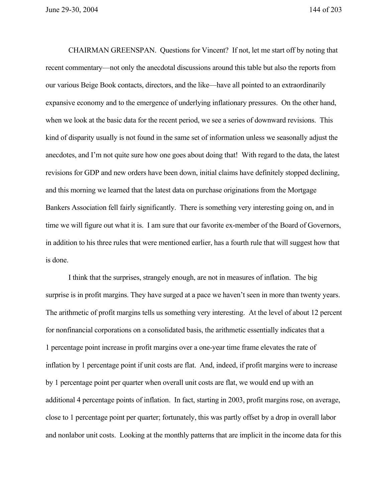June 29-30, 2004 144 of 203

CHAIRMAN GREENSPAN. Questions for Vincent? If not, let me start off by noting that recent commentary—not only the anecdotal discussions around this table but also the reports from our various Beige Book contacts, directors, and the like—have all pointed to an extraordinarily expansive economy and to the emergence of underlying inflationary pressures. On the other hand, when we look at the basic data for the recent period, we see a series of downward revisions. This kind of disparity usually is not found in the same set of information unless we seasonally adjust the anecdotes, and I'm not quite sure how one goes about doing that! With regard to the data, the latest revisions for GDP and new orders have been down, initial claims have definitely stopped declining, and this morning we learned that the latest data on purchase originations from the Mortgage Bankers Association fell fairly significantly. There is something very interesting going on, and in time we will figure out what it is. I am sure that our favorite ex-member of the Board of Governors, in addition to his three rules that were mentioned earlier, has a fourth rule that will suggest how that is done.

I think that the surprises, strangely enough, are not in measures of inflation. The big surprise is in profit margins. They have surged at a pace we haven't seen in more than twenty years. The arithmetic of profit margins tells us something very interesting. At the level of about 12 percent for nonfinancial corporations on a consolidated basis, the arithmetic essentially indicates that a 1 percentage point increase in profit margins over a one-year time frame elevates the rate of inflation by 1 percentage point if unit costs are flat. And, indeed, if profit margins were to increase by 1 percentage point per quarter when overall unit costs are flat, we would end up with an additional 4 percentage points of inflation. In fact, starting in 2003, profit margins rose, on average, close to 1 percentage point per quarter; fortunately, this was partly offset by a drop in overall labor and nonlabor unit costs. Looking at the monthly patterns that are implicit in the income data for this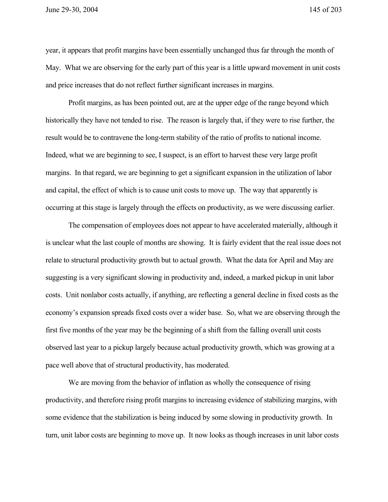year, it appears that profit margins have been essentially unchanged thus far through the month of May. What we are observing for the early part of this year is a little upward movement in unit costs and price increases that do not reflect further significant increases in margins.

Profit margins, as has been pointed out, are at the upper edge of the range beyond which historically they have not tended to rise. The reason is largely that, if they were to rise further, the result would be to contravene the long-term stability of the ratio of profits to national income. Indeed, what we are beginning to see, I suspect, is an effort to harvest these very large profit margins. In that regard, we are beginning to get a significant expansion in the utilization of labor and capital, the effect of which is to cause unit costs to move up. The way that apparently is occurring at this stage is largely through the effects on productivity, as we were discussing earlier.

The compensation of employees does not appear to have accelerated materially, although it is unclear what the last couple of months are showing. It is fairly evident that the real issue does not relate to structural productivity growth but to actual growth. What the data for April and May are suggesting is a very significant slowing in productivity and, indeed, a marked pickup in unit labor costs. Unit nonlabor costs actually, if anything, are reflecting a general decline in fixed costs as the economy's expansion spreads fixed costs over a wider base. So, what we are observing through the first five months of the year may be the beginning of a shift from the falling overall unit costs observed last year to a pickup largely because actual productivity growth, which was growing at a pace well above that of structural productivity, has moderated.

We are moving from the behavior of inflation as wholly the consequence of rising productivity, and therefore rising profit margins to increasing evidence of stabilizing margins, with some evidence that the stabilization is being induced by some slowing in productivity growth. In turn, unit labor costs are beginning to move up. It now looks as though increases in unit labor costs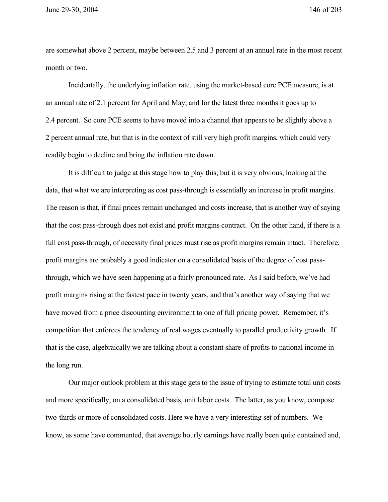June 29-30, 2004 146 of 203

are somewhat above 2 percent, maybe between 2.5 and 3 percent at an annual rate in the most recent month or two.

Incidentally, the underlying inflation rate, using the market-based core PCE measure, is at an annual rate of 2.1 percent for April and May, and for the latest three months it goes up to 2.4 percent. So core PCE seems to have moved into a channel that appears to be slightly above a 2 percent annual rate, but that is in the context of still very high profit margins, which could very readily begin to decline and bring the inflation rate down.

It is difficult to judge at this stage how to play this; but it is very obvious, looking at the data, that what we are interpreting as cost pass-through is essentially an increase in profit margins. The reason is that, if final prices remain unchanged and costs increase, that is another way of saying that the cost pass-through does not exist and profit margins contract. On the other hand, if there is a full cost pass-through, of necessity final prices must rise as profit margins remain intact. Therefore, profit margins are probably a good indicator on a consolidated basis of the degree of cost passthrough, which we have seen happening at a fairly pronounced rate. As I said before, we've had profit margins rising at the fastest pace in twenty years, and that's another way of saying that we have moved from a price discounting environment to one of full pricing power. Remember, it's competition that enforces the tendency of real wages eventually to parallel productivity growth. If that is the case, algebraically we are talking about a constant share of profits to national income in the long run.

Our major outlook problem at this stage gets to the issue of trying to estimate total unit costs and more specifically, on a consolidated basis, unit labor costs. The latter, as you know, compose two-thirds or more of consolidated costs. Here we have a very interesting set of numbers. We know, as some have commented, that average hourly earnings have really been quite contained and,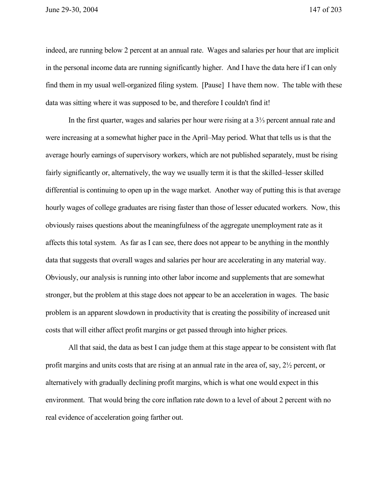indeed, are running below 2 percent at an annual rate. Wages and salaries per hour that are implicit in the personal income data are running significantly higher. And I have the data here if I can only find them in my usual well-organized filing system. [Pause] I have them now. The table with these data was sitting where it was supposed to be, and therefore I couldn't find it!

In the first quarter, wages and salaries per hour were rising at a 3⅓ percent annual rate and were increasing at a somewhat higher pace in the April–May period. What that tells us is that the average hourly earnings of supervisory workers, which are not published separately, must be rising fairly significantly or, alternatively, the way we usually term it is that the skilled–lesser skilled differential is continuing to open up in the wage market. Another way of putting this is that average hourly wages of college graduates are rising faster than those of lesser educated workers. Now, this obviously raises questions about the meaningfulness of the aggregate unemployment rate as it affects this total system. As far as I can see, there does not appear to be anything in the monthly data that suggests that overall wages and salaries per hour are accelerating in any material way. Obviously, our analysis is running into other labor income and supplements that are somewhat stronger, but the problem at this stage does not appear to be an acceleration in wages. The basic problem is an apparent slowdown in productivity that is creating the possibility of increased unit costs that will either affect profit margins or get passed through into higher prices.

All that said, the data as best I can judge them at this stage appear to be consistent with flat profit margins and units costs that are rising at an annual rate in the area of, say, 2½ percent, or alternatively with gradually declining profit margins, which is what one would expect in this environment. That would bring the core inflation rate down to a level of about 2 percent with no real evidence of acceleration going farther out.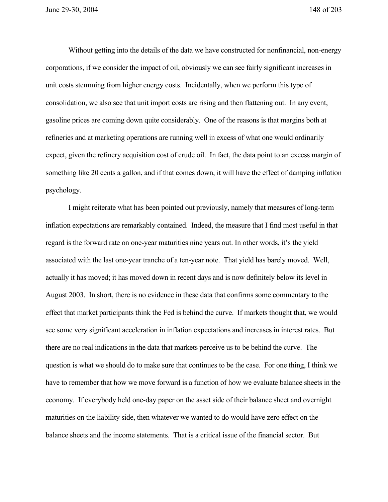Without getting into the details of the data we have constructed for nonfinancial, non-energy corporations, if we consider the impact of oil, obviously we can see fairly significant increases in unit costs stemming from higher energy costs. Incidentally, when we perform this type of consolidation, we also see that unit import costs are rising and then flattening out. In any event, gasoline prices are coming down quite considerably. One of the reasons is that margins both at refineries and at marketing operations are running well in excess of what one would ordinarily expect, given the refinery acquisition cost of crude oil. In fact, the data point to an excess margin of something like 20 cents a gallon, and if that comes down, it will have the effect of damping inflation psychology.

I might reiterate what has been pointed out previously, namely that measures of long-term inflation expectations are remarkably contained. Indeed, the measure that I find most useful in that regard is the forward rate on one-year maturities nine years out. In other words, it's the yield associated with the last one-year tranche of a ten-year note. That yield has barely moved. Well, actually it has moved; it has moved down in recent days and is now definitely below its level in August 2003. In short, there is no evidence in these data that confirms some commentary to the effect that market participants think the Fed is behind the curve. If markets thought that, we would see some very significant acceleration in inflation expectations and increases in interest rates. But there are no real indications in the data that markets perceive us to be behind the curve. The question is what we should do to make sure that continues to be the case. For one thing, I think we have to remember that how we move forward is a function of how we evaluate balance sheets in the economy. If everybody held one-day paper on the asset side of their balance sheet and overnight maturities on the liability side, then whatever we wanted to do would have zero effect on the balance sheets and the income statements. That is a critical issue of the financial sector. But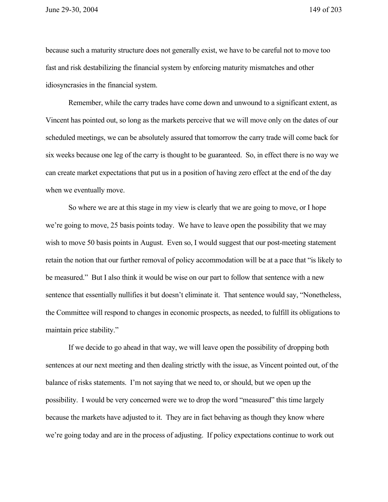June 29-30, 2004 149 of 203

because such a maturity structure does not generally exist, we have to be careful not to move too fast and risk destabilizing the financial system by enforcing maturity mismatches and other idiosyncrasies in the financial system.

Remember, while the carry trades have come down and unwound to a significant extent, as Vincent has pointed out, so long as the markets perceive that we will move only on the dates of our scheduled meetings, we can be absolutely assured that tomorrow the carry trade will come back for six weeks because one leg of the carry is thought to be guaranteed. So, in effect there is no way we can create market expectations that put us in a position of having zero effect at the end of the day when we eventually move.

So where we are at this stage in my view is clearly that we are going to move, or I hope we're going to move, 25 basis points today. We have to leave open the possibility that we may wish to move 50 basis points in August. Even so, I would suggest that our post-meeting statement retain the notion that our further removal of policy accommodation will be at a pace that "is likely to be measured." But I also think it would be wise on our part to follow that sentence with a new sentence that essentially nullifies it but doesn't eliminate it. That sentence would say, "Nonetheless, the Committee will respond to changes in economic prospects, as needed, to fulfill its obligations to maintain price stability."

If we decide to go ahead in that way, we will leave open the possibility of dropping both sentences at our next meeting and then dealing strictly with the issue, as Vincent pointed out, of the balance of risks statements. I'm not saying that we need to, or should, but we open up the possibility. I would be very concerned were we to drop the word "measured" this time largely because the markets have adjusted to it. They are in fact behaving as though they know where we're going today and are in the process of adjusting. If policy expectations continue to work out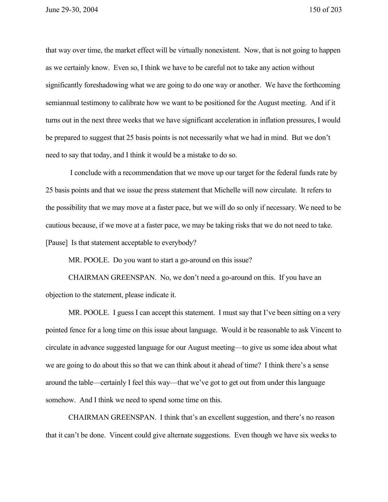that way over time, the market effect will be virtually nonexistent. Now, that is not going to happen as we certainly know. Even so, I think we have to be careful not to take any action without significantly foreshadowing what we are going to do one way or another. We have the forthcoming semiannual testimony to calibrate how we want to be positioned for the August meeting. And if it turns out in the next three weeks that we have significant acceleration in inflation pressures, I would be prepared to suggest that 25 basis points is not necessarily what we had in mind. But we don't need to say that today, and I think it would be a mistake to do so.

 I conclude with a recommendation that we move up our target for the federal funds rate by 25 basis points and that we issue the press statement that Michelle will now circulate. It refers to the possibility that we may move at a faster pace, but we will do so only if necessary. We need to be cautious because, if we move at a faster pace, we may be taking risks that we do not need to take. [Pause] Is that statement acceptable to everybody?

MR. POOLE. Do you want to start a go-around on this issue?

CHAIRMAN GREENSPAN. No, we don't need a go-around on this. If you have an objection to the statement, please indicate it.

MR. POOLE. I guess I can accept this statement. I must say that I've been sitting on a very pointed fence for a long time on this issue about language. Would it be reasonable to ask Vincent to circulate in advance suggested language for our August meeting—to give us some idea about what we are going to do about this so that we can think about it ahead of time? I think there's a sense around the table—certainly I feel this way—that we've got to get out from under this language somehow. And I think we need to spend some time on this.

CHAIRMAN GREENSPAN. I think that's an excellent suggestion, and there's no reason that it can't be done. Vincent could give alternate suggestions. Even though we have six weeks to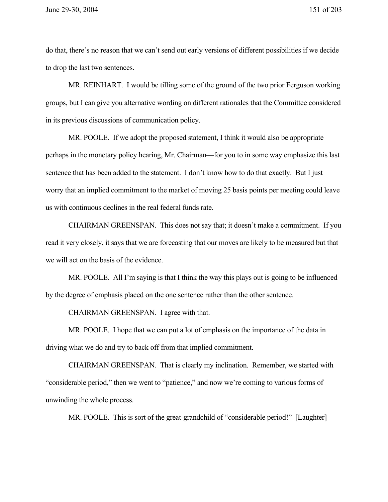do that, there's no reason that we can't send out early versions of different possibilities if we decide to drop the last two sentences.

MR. REINHART. I would be tilling some of the ground of the two prior Ferguson working groups, but I can give you alternative wording on different rationales that the Committee considered in its previous discussions of communication policy.

MR. POOLE. If we adopt the proposed statement, I think it would also be appropriate perhaps in the monetary policy hearing, Mr. Chairman—for you to in some way emphasize this last sentence that has been added to the statement. I don't know how to do that exactly. But I just worry that an implied commitment to the market of moving 25 basis points per meeting could leave us with continuous declines in the real federal funds rate.

CHAIRMAN GREENSPAN. This does not say that; it doesn't make a commitment. If you read it very closely, it says that we are forecasting that our moves are likely to be measured but that we will act on the basis of the evidence.

MR. POOLE. All I'm saying is that I think the way this plays out is going to be influenced by the degree of emphasis placed on the one sentence rather than the other sentence.

CHAIRMAN GREENSPAN. I agree with that.

MR. POOLE. I hope that we can put a lot of emphasis on the importance of the data in driving what we do and try to back off from that implied commitment.

CHAIRMAN GREENSPAN. That is clearly my inclination. Remember, we started with "considerable period," then we went to "patience," and now we're coming to various forms of unwinding the whole process.

MR. POOLE. This is sort of the great-grandchild of "considerable period!" [Laughter]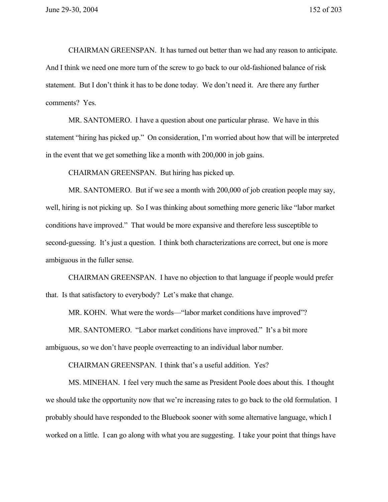CHAIRMAN GREENSPAN. It has turned out better than we had any reason to anticipate. And I think we need one more turn of the screw to go back to our old-fashioned balance of risk statement. But I don't think it has to be done today. We don't need it. Are there any further comments? Yes.

MR. SANTOMERO. I have a question about one particular phrase. We have in this statement "hiring has picked up." On consideration, I'm worried about how that will be interpreted in the event that we get something like a month with 200,000 in job gains.

CHAIRMAN GREENSPAN. But hiring has picked up.

MR. SANTOMERO. But if we see a month with 200,000 of job creation people may say, well, hiring is not picking up. So I was thinking about something more generic like "labor market conditions have improved." That would be more expansive and therefore less susceptible to second-guessing. It's just a question. I think both characterizations are correct, but one is more ambiguous in the fuller sense.

CHAIRMAN GREENSPAN. I have no objection to that language if people would prefer that. Is that satisfactory to everybody? Let's make that change.

MR. KOHN. What were the words—"labor market conditions have improved"?

MR. SANTOMERO. "Labor market conditions have improved." It's a bit more ambiguous, so we don't have people overreacting to an individual labor number.

CHAIRMAN GREENSPAN. I think that's a useful addition. Yes?

MS. MINEHAN. I feel very much the same as President Poole does about this. I thought we should take the opportunity now that we're increasing rates to go back to the old formulation. I probably should have responded to the Bluebook sooner with some alternative language, which I worked on a little. I can go along with what you are suggesting. I take your point that things have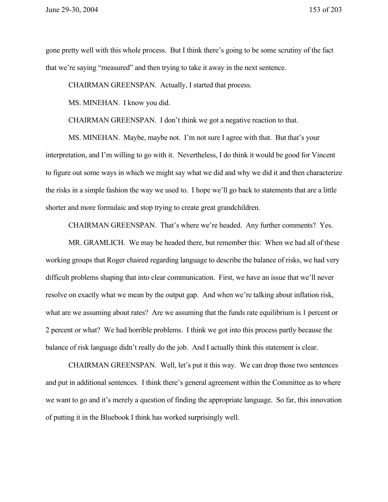gone pretty well with this whole process. But I think there's going to be some scrutiny of the fact that we're saying "measured" and then trying to take it away in the next sentence.

CHAIRMAN GREENSPAN. Actually, I started that process.

MS. MINEHAN. I know you did.

CHAIRMAN GREENSPAN. I don't think we got a negative reaction to that.

MS. MINEHAN. Maybe, maybe not. I'm not sure I agree with that. But that's your interpretation, and I'm willing to go with it. Nevertheless, I do think it would be good for Vincent to figure out some ways in which we might say what we did and why we did it and then characterize the risks in a simple fashion the way we used to. I hope we'll go back to statements that are a little shorter and more formulaic and stop trying to create great grandchildren.

CHAIRMAN GREENSPAN. That's where we're headed. Any further comments? Yes.

MR. GRAMLICH. We may be headed there, but remember this: When we had all of these working groups that Roger chaired regarding language to describe the balance of risks, we had very difficult problems shaping that into clear communication. First, we have an issue that we'll never resolve on exactly what we mean by the output gap. And when we're talking about inflation risk, what are we assuming about rates? Are we assuming that the funds rate equilibrium is 1 percent or 2 percent or what? We had horrible problems. I think we got into this process partly because the balance of risk language didn't really do the job. And I actually think this statement is clear.

CHAIRMAN GREENSPAN. Well, let's put it this way. We can drop those two sentences and put in additional sentences. I think there's general agreement within the Committee as to where we want to go and it's merely a question of finding the appropriate language. So far, this innovation of putting it in the Bluebook I think has worked surprisingly well.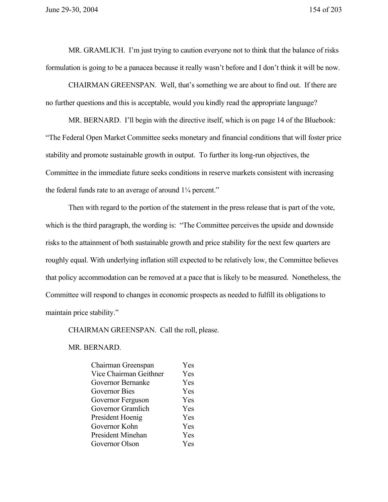MR. GRAMLICH. I'm just trying to caution everyone not to think that the balance of risks formulation is going to be a panacea because it really wasn't before and I don't think it will be now.

CHAIRMAN GREENSPAN. Well, that's something we are about to find out. If there are no further questions and this is acceptable, would you kindly read the appropriate language?

MR. BERNARD. I'll begin with the directive itself, which is on page 14 of the Bluebook: "The Federal Open Market Committee seeks monetary and financial conditions that will foster price stability and promote sustainable growth in output. To further its long-run objectives, the Committee in the immediate future seeks conditions in reserve markets consistent with increasing the federal funds rate to an average of around 1¼ percent."

Then with regard to the portion of the statement in the press release that is part of the vote, which is the third paragraph, the wording is: "The Committee perceives the upside and downside risks to the attainment of both sustainable growth and price stability for the next few quarters are roughly equal. With underlying inflation still expected to be relatively low, the Committee believes that policy accommodation can be removed at a pace that is likely to be measured. Nonetheless, the Committee will respond to changes in economic prospects as needed to fulfill its obligations to maintain price stability."

CHAIRMAN GREENSPAN. Call the roll, please.

MR. BERNARD.

| Chairman Greenspan       | Yes |
|--------------------------|-----|
| Vice Chairman Geithner   | Yes |
| Governor Bernanke        | Yes |
| Governor Bies            | Yes |
| Governor Ferguson        | Yes |
| Governor Gramlich        | Yes |
| President Hoenig         | Yes |
| Governor Kohn            | Yes |
| <b>President Minehan</b> | Yes |
| Governor Olson           | Yes |